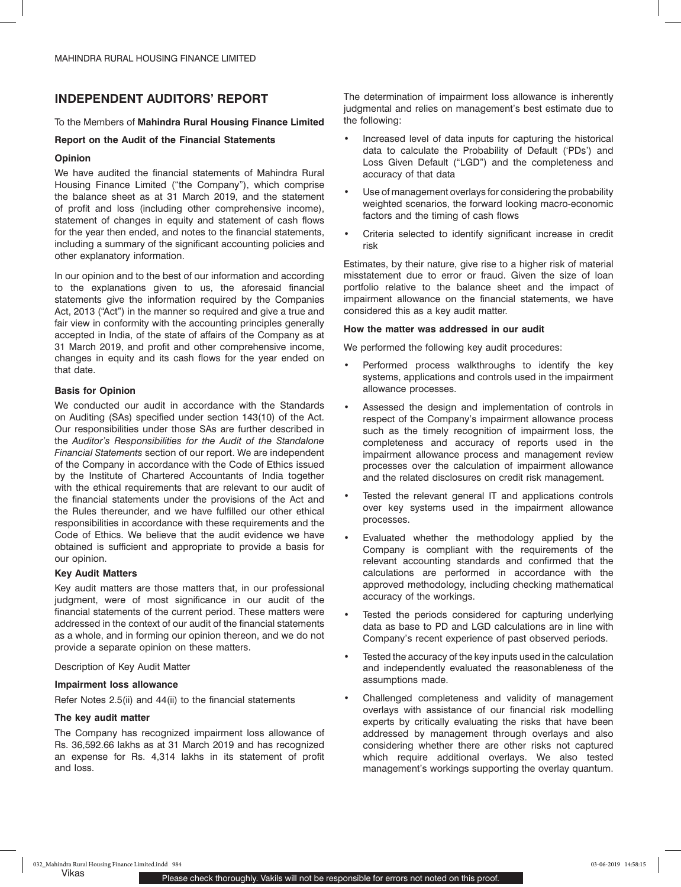## **INDEPENDENT AUDITORS' REPORT**

## To the Members of **Mahindra Rural Housing Finance Limited**

## **Report on the Audit of the Financial Statements**

## **Opinion**

We have audited the financial statements of Mahindra Rural Housing Finance Limited ("the Company"), which comprise the balance sheet as at 31 March 2019, and the statement of profit and loss (including other comprehensive income), statement of changes in equity and statement of cash flows for the year then ended, and notes to the financial statements, including a summary of the significant accounting policies and other explanatory information.

In our opinion and to the best of our information and according to the explanations given to us, the aforesaid financial statements give the information required by the Companies Act, 2013 ("Act") in the manner so required and give a true and fair view in conformity with the accounting principles generally accepted in India, of the state of affairs of the Company as at 31 March 2019, and profit and other comprehensive income, changes in equity and its cash flows for the year ended on that date.

## **Basis for Opinion**

We conducted our audit in accordance with the Standards on Auditing (SAs) specified under section 143(10) of the Act. Our responsibilities under those SAs are further described in the *Auditor's Responsibilities for the Audit of the Standalone Financial Statements* section of our report. We are independent of the Company in accordance with the Code of Ethics issued by the Institute of Chartered Accountants of India together with the ethical requirements that are relevant to our audit of the financial statements under the provisions of the Act and the Rules thereunder, and we have fulfilled our other ethical responsibilities in accordance with these requirements and the Code of Ethics. We believe that the audit evidence we have obtained is sufficient and appropriate to provide a basis for our opinion.

## **Key Audit Matters**

Key audit matters are those matters that, in our professional judgment, were of most significance in our audit of the financial statements of the current period. These matters were addressed in the context of our audit of the financial statements as a whole, and in forming our opinion thereon, and we do not provide a separate opinion on these matters.

Description of Key Audit Matter

## **Impairment loss allowance**

Refer Notes 2.5(ii) and 44(ii) to the financial statements

## **The key audit matter**

The Company has recognized impairment loss allowance of Rs. 36,592.66 lakhs as at 31 March 2019 and has recognized an expense for Rs. 4,314 lakhs in its statement of profit and loss.

The determination of impairment loss allowance is inherently judgmental and relies on management's best estimate due to the following:

- Increased level of data inputs for capturing the historical data to calculate the Probability of Default ('PDs') and Loss Given Default ("LGD") and the completeness and accuracy of that data
- Use of management overlays for considering the probability weighted scenarios, the forward looking macro-economic factors and the timing of cash flows
- Criteria selected to identify significant increase in credit risk

Estimates, by their nature, give rise to a higher risk of material misstatement due to error or fraud. Given the size of loan portfolio relative to the balance sheet and the impact of impairment allowance on the financial statements, we have considered this as a key audit matter.

## **How the matter was addressed in our audit**

We performed the following key audit procedures:

- **•** Performed process walkthroughs to identify the key systems, applications and controls used in the impairment allowance processes.
- Assessed the design and implementation of controls in respect of the Company's impairment allowance process such as the timely recognition of impairment loss, the completeness and accuracy of reports used in the impairment allowance process and management review processes over the calculation of impairment allowance and the related disclosures on credit risk management.
- Tested the relevant general IT and applications controls over key systems used in the impairment allowance processes.
- Evaluated whether the methodology applied by the Company is compliant with the requirements of the relevant accounting standards and confirmed that the calculations are performed in accordance with the approved methodology, including checking mathematical accuracy of the workings.
- Tested the periods considered for capturing underlying data as base to PD and LGD calculations are in line with Company's recent experience of past observed periods.
- Tested the accuracy of the key inputs used in the calculation and independently evaluated the reasonableness of the assumptions made.
- Challenged completeness and validity of management overlays with assistance of our financial risk modelling experts by critically evaluating the risks that have been addressed by management through overlays and also considering whether there are other risks not captured which require additional overlays. We also tested management's workings supporting the overlay quantum.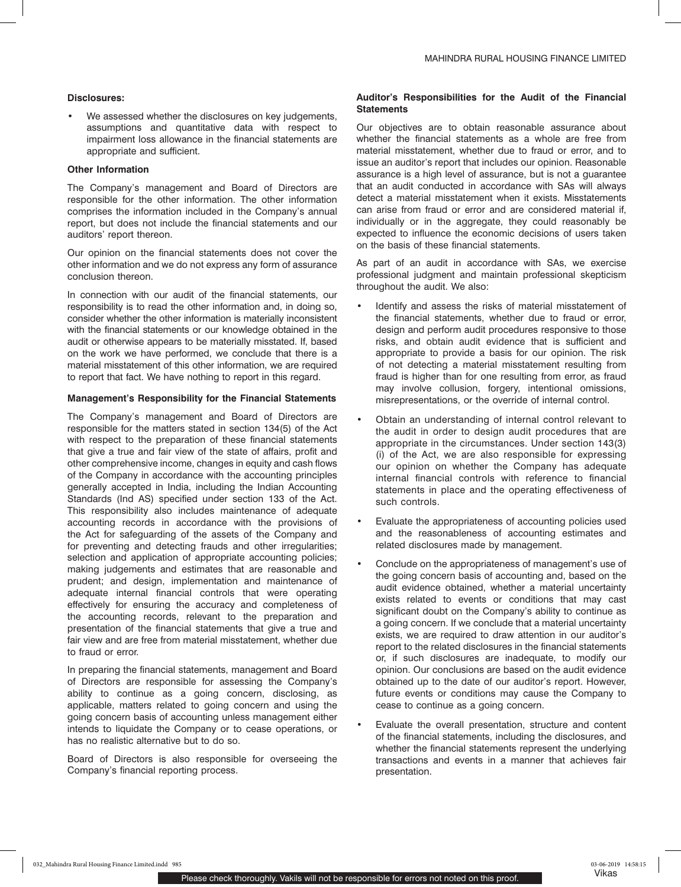## **Disclosures:**

We assessed whether the disclosures on key judgements, assumptions and quantitative data with respect to impairment loss allowance in the financial statements are appropriate and sufficient.

## **Other Information**

The Company's management and Board of Directors are responsible for the other information. The other information comprises the information included in the Company's annual report, but does not include the financial statements and our auditors' report thereon.

Our opinion on the financial statements does not cover the other information and we do not express any form of assurance conclusion thereon.

In connection with our audit of the financial statements, our responsibility is to read the other information and, in doing so, consider whether the other information is materially inconsistent with the financial statements or our knowledge obtained in the audit or otherwise appears to be materially misstated. If, based on the work we have performed, we conclude that there is a material misstatement of this other information, we are required to report that fact. We have nothing to report in this regard.

## **Management's Responsibility for the Financial Statements**

The Company's management and Board of Directors are responsible for the matters stated in section 134(5) of the Act with respect to the preparation of these financial statements that give a true and fair view of the state of affairs, profit and other comprehensive income, changes in equity and cash flows of the Company in accordance with the accounting principles generally accepted in India, including the Indian Accounting Standards (Ind AS) specified under section 133 of the Act. This responsibility also includes maintenance of adequate accounting records in accordance with the provisions of the Act for safeguarding of the assets of the Company and for preventing and detecting frauds and other irregularities; selection and application of appropriate accounting policies; making judgements and estimates that are reasonable and prudent; and design, implementation and maintenance of adequate internal financial controls that were operating effectively for ensuring the accuracy and completeness of the accounting records, relevant to the preparation and presentation of the financial statements that give a true and fair view and are free from material misstatement, whether due to fraud or error.

In preparing the financial statements, management and Board of Directors are responsible for assessing the Company's ability to continue as a going concern, disclosing, as applicable, matters related to going concern and using the going concern basis of accounting unless management either intends to liquidate the Company or to cease operations, or has no realistic alternative but to do so.

Board of Directors is also responsible for overseeing the Company's financial reporting process.

## **Auditor's Responsibilities for the Audit of the Financial Statements**

Our objectives are to obtain reasonable assurance about whether the financial statements as a whole are free from material misstatement, whether due to fraud or error, and to issue an auditor's report that includes our opinion. Reasonable assurance is a high level of assurance, but is not a guarantee that an audit conducted in accordance with SAs will always detect a material misstatement when it exists. Misstatements can arise from fraud or error and are considered material if, individually or in the aggregate, they could reasonably be expected to influence the economic decisions of users taken on the basis of these financial statements.

As part of an audit in accordance with SAs, we exercise professional judgment and maintain professional skepticism throughout the audit. We also:

- **•** Identify and assess the risks of material misstatement of the financial statements, whether due to fraud or error, design and perform audit procedures responsive to those risks, and obtain audit evidence that is sufficient and appropriate to provide a basis for our opinion. The risk of not detecting a material misstatement resulting from fraud is higher than for one resulting from error, as fraud may involve collusion, forgery, intentional omissions, misrepresentations, or the override of internal control.
- Obtain an understanding of internal control relevant to the audit in order to design audit procedures that are appropriate in the circumstances. Under section 143(3) (i) of the Act, we are also responsible for expressing our opinion on whether the Company has adequate internal financial controls with reference to financial statements in place and the operating effectiveness of such controls.
- Evaluate the appropriateness of accounting policies used and the reasonableness of accounting estimates and related disclosures made by management.
- Conclude on the appropriateness of management's use of the going concern basis of accounting and, based on the audit evidence obtained, whether a material uncertainty exists related to events or conditions that may cast significant doubt on the Company's ability to continue as a going concern. If we conclude that a material uncertainty exists, we are required to draw attention in our auditor's report to the related disclosures in the financial statements or, if such disclosures are inadequate, to modify our opinion. Our conclusions are based on the audit evidence obtained up to the date of our auditor's report. However, future events or conditions may cause the Company to cease to continue as a going concern.
- Evaluate the overall presentation, structure and content of the financial statements, including the disclosures, and whether the financial statements represent the underlying transactions and events in a manner that achieves fair presentation.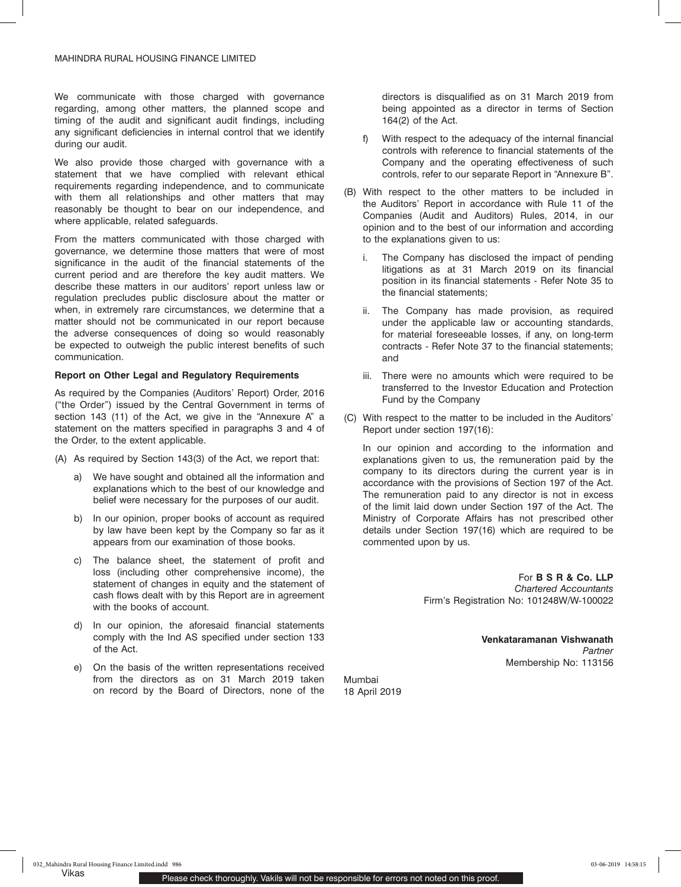We communicate with those charged with governance regarding, among other matters, the planned scope and timing of the audit and significant audit findings, including any significant deficiencies in internal control that we identify during our audit.

We also provide those charged with governance with a statement that we have complied with relevant ethical requirements regarding independence, and to communicate with them all relationships and other matters that may reasonably be thought to bear on our independence, and where applicable, related safeguards.

From the matters communicated with those charged with governance, we determine those matters that were of most significance in the audit of the financial statements of the current period and are therefore the key audit matters. We describe these matters in our auditors' report unless law or regulation precludes public disclosure about the matter or when, in extremely rare circumstances, we determine that a matter should not be communicated in our report because the adverse consequences of doing so would reasonably be expected to outweigh the public interest benefits of such communication.

## **Report on Other Legal and Regulatory Requirements**

As required by the Companies (Auditors' Report) Order, 2016 ("the Order") issued by the Central Government in terms of section 143 (11) of the Act, we give in the "Annexure A" a statement on the matters specified in paragraphs 3 and 4 of the Order, to the extent applicable.

(A) As required by Section 143(3) of the Act, we report that:

- We have sought and obtained all the information and explanations which to the best of our knowledge and belief were necessary for the purposes of our audit.
- b) In our opinion, proper books of account as required by law have been kept by the Company so far as it appears from our examination of those books.
- c) The balance sheet, the statement of profit and loss (including other comprehensive income), the statement of changes in equity and the statement of cash flows dealt with by this Report are in agreement with the books of account.
- d) In our opinion, the aforesaid financial statements comply with the Ind AS specified under section 133 of the Act.
- e) On the basis of the written representations received from the directors as on 31 March 2019 taken on record by the Board of Directors, none of the

directors is disqualified as on 31 March 2019 from being appointed as a director in terms of Section 164(2) of the Act.

- With respect to the adequacy of the internal financial controls with reference to financial statements of the Company and the operating effectiveness of such controls, refer to our separate Report in "Annexure B".
- (B) With respect to the other matters to be included in the Auditors' Report in accordance with Rule 11 of the Companies (Audit and Auditors) Rules, 2014, in our opinion and to the best of our information and according to the explanations given to us:
	- i. The Company has disclosed the impact of pending litigations as at 31 March 2019 on its financial position in its financial statements - Refer Note 35 to the financial statements;
	- ii. The Company has made provision, as required under the applicable law or accounting standards, for material foreseeable losses, if any, on long-term contracts - Refer Note 37 to the financial statements; and
	- iii. There were no amounts which were required to be transferred to the Investor Education and Protection Fund by the Company
- (C) With respect to the matter to be included in the Auditors' Report under section 197(16):

In our opinion and according to the information and explanations given to us, the remuneration paid by the company to its directors during the current year is in accordance with the provisions of Section 197 of the Act. The remuneration paid to any director is not in excess of the limit laid down under Section 197 of the Act. The Ministry of Corporate Affairs has not prescribed other details under Section 197(16) which are required to be commented upon by us.

> For **B S R & Co. LLP** *Chartered Accountants* Firm's Registration No: 101248W/W-100022

> > **Venkataramanan Vishwanath** *Partner* Membership No: 113156

Mumbai 18 April 2019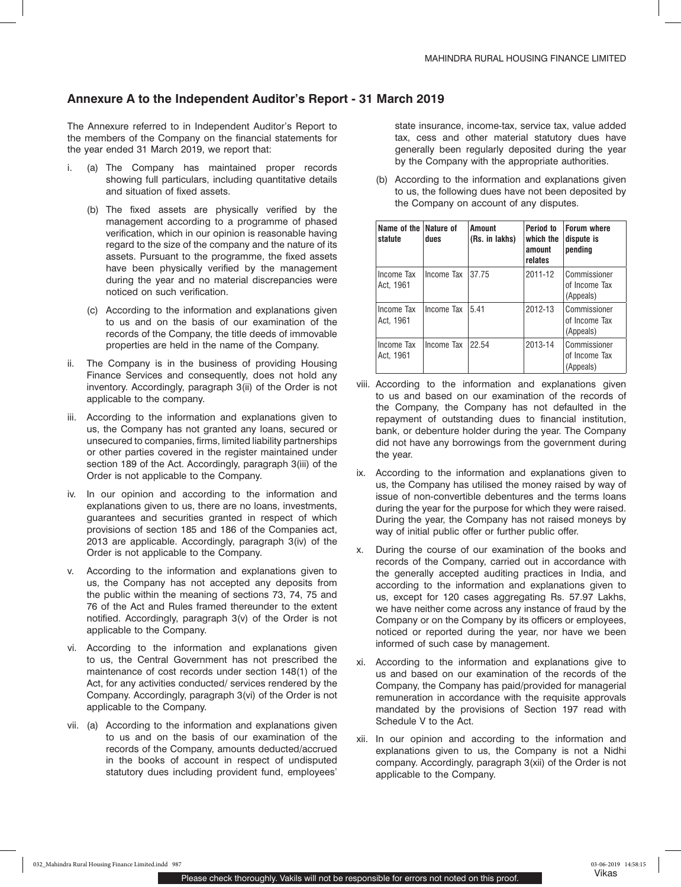## **Annexure A to the Independent Auditor's Report - 31 March 2019**

The Annexure referred to in Independent Auditor's Report to the members of the Company on the financial statements for the year ended 31 March 2019, we report that:

- i. (a) The Company has maintained proper records showing full particulars, including quantitative details and situation of fixed assets.
	- (b) The fixed assets are physically verified by the management according to a programme of phased verification, which in our opinion is reasonable having regard to the size of the company and the nature of its assets. Pursuant to the programme, the fixed assets have been physically verified by the management during the year and no material discrepancies were noticed on such verification.
	- (c) According to the information and explanations given to us and on the basis of our examination of the records of the Company, the title deeds of immovable properties are held in the name of the Company.
- ii. The Company is in the business of providing Housing Finance Services and consequently, does not hold any inventory. Accordingly, paragraph 3(ii) of the Order is not applicable to the company.
- iii. According to the information and explanations given to us, the Company has not granted any loans, secured or unsecured to companies, firms, limited liability partnerships or other parties covered in the register maintained under section 189 of the Act. Accordingly, paragraph 3(iii) of the Order is not applicable to the Company.
- iv. In our opinion and according to the information and explanations given to us, there are no loans, investments, guarantees and securities granted in respect of which provisions of section 185 and 186 of the Companies act, 2013 are applicable. Accordingly, paragraph 3(iv) of the Order is not applicable to the Company.
- v. According to the information and explanations given to us, the Company has not accepted any deposits from the public within the meaning of sections 73, 74, 75 and 76 of the Act and Rules framed thereunder to the extent notified. Accordingly, paragraph 3(v) of the Order is not applicable to the Company.
- vi. According to the information and explanations given to us, the Central Government has not prescribed the maintenance of cost records under section 148(1) of the Act, for any activities conducted/ services rendered by the Company. Accordingly, paragraph 3(vi) of the Order is not applicable to the Company.
- vii. (a) According to the information and explanations given to us and on the basis of our examination of the records of the Company, amounts deducted/accrued in the books of account in respect of undisputed statutory dues including provident fund, employees'

state insurance, income-tax, service tax, value added tax, cess and other material statutory dues have generally been regularly deposited during the year by the Company with the appropriate authorities.

(b) According to the information and explanations given to us, the following dues have not been deposited by the Company on account of any disputes.

| Name of the Nature of<br>statute | dues       | Amount<br>(Rs. in lakhs) | Period to<br>which the<br>amount<br>relates | <b>Forum where</b><br>dispute is<br>pending |
|----------------------------------|------------|--------------------------|---------------------------------------------|---------------------------------------------|
| Income Tax<br>Act. 1961          | Income Tax | 37.75                    | 2011-12                                     | Commissioner<br>of Income Tax<br>(Appeals)  |
| Income Tax<br>Act. 1961          | Income Tax | 5.41                     | 2012-13                                     | Commissioner<br>of Income Tax<br>(Appeals)  |
| Income Tax<br>Act. 1961          | Income Tax | 22.54                    | 2013-14                                     | Commissioner<br>of Income Tax<br>(Appeals)  |

- viii. According to the information and explanations given to us and based on our examination of the records of the Company, the Company has not defaulted in the repayment of outstanding dues to financial institution, bank, or debenture holder during the year. The Company did not have any borrowings from the government during the year.
- ix. According to the information and explanations given to us, the Company has utilised the money raised by way of issue of non-convertible debentures and the terms loans during the year for the purpose for which they were raised. During the year, the Company has not raised moneys by way of initial public offer or further public offer.
- x. During the course of our examination of the books and records of the Company, carried out in accordance with the generally accepted auditing practices in India, and according to the information and explanations given to us, except for 120 cases aggregating Rs. 57.97 Lakhs, we have neither come across any instance of fraud by the Company or on the Company by its officers or employees, noticed or reported during the year, nor have we been informed of such case by management.
- xi. According to the information and explanations give to us and based on our examination of the records of the Company, the Company has paid/provided for managerial remuneration in accordance with the requisite approvals mandated by the provisions of Section 197 read with Schedule V to the Act.
- xii. In our opinion and according to the information and explanations given to us, the Company is not a Nidhi company. Accordingly, paragraph 3(xii) of the Order is not applicable to the Company.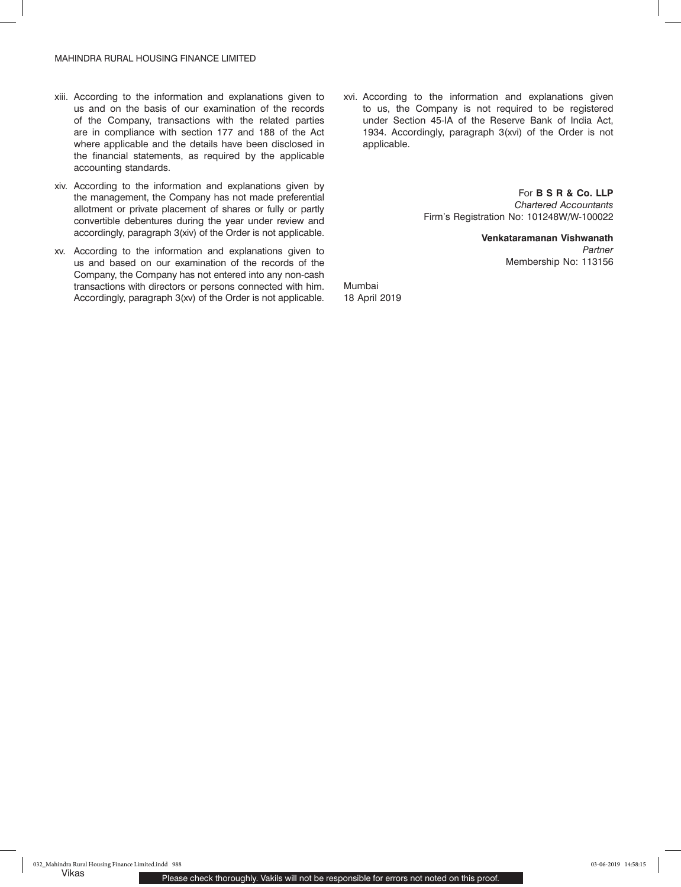- xiii. According to the information and explanations given to us and on the basis of our examination of the records of the Company, transactions with the related parties are in compliance with section 177 and 188 of the Act where applicable and the details have been disclosed in the financial statements, as required by the applicable accounting standards.
- xiv. According to the information and explanations given by the management, the Company has not made preferential allotment or private placement of shares or fully or partly convertible debentures during the year under review and accordingly, paragraph 3(xiv) of the Order is not applicable.
- xv. According to the information and explanations given to us and based on our examination of the records of the Company, the Company has not entered into any non-cash transactions with directors or persons connected with him. Accordingly, paragraph 3(xv) of the Order is not applicable.

xvi. According to the information and explanations given to us, the Company is not required to be registered under Section 45-IA of the Reserve Bank of India Act, 1934. Accordingly, paragraph 3(xvi) of the Order is not applicable.

> For **B S R & Co. LLP** *Chartered Accountants* Firm's Registration No: 101248W/W-100022

> > **Venkataramanan Vishwanath** *Partner* Membership No: 113156

Mumbai 18 April 2019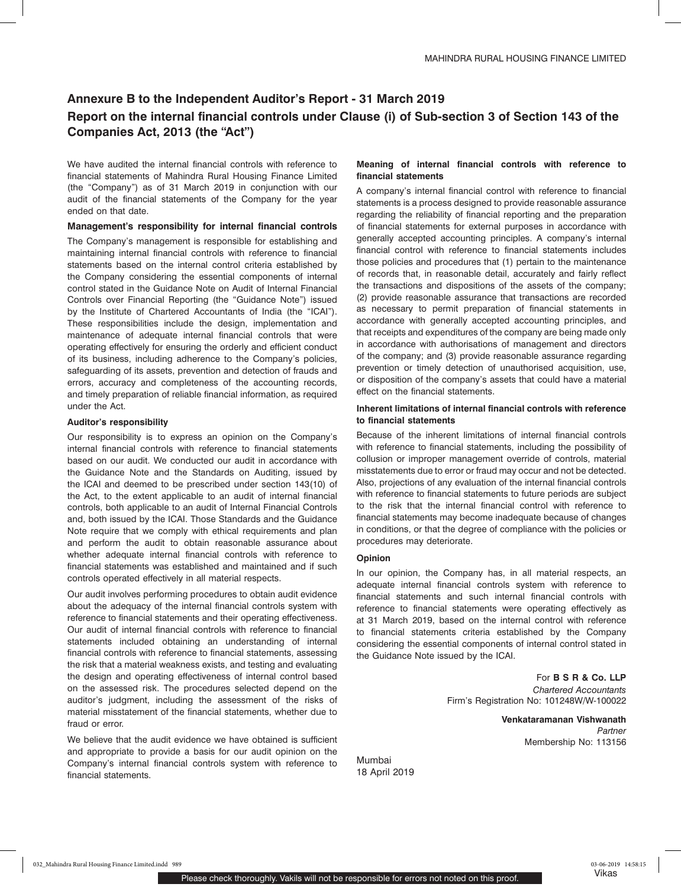# **Annexure B to the Independent Auditor's Report - 31 March 2019 Report on the internal financial controls under Clause (i) of Sub-section 3 of Section 143 of the Companies Act, 2013 (the "Act")**

We have audited the internal financial controls with reference to financial statements of Mahindra Rural Housing Finance Limited (the "Company") as of 31 March 2019 in conjunction with our audit of the financial statements of the Company for the year ended on that date.

## **Management's responsibility for internal financial controls**

The Company's management is responsible for establishing and maintaining internal financial controls with reference to financial statements based on the internal control criteria established by the Company considering the essential components of internal control stated in the Guidance Note on Audit of Internal Financial Controls over Financial Reporting (the "Guidance Note") issued by the Institute of Chartered Accountants of India (the "ICAI"). These responsibilities include the design, implementation and maintenance of adequate internal financial controls that were operating effectively for ensuring the orderly and efficient conduct of its business, including adherence to the Company's policies, safeguarding of its assets, prevention and detection of frauds and errors, accuracy and completeness of the accounting records, and timely preparation of reliable financial information, as required under the Act.

## **Auditor's responsibility**

Our responsibility is to express an opinion on the Company's internal financial controls with reference to financial statements based on our audit. We conducted our audit in accordance with the Guidance Note and the Standards on Auditing, issued by the ICAI and deemed to be prescribed under section 143(10) of the Act, to the extent applicable to an audit of internal financial controls, both applicable to an audit of Internal Financial Controls and, both issued by the ICAI. Those Standards and the Guidance Note require that we comply with ethical requirements and plan and perform the audit to obtain reasonable assurance about whether adequate internal financial controls with reference to financial statements was established and maintained and if such controls operated effectively in all material respects.

Our audit involves performing procedures to obtain audit evidence about the adequacy of the internal financial controls system with reference to financial statements and their operating effectiveness. Our audit of internal financial controls with reference to financial statements included obtaining an understanding of internal financial controls with reference to financial statements, assessing the risk that a material weakness exists, and testing and evaluating the design and operating effectiveness of internal control based on the assessed risk. The procedures selected depend on the auditor's judgment, including the assessment of the risks of material misstatement of the financial statements, whether due to fraud or error.

We believe that the audit evidence we have obtained is sufficient and appropriate to provide a basis for our audit opinion on the Company's internal financial controls system with reference to financial statements.

## **Meaning of internal financial controls with reference to financial statements**

A company's internal financial control with reference to financial statements is a process designed to provide reasonable assurance regarding the reliability of financial reporting and the preparation of financial statements for external purposes in accordance with generally accepted accounting principles. A company's internal financial control with reference to financial statements includes those policies and procedures that (1) pertain to the maintenance of records that, in reasonable detail, accurately and fairly reflect the transactions and dispositions of the assets of the company; (2) provide reasonable assurance that transactions are recorded as necessary to permit preparation of financial statements in accordance with generally accepted accounting principles, and that receipts and expenditures of the company are being made only in accordance with authorisations of management and directors of the company; and (3) provide reasonable assurance regarding prevention or timely detection of unauthorised acquisition, use, or disposition of the company's assets that could have a material effect on the financial statements.

## **Inherent limitations of internal financial controls with reference to financial statements**

Because of the inherent limitations of internal financial controls with reference to financial statements, including the possibility of collusion or improper management override of controls, material misstatements due to error or fraud may occur and not be detected. Also, projections of any evaluation of the internal financial controls with reference to financial statements to future periods are subject to the risk that the internal financial control with reference to financial statements may become inadequate because of changes in conditions, or that the degree of compliance with the policies or procedures may deteriorate.

## **Opinion**

In our opinion, the Company has, in all material respects, an adequate internal financial controls system with reference to financial statements and such internal financial controls with reference to financial statements were operating effectively as at 31 March 2019, based on the internal control with reference to financial statements criteria established by the Company considering the essential components of internal control stated in the Guidance Note issued by the ICAI.

> For **B S R & Co. LLP**  *Chartered Accountants* Firm's Registration No: 101248W/W-100022

> > **Venkataramanan Vishwanath** *Partner* Membership No: 113156

Mumbai 18 April 2019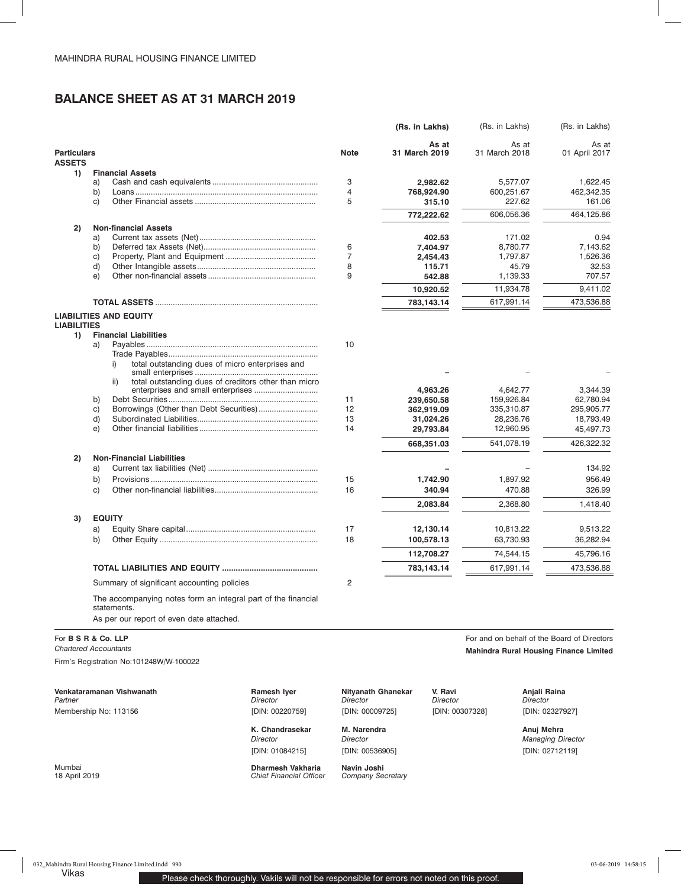# **BALANCE SHEET AS AT 31 MARCH 2019**

|                                     |                                                                              |                | (Rs. in Lakhs)         | (Rs. in Lakhs)         | (Rs. in Lakhs)         |
|-------------------------------------|------------------------------------------------------------------------------|----------------|------------------------|------------------------|------------------------|
| <b>Particulars</b><br><b>ASSETS</b> |                                                                              | <b>Note</b>    | As at<br>31 March 2019 | As at<br>31 March 2018 | As at<br>01 April 2017 |
| 1)                                  | <b>Financial Assets</b>                                                      |                |                        |                        |                        |
|                                     | a)                                                                           | 3              | 2,982.62               | 5,577.07               | 1,622.45               |
|                                     | b)                                                                           | 4              | 768,924.90             | 600,251.67             | 462,342.35             |
|                                     | C)                                                                           | 5              | 315.10                 | 227.62                 | 161.06                 |
|                                     |                                                                              |                | 772,222.62             | 606,056.36             | 464,125.86             |
| 2)                                  | <b>Non-financial Assets</b>                                                  |                |                        |                        |                        |
|                                     | a)                                                                           |                | 402.53                 | 171.02                 | 0.94                   |
|                                     | b)                                                                           | 6              | 7,404.97               | 8,780.77               | 7,143.62               |
|                                     | C)                                                                           | 7              | 2,454.43               | 1,797.87               | 1,526.36               |
|                                     | d)                                                                           | 8              | 115.71                 | 45.79                  | 32.53                  |
|                                     | e)                                                                           | 9              | 542.88                 | 1,139.33               | 707.57                 |
|                                     |                                                                              |                | 10,920.52              | 11,934.78              | 9,411.02               |
|                                     |                                                                              |                | 783,143.14             | 617,991.14             | 473,536.88             |
|                                     | <b>LIABILITIES AND EQUITY</b>                                                |                |                        |                        |                        |
| <b>LIABILITIES</b>                  |                                                                              |                |                        |                        |                        |
| 1)                                  | <b>Financial Liabilities</b><br>a)                                           | 10             |                        |                        |                        |
|                                     |                                                                              |                |                        |                        |                        |
|                                     | total outstanding dues of micro enterprises and<br>i)                        |                |                        |                        |                        |
|                                     |                                                                              |                |                        |                        |                        |
|                                     | total outstanding dues of creditors other than micro<br>ii)                  |                | 4,963.26               | 4,642.77               | 3,344.39               |
|                                     | b)                                                                           | 11             | 239,650.58             | 159,926.84             | 62,780.94              |
|                                     | c)                                                                           | 12             | 362,919.09             | 335,310.87             | 295,905.77             |
|                                     | d)                                                                           | 13             | 31,024.26              | 28,236.76              | 18,793.49              |
|                                     | e)                                                                           | 14             | 29,793.84              | 12,960.95              | 45,497.73              |
|                                     |                                                                              |                | 668,351.03             | 541,078.19             | 426,322.32             |
| 2)                                  | <b>Non-Financial Liabilities</b>                                             |                |                        |                        |                        |
|                                     | a)                                                                           |                |                        |                        | 134.92                 |
|                                     | b)                                                                           | 15             | 1,742.90               | 1,897.92               | 956.49                 |
|                                     | C)                                                                           | 16             | 340.94                 | 470.88                 | 326.99                 |
|                                     |                                                                              |                | 2,083.84               | 2,368.80               | 1,418.40               |
| 3)                                  | <b>EQUITY</b>                                                                |                |                        |                        |                        |
|                                     | a)                                                                           | 17             | 12,130.14              | 10,813.22              | 9,513.22               |
|                                     | b)                                                                           | 18             | 100,578.13             | 63,730.93              | 36,282.94              |
|                                     |                                                                              |                |                        |                        |                        |
|                                     |                                                                              |                | 112,708.27             | 74,544.15              | 45,796.16              |
|                                     |                                                                              |                | 783,143.14             | 617,991.14             | 473,536.88             |
|                                     | Summary of significant accounting policies                                   | $\overline{2}$ |                        |                        |                        |
|                                     | The accompanying notes form an integral part of the financial<br>statements. |                |                        |                        |                        |
|                                     | As per our report of even date attached.                                     |                |                        |                        |                        |

Firm's Registration No:101248W/W-100022

**Venkataramanan Vishwanath Ramesh Iyer Nityanath Ghanekar V. Ravi Anjali Raina** *Partner*  Membership No: 113156

*Director*  [DIN: 00220759]

*Director* [DIN: 01084215]

Mumbai **Dharmesh Vakharia Navin Joshi** 18 April 2019 *Chief Financial Officer Company Secretary*

*Director*  [DIN: 00009725]

*Director*  [DIN: 00307328]

K. Chandrasekar M. Narendra **Rakesh Amazthi Amazthi Anuj Mehra** *Director* 

[DIN: 00536905]

For **B S R & Co. LLP For and on behalf of the Board of Directors For and on behalf of the Board of Directors** *Chartered Accountants* **Mahindra Rural Housing Finance Limited**

> *Director*  [DIN: 02327927]

*Managing Director* [DIN: 02712119]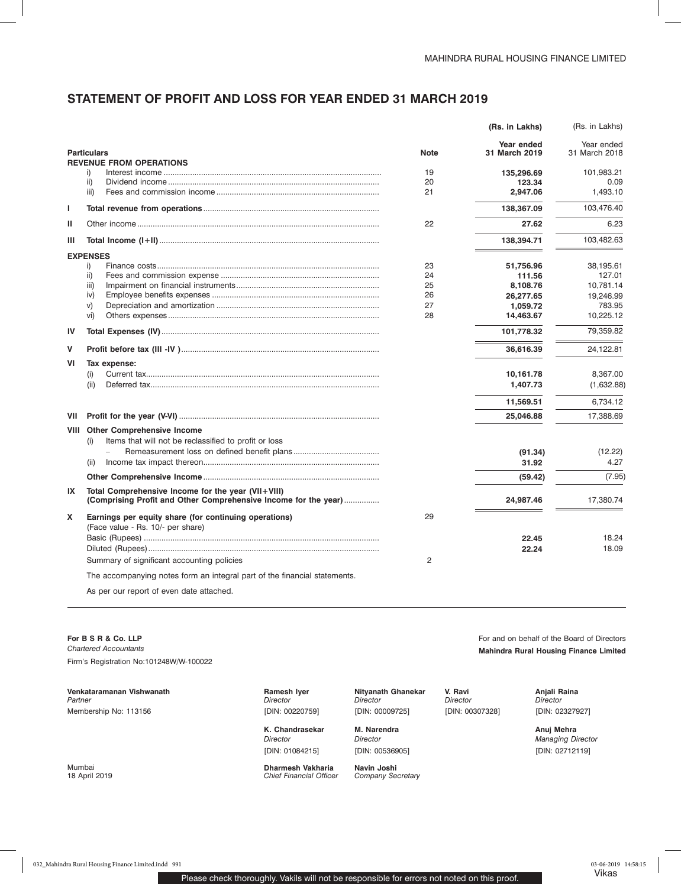## **STATEMENT OF PROFIT AND LOSS FOR YEAR ENDED 31 MARCH 2019**

|      |                                                                                                                       |             | (Rs. in Lakhs)              | (Rs. in Lakhs)              |
|------|-----------------------------------------------------------------------------------------------------------------------|-------------|-----------------------------|-----------------------------|
|      | <b>Particulars</b><br><b>REVENUE FROM OPERATIONS</b>                                                                  | <b>Note</b> | Year ended<br>31 March 2019 | Year ended<br>31 March 2018 |
|      | i)                                                                                                                    | 19          | 135,296.69                  | 101,983.21                  |
|      | ii)                                                                                                                   | 20          | 123.34                      | 0.09                        |
|      | iii)                                                                                                                  | 21          | 2,947.06                    | 1,493.10                    |
| L    |                                                                                                                       |             | 138,367.09                  | 103,476.40                  |
| ш    |                                                                                                                       | 22          | 27.62                       | 6.23                        |
| Ш    |                                                                                                                       |             | 138,394.71                  | 103,482.63                  |
|      | <b>EXPENSES</b>                                                                                                       |             |                             |                             |
|      | i)                                                                                                                    | 23          | 51,756.96                   | 38,195.61                   |
|      | ii)                                                                                                                   | 24          | 111.56                      | 127.01                      |
|      | iii)                                                                                                                  | 25          | 8.108.76                    | 10.781.14                   |
|      | iv)                                                                                                                   | 26          | 26,277.65                   | 19,246.99                   |
|      | V)                                                                                                                    | 27          | 1.059.72                    | 783.95                      |
|      | vi)                                                                                                                   | 28          | 14,463.67                   | 10,225.12                   |
| IV   |                                                                                                                       |             | 101,778.32                  | 79,359.82                   |
| v    |                                                                                                                       |             | 36,616.39                   | 24,122.81                   |
| VI   | Tax expense:                                                                                                          |             |                             |                             |
|      | (i)                                                                                                                   |             | 10,161.78                   | 8,367.00                    |
|      | (ii)                                                                                                                  |             | 1,407.73                    | (1,632.88)                  |
|      |                                                                                                                       |             | 11,569.51                   | 6,734.12                    |
| VII  |                                                                                                                       |             | 25,046.88                   | 17,388.69                   |
| VIII | <b>Other Comprehensive Income</b><br>Items that will not be reclassified to profit or loss<br>(i)                     |             |                             |                             |
|      |                                                                                                                       |             | (91.34)                     | (12.22)                     |
|      | (ii)                                                                                                                  |             | 31.92                       | 4.27                        |
|      |                                                                                                                       |             | (59.42)                     | (7.95)                      |
| IX   | Total Comprehensive Income for the year (VII+VIII)<br>(Comprising Profit and Other Comprehensive Income for the year) |             | 24,987.46                   | 17,380.74                   |
| X    | Earnings per equity share (for continuing operations)                                                                 | 29          |                             |                             |
|      | (Face value - Rs. 10/- per share)                                                                                     |             |                             |                             |
|      |                                                                                                                       |             | 22.45                       | 18.24                       |
|      |                                                                                                                       |             | 22.24                       | 18.09                       |
|      | Summary of significant accounting policies                                                                            | 2           |                             |                             |
|      | The accompanying notes form an integral part of the financial statements.                                             |             |                             |                             |
|      | As per our report of even date attached.                                                                              |             |                             |                             |

**For B S R & Co. LLP For and on behalf of the Board of Directors** *Chartered Accountants* **Mahindra Rural Housing Finance Limited** Firm's Registration No:101248W/W-100022

**Venkataramanan Vishwanath Ramesh Iyer Nityanath Ghanekar V. Ravi Anjali Raina** *Partner*  Membership No: 113156

*Director*  [DIN: 00220759]

K. Chandrasekar M. Narendra **Rakesh Amazthi Amazthi Anuj Mehra** *Director* [DIN: 01084215]

Mumbai **Dharmesh Vakharia Navin Joshi** 18 April 2019 *Chief Financial Officer Company Secretary*

*Director*  [DIN: 00009725]

*Director*  [DIN: 00307328] *Director*  [DIN: 02327927]

> *Managing Director* [DIN: 02712119]

[DIN: 00536905]

*Director*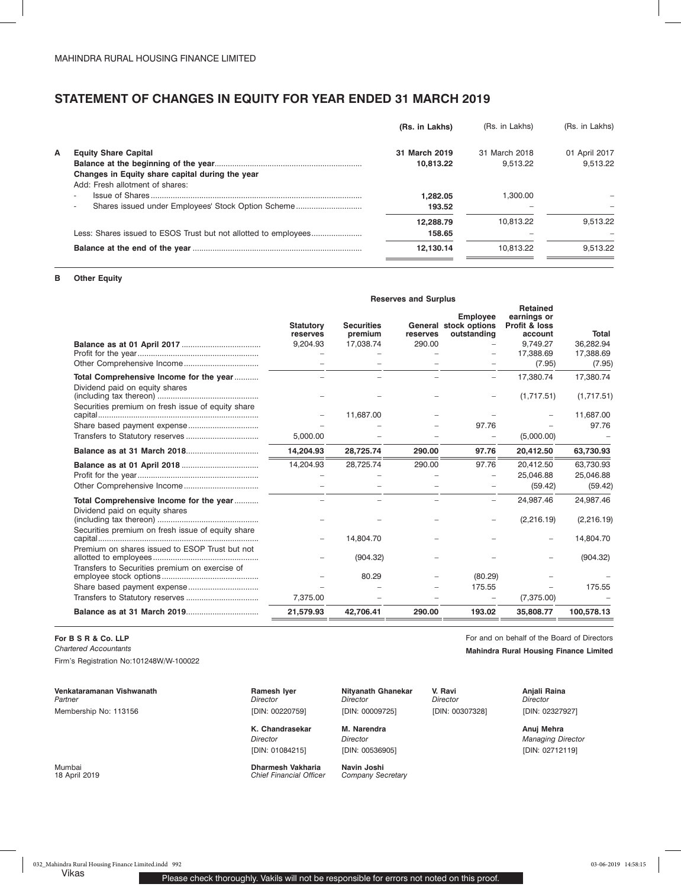## **STATEMENT OF CHANGES IN EQUITY FOR YEAR ENDED 31 MARCH 2019**

|   |                                                                                | (Rs. in Lakhs) | (Rs. in Lakhs) | (Rs. in Lakhs) |
|---|--------------------------------------------------------------------------------|----------------|----------------|----------------|
| А | <b>Equity Share Capital</b>                                                    | 31 March 2019  | 31 March 2018  | 01 April 2017  |
|   |                                                                                | 10.813.22      | 9.513.22       | 9.513.22       |
|   | Changes in Equity share capital during the year                                |                |                |                |
|   | Add: Fresh allotment of shares:                                                |                |                |                |
|   | $\overline{\phantom{a}}$                                                       | 1.282.05       | 1.300.00       |                |
|   | Shares issued under Employees' Stock Option Scheme<br>$\overline{\phantom{a}}$ | 193.52         |                |                |
|   |                                                                                | 12.288.79      | 10.813.22      | 9.513.22       |
|   | Less: Shares issued to ESOS Trust but not allotted to employees                | 158.65         |                |                |
|   |                                                                                | 12.130.14      | 10.813.22      | 9.513.22       |
|   |                                                                                |                |                |                |

## **B Other Equity**

|                                                                           | <b>Reserves and Surplus</b>  |                              |          |                                                         |                                                            |                     |
|---------------------------------------------------------------------------|------------------------------|------------------------------|----------|---------------------------------------------------------|------------------------------------------------------------|---------------------|
|                                                                           | <b>Statutory</b><br>reserves | <b>Securities</b><br>premium | reserves | <b>Employee</b><br>General stock options<br>outstanding | <b>Retained</b><br>earnings or<br>Profit & loss<br>account | Total               |
|                                                                           | 9,204.93                     | 17,038.74                    | 290.00   |                                                         | 9.749.27                                                   | 36,282.94           |
|                                                                           |                              |                              |          |                                                         | 17,388.69<br>(7.95)                                        | 17,388.69<br>(7.95) |
| Total Comprehensive Income for the year<br>Dividend paid on equity shares |                              |                              |          |                                                         | 17,380.74                                                  | 17,380.74           |
|                                                                           |                              |                              |          |                                                         | (1,717.51)                                                 | (1,717.51)          |
| Securities premium on fresh issue of equity share                         |                              | 11,687.00                    |          |                                                         |                                                            | 11,687.00           |
|                                                                           |                              |                              |          | 97.76                                                   |                                                            | 97.76               |
|                                                                           | 5,000.00                     |                              |          |                                                         | (5,000.00)                                                 |                     |
|                                                                           | 14,204.93                    | 28,725.74                    | 290.00   | 97.76                                                   | 20,412.50                                                  | 63,730.93           |
|                                                                           | 14.204.93                    | 28,725.74                    | 290.00   | 97.76                                                   | 20,412.50                                                  | 63,730.93           |
|                                                                           |                              |                              |          |                                                         | 25,046.88                                                  | 25,046.88           |
|                                                                           |                              |                              |          |                                                         | (59.42)                                                    | (59.42)             |
| Total Comprehensive Income for the year<br>Dividend paid on equity shares |                              |                              |          | $\overline{\phantom{0}}$                                | 24,987.46                                                  | 24,987.46           |
|                                                                           |                              |                              |          |                                                         | (2,216.19)                                                 | (2,216.19)          |
| Securities premium on fresh issue of equity share                         |                              | 14,804.70                    |          |                                                         |                                                            | 14,804.70           |
| Premium on shares issued to ESOP Trust but not                            |                              | (904.32)                     |          |                                                         |                                                            | (904.32)            |
| Transfers to Securities premium on exercise of                            |                              | 80.29                        |          | (80.29)                                                 |                                                            |                     |
|                                                                           |                              |                              |          | 175.55                                                  |                                                            | 175.55              |
|                                                                           | 7,375.00                     |                              |          |                                                         | (7,375.00)                                                 |                     |
|                                                                           | 21,579.93                    | 42,706.41                    | 290.00   | 193.02                                                  | 35,808.77                                                  | 100,578.13          |
|                                                                           |                              |                              |          |                                                         |                                                            |                     |

## **For B S R & Co. LLP For and on behalf of the Board of Directors**

Firm's Registration No:101248W/W-100022

**Venkataramanan Vishwanath Ramesh Iyer Nityanath Ghanekar V. Ravi Anjali Raina** *Partner*  Membership No: 113156

*Director*  [DIN: 00220759]

K. Chandrasekar M. Narendra **Rakesh Awasthi Amazthi Anuj Mehra** *Director* [DIN: 01084215]

Mumbai **Dharmesh Vakharia Navin Joshi Chief Financial Officer** 

*Director* 

*Director*  [DIN: 00307328]

[DIN: 00009725]

*Director*  [DIN: 00536905]

*Chartered Accountants* **Mahindra Rural Housing Finance Limited**

*Director*  [DIN: 02327927]

*Managing Director* [DIN: 02712119]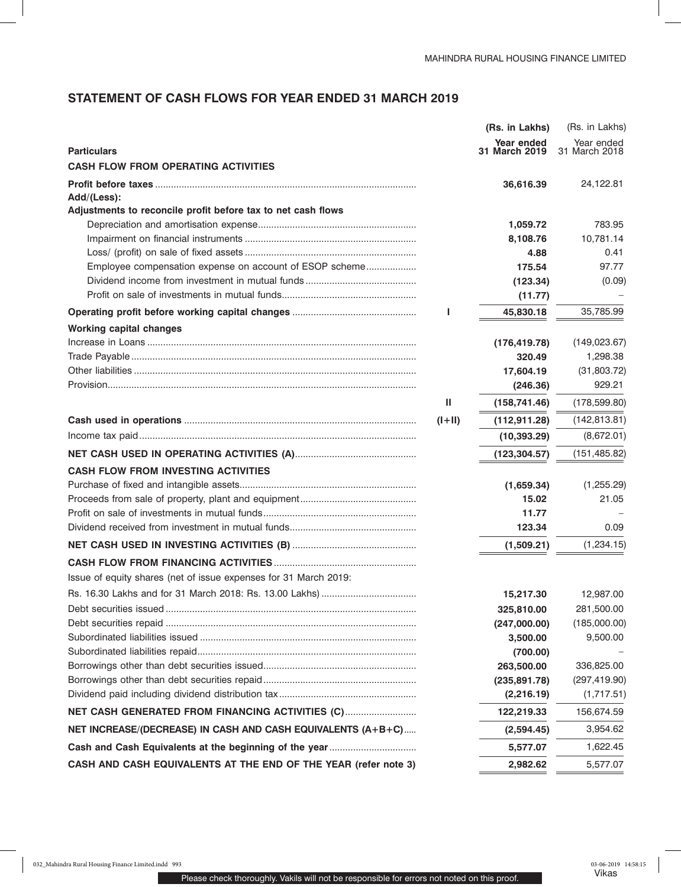# **STATEMENT OF CASH FLOWS FOR YEAR ENDED 31 MARCH 2019**

|                                                                  |          | (Rs. in Lakhs)              | (Rs. in Lakhs)              |
|------------------------------------------------------------------|----------|-----------------------------|-----------------------------|
| <b>Particulars</b>                                               |          | Year ended<br>31 March 2019 | Year ended<br>31 March 2018 |
| <b>CASH FLOW FROM OPERATING ACTIVITIES</b>                       |          |                             |                             |
|                                                                  |          | 36,616.39                   | 24,122.81                   |
| Add/(Less):                                                      |          |                             |                             |
| Adjustments to reconcile profit before tax to net cash flows     |          |                             |                             |
|                                                                  |          | 1,059.72                    | 783.95                      |
|                                                                  |          | 8,108.76                    | 10,781.14                   |
|                                                                  |          | 4.88                        | 0.41                        |
| Employee compensation expense on account of ESOP scheme          |          | 175.54                      | 97.77                       |
|                                                                  |          | (123.34)                    | (0.09)                      |
|                                                                  |          | (11.77)                     |                             |
|                                                                  |          | 45,830.18                   | 35,785.99                   |
| <b>Working capital changes</b>                                   |          |                             |                             |
|                                                                  |          | (176, 419.78)               | (149, 023.67)               |
|                                                                  |          | 320.49                      | 1,298.38                    |
|                                                                  |          | 17,604.19                   | (31,803.72)                 |
|                                                                  |          | (246.36)                    | 929.21                      |
|                                                                  | Ш        | (158, 741.46)               | (178, 599.80)               |
|                                                                  | $(I+II)$ | (112, 911.28)               | (142, 813.81)               |
|                                                                  |          | (10, 393.29)                | (8,672.01)                  |
|                                                                  |          | (123, 304.57)               | (151, 485.82)               |
| <b>CASH FLOW FROM INVESTING ACTIVITIES</b>                       |          |                             |                             |
|                                                                  |          | (1,659.34)                  | (1,255.29)                  |
|                                                                  |          | 15.02                       | 21.05                       |
|                                                                  |          | 11.77                       |                             |
|                                                                  |          | 123.34                      | 0.09                        |
|                                                                  |          | (1,509.21)                  | (1, 234.15)                 |
|                                                                  |          |                             |                             |
| Issue of equity shares (net of issue expenses for 31 March 2019: |          |                             |                             |
|                                                                  |          | 15,217.30                   | 12,987.00                   |
|                                                                  |          | 325,810.00                  | 281,500.00                  |
|                                                                  |          | (247,000.00)                | (185,000.00)                |
|                                                                  |          | 3,500.00                    | 9,500.00                    |
|                                                                  |          | (700.00)                    |                             |
|                                                                  |          | 263,500.00                  | 336,825.00                  |
|                                                                  |          | (235, 891.78)               | (297, 419.90)               |
|                                                                  |          | (2, 216.19)                 | (1,717.51)                  |
| NET CASH GENERATED FROM FINANCING ACTIVITIES (C)                 |          | 122,219.33                  | 156,674.59                  |
| NET INCREASE/(DECREASE) IN CASH AND CASH EQUIVALENTS (A+B+C)     |          | (2,594.45)                  | 3,954.62                    |
| Cash and Cash Equivalents at the beginning of the year           |          | 5,577.07                    | 1,622.45                    |
| CASH AND CASH EQUIVALENTS AT THE END OF THE YEAR (refer note 3)  |          | 2,982.62                    | 5,577.07                    |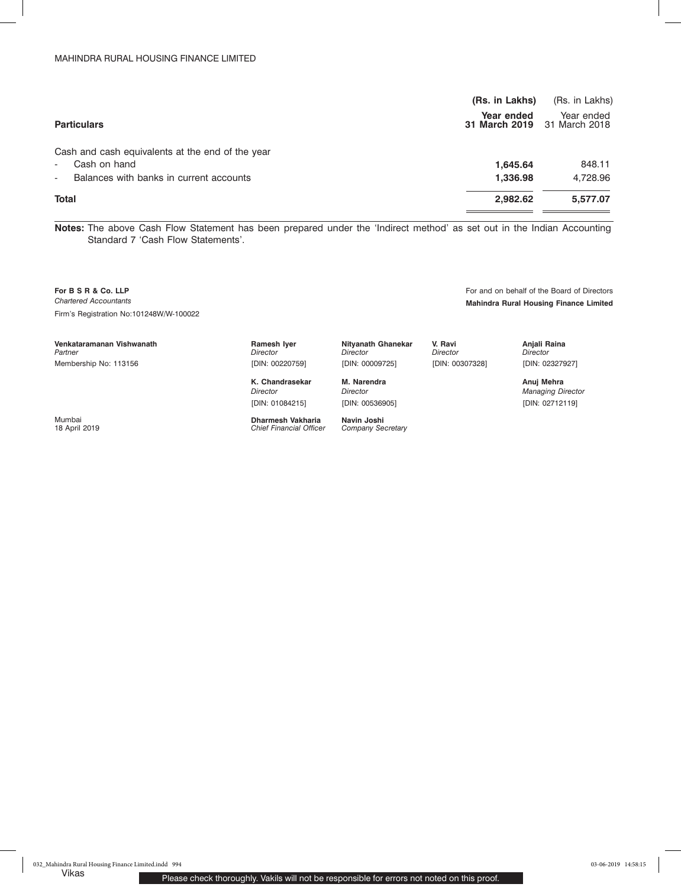| (Rs. in Lakhs) | (Rs. in Lakhs)                            |
|----------------|-------------------------------------------|
| Year ended     | Year ended<br>31 March 2019 31 March 2018 |
|                |                                           |
| 1.645.64       | 848.11                                    |
| 1,336.98       | 4,728.96                                  |
| 2,982.62       | 5,577.07                                  |
|                |                                           |

**Notes:** The above Cash Flow Statement has been prepared under the 'Indirect method' as set out in the Indian Accounting Standard 7 'Cash Flow Statements'.

**For B S R & Co. LLP For and on behalf of the Board of Directors For and on behalf of the Board of Directors** *Chartered Accountants* **Mahindra Rural Housing Finance Limited** Firm's Registration No:101248W/W-100022

**Venkataramanan Vishwanath Ramesh Iyer** Nityanath Ghanekar V. Ravi Ravi Ramesh Iyer

*Partner*  Membership No: 113156 *Director*  [DIN: 00220759]

*Director* [DIN: 01084215]

Mumbai **Dharmesh Vakharia Navin Joshi** 18 April 2019 *Chief Financial Officer Company Secretary*

[DIN: 00009725] K. Chandrasekar **M. Narendra Rayesh Amazthi Anuj Mehra** Anuj Mehra *Director* 

*Director* 

[DIN: 00536905]

*Director*  [DIN: 00307328]

[DIN: 02327927] *Managing Director*

[DIN: 02712119]

*Director*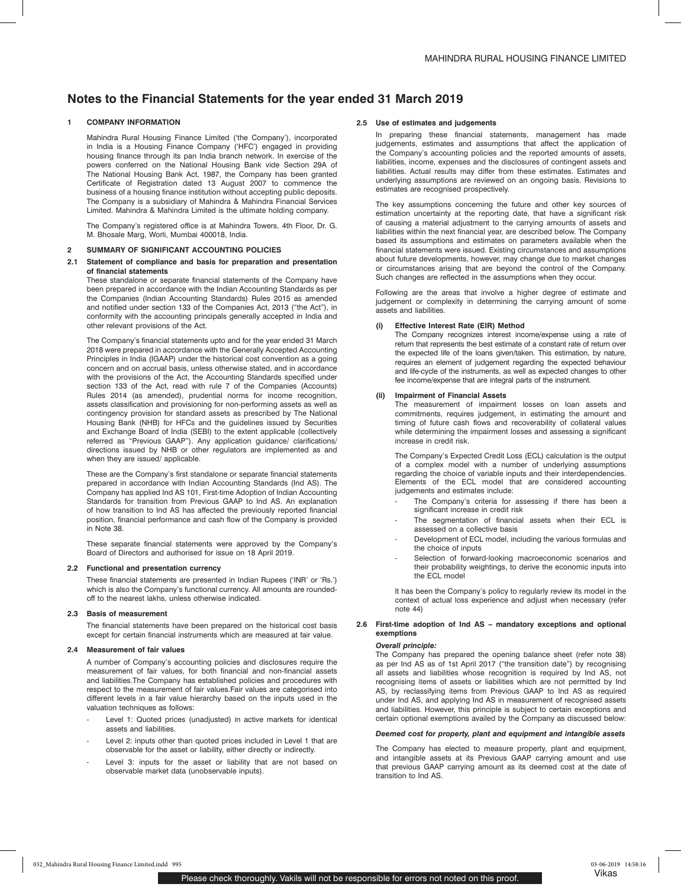## **1 COMPANY INFORMATION**

Mahindra Rural Housing Finance Limited ('the Company'), incorporated in India is a Housing Finance Company ('HFC') engaged in providing housing finance through its pan India branch network. In exercise of the powers conferred on the National Housing Bank vide Section 29A of The National Housing Bank Act, 1987, the Company has been granted Certificate of Registration dated 13 August 2007 to commence the business of a housing finance institution without accepting public deposits. The Company is a subsidiary of Mahindra & Mahindra Financial Services Limited. Mahindra & Mahindra Limited is the ultimate holding company.

The Company's registered office is at Mahindra Towers, 4th Floor, Dr. G. M. Bhosale Marg, Worli, Mumbai 400018, India.

### **2 SUMMARY OF SIGNIFICANT ACCOUNTING POLICIES**

#### **2.1 Statement of compliance and basis for preparation and presentation of financial statements**

These standalone or separate financial statements of the Company have been prepared in accordance with the Indian Accounting Standards as per the Companies (Indian Accounting Standards) Rules 2015 as amended and notified under section 133 of the Companies Act, 2013 ("the Act"), in conformity with the accounting principals generally accepted in India and other relevant provisions of the Act.

The Company's financial statements upto and for the year ended 31 March 2018 were prepared in accordance with the Generally Accepted Accounting Principles in India (IGAAP) under the historical cost convention as a going concern and on accrual basis, unless otherwise stated, and in accordance with the provisions of the Act, the Accounting Standards specified under section 133 of the Act, read with rule 7 of the Companies (Accounts) Rules 2014 (as amended), prudential norms for income recognition, assets classification and provisioning for non-performing assets as well as contingency provision for standard assets as prescribed by The National Housing Bank (NHB) for HFCs and the guidelines issued by Securities and Exchange Board of India (SEBI) to the extent applicable (collectively referred as "Previous GAAP"). Any application guidance/ clarifications/ directions issued by NHB or other regulators are implemented as and when they are issued/ applicable.

These are the Company's first standalone or separate financial statements prepared in accordance with Indian Accounting Standards (Ind AS). The Company has applied Ind AS 101, First-time Adoption of Indian Accounting Standards for transition from Previous GAAP to Ind AS. An explanation of how transition to Ind AS has affected the previously reported financial position, financial performance and cash flow of the Company is provided in Note 38.

These separate financial statements were approved by the Company's Board of Directors and authorised for issue on 18 April 2019.

### **2.2 Functional and presentation currency**

These financial statements are presented in Indian Rupees ('INR' or 'Rs.') which is also the Company's functional currency. All amounts are roundedoff to the nearest lakhs, unless otherwise indicated.

### **2.3 Basis of measurement**

The financial statements have been prepared on the historical cost basis except for certain financial instruments which are measured at fair value.

#### **2.4 Measurement of fair values**

A number of Company's accounting policies and disclosures require the measurement of fair values, for both financial and non-financial assets and liabilities.The Company has established policies and procedures with respect to the measurement of fair values.Fair values are categorised into different levels in a fair value hierarchy based on the inputs used in the valuation techniques as follows:

- Level 1: Quoted prices (unadjusted) in active markets for identical assets and liabilities.
- Level 2: inputs other than quoted prices included in Level 1 that are observable for the asset or liability, either directly or indirectly.
- Level 3: inputs for the asset or liability that are not based on observable market data (unobservable inputs).

#### **2.5 Use of estimates and judgements**

In preparing these financial statements, management has made judgements, estimates and assumptions that affect the application of the Company's accounting policies and the reported amounts of assets, liabilities, income, expenses and the disclosures of contingent assets and liabilities. Actual results may differ from these estimates. Estimates and underlying assumptions are reviewed on an ongoing basis. Revisions to estimates are recognised prospectively.

The key assumptions concerning the future and other key sources of estimation uncertainty at the reporting date, that have a significant risk of causing a material adjustment to the carrying amounts of assets and liabilities within the next financial year, are described below. The Company based its assumptions and estimates on parameters available when the financial statements were issued. Existing circumstances and assumptions about future developments, however, may change due to market changes or circumstances arising that are beyond the control of the Company. Such changes are reflected in the assumptions when they occur.

Following are the areas that involve a higher degree of estimate and judgement or complexity in determining the carrying amount of some assets and liabilities.

#### **(i) Effective Interest Rate (EIR) Method**

The Company recognizes interest income/expense using a rate of return that represents the best estimate of a constant rate of return over the expected life of the loans given/taken. This estimation, by nature, requires an element of judgement regarding the expected behaviour and life-cycle of the instruments, as well as expected changes to other fee income/expense that are integral parts of the instrument.

### **(ii) Impairment of Financial Assets**

The measurement of impairment losses on loan assets and commitments, requires judgement, in estimating the amount and timing of future cash flows and recoverability of collateral values while determining the impairment losses and assessing a significant increase in credit risk.

The Company's Expected Credit Loss (ECL) calculation is the output of a complex model with a number of underlying assumptions regarding the choice of variable inputs and their interdependencies. Elements of the ECL model that are considered accounting judgements and estimates include:

- The Company's criteria for assessing if there has been a significant increase in credit risk
- The segmentation of financial assets when their ECL is assessed on a collective basis
- Development of ECL model, including the various formulas and the choice of inputs
- Selection of forward-looking macroeconomic scenarios and their probability weightings, to derive the economic inputs into the ECL model

It has been the Company's policy to regularly review its model in the context of actual loss experience and adjust when necessary (refer note 44)

#### **2.6 First-time adoption of Ind AS – mandatory exceptions and optional exemptions**

### *Overall principle:*

The Company has prepared the opening balance sheet (refer note 38) as per Ind AS as of 1st April 2017 ("the transition date") by recognising all assets and liabilities whose recognition is required by Ind AS, not recognising items of assets or liabilities which are not permitted by Ind AS, by reclassifying items from Previous GAAP to Ind AS as required under Ind AS, and applying Ind AS in measurement of recognised assets and liabilities. However, this principle is subject to certain exceptions and certain optional exemptions availed by the Company as discussed below:

#### *Deemed cost for property, plant and equipment and intangible assets*

The Company has elected to measure property, plant and equipment, and intangible assets at its Previous GAAP carrying amount and use that previous GAAP carrying amount as its deemed cost at the date of transition to Ind AS.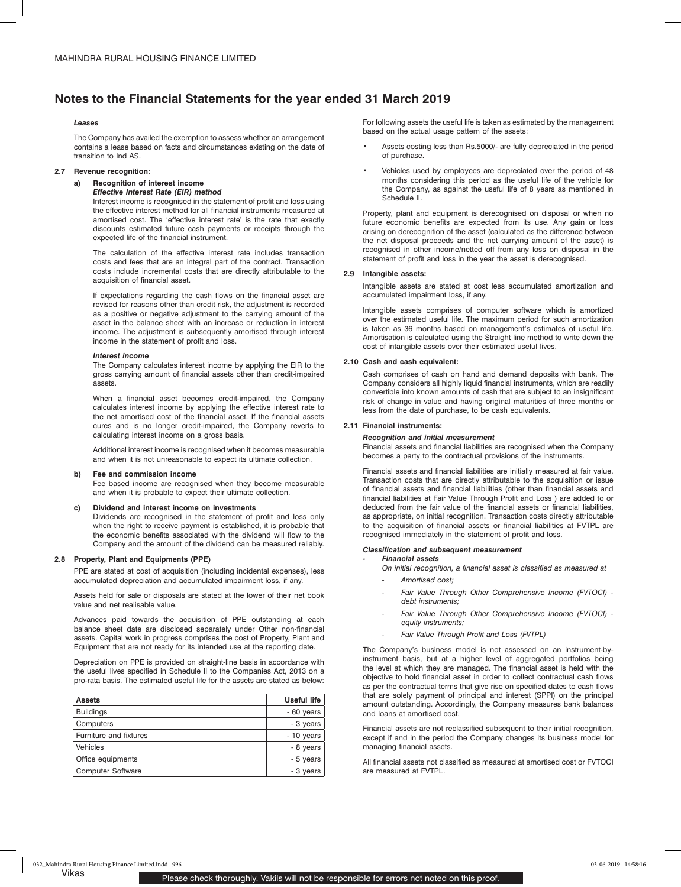### *Leases*

The Company has availed the exemption to assess whether an arrangement contains a lease based on facts and circumstances existing on the date of transition to Ind AS.

## **2.7 Revenue recognition:**

## **a) Recognition of interest income**

## *Effective Interest Rate (EIR) method*

Interest income is recognised in the statement of profit and loss using the effective interest method for all financial instruments measured at amortised cost. The 'effective interest rate' is the rate that exactly discounts estimated future cash payments or receipts through the expected life of the financial instrument.

The calculation of the effective interest rate includes transaction costs and fees that are an integral part of the contract. Transaction costs include incremental costs that are directly attributable to the acquisition of financial asset.

If expectations regarding the cash flows on the financial asset are revised for reasons other than credit risk, the adjustment is recorded as a positive or negative adjustment to the carrying amount of the asset in the balance sheet with an increase or reduction in interest income. The adjustment is subsequently amortised through interest income in the statement of profit and loss.

#### *Interest income*

The Company calculates interest income by applying the EIR to the gross carrying amount of financial assets other than credit-impaired assets.

When a financial asset becomes credit-impaired, the Company calculates interest income by applying the effective interest rate to the net amortised cost of the financial asset. If the financial assets cures and is no longer credit-impaired, the Company reverts to calculating interest income on a gross basis.

Additional interest income is recognised when it becomes measurable and when it is not unreasonable to expect its ultimate collection.

## **b) Fee and commission income**

Fee based income are recognised when they become measurable and when it is probable to expect their ultimate collection.

## **c) Dividend and interest income on investments**

Dividends are recognised in the statement of profit and loss only when the right to receive payment is established, it is probable that the economic benefits associated with the dividend will flow to the Company and the amount of the dividend can be measured reliably.

#### **2.8 Property, Plant and Equipments (PPE)**

PPE are stated at cost of acquisition (including incidental expenses), less accumulated depreciation and accumulated impairment loss, if any.

Assets held for sale or disposals are stated at the lower of their net book value and net realisable value.

Advances paid towards the acquisition of PPE outstanding at each balance sheet date are disclosed separately under Other non-financial assets. Capital work in progress comprises the cost of Property, Plant and Equipment that are not ready for its intended use at the reporting date.

Depreciation on PPE is provided on straight-line basis in accordance with the useful lives specified in Schedule II to the Companies Act, 2013 on a pro-rata basis. The estimated useful life for the assets are stated as below:

| <b>Assets</b>            | <b>Useful life</b> |
|--------------------------|--------------------|
| <b>Buildings</b>         | - 60 years         |
| Computers                | - 3 years          |
| Furniture and fixtures   | $-10$ years        |
| Vehicles                 | - 8 years          |
| Office equipments        | - 5 years          |
| <b>Computer Software</b> | - 3 years          |

For following assets the useful life is taken as estimated by the management based on the actual usage pattern of the assets:

- Assets costing less than Rs.5000/- are fully depreciated in the period of purchase.
- Vehicles used by employees are depreciated over the period of 48 months considering this period as the useful life of the vehicle for the Company, as against the useful life of 8 years as mentioned in Schedule II.

Property, plant and equipment is derecognised on disposal or when no future economic benefits are expected from its use. Any gain or loss arising on derecognition of the asset (calculated as the difference between the net disposal proceeds and the net carrying amount of the asset) is recognised in other income/netted off from any loss on disposal in the statement of profit and loss in the year the asset is derecognised.

#### **2.9 Intangible assets:**

Intangible assets are stated at cost less accumulated amortization and accumulated impairment loss, if any.

Intangible assets comprises of computer software which is amortized over the estimated useful life. The maximum period for such amortization is taken as 36 months based on management's estimates of useful life. Amortisation is calculated using the Straight line method to write down the cost of intangible assets over their estimated useful lives.

#### **2.10 Cash and cash equivalent:**

Cash comprises of cash on hand and demand deposits with bank. The Company considers all highly liquid financial instruments, which are readily convertible into known amounts of cash that are subject to an insignificant risk of change in value and having original maturities of three months or less from the date of purchase, to be cash equivalents.

#### **2.11 Financial instruments:**

### *Recognition and initial measurement*

Financial assets and financial liabilities are recognised when the Company becomes a party to the contractual provisions of the instruments.

Financial assets and financial liabilities are initially measured at fair value. Transaction costs that are directly attributable to the acquisition or issue of financial assets and financial liabilities (other than financial assets and financial liabilities at Fair Value Through Profit and Loss ) are added to or deducted from the fair value of the financial assets or financial liabilities, as appropriate, on initial recognition. Transaction costs directly attributable to the acquisition of financial assets or financial liabilities at FVTPL are recognised immediately in the statement of profit and loss.

#### *Classification and subsequent measurement*

#### *- Financial assets*

- *On initial recognition, a financial asset is classified as measured at*
- *- Amortised cost;*
- *Fair Value Through Other Comprehensive Income (FVTOCI) debt instruments;*
- *Fair Value Through Other Comprehensive Income (FVTOCI) equity instruments;*
- *- Fair Value Through Profit and Loss (FVTPL)*

The Company's business model is not assessed on an instrument-byinstrument basis, but at a higher level of aggregated portfolios being the level at which they are managed. The financial asset is held with the objective to hold financial asset in order to collect contractual cash flows as per the contractual terms that give rise on specified dates to cash flows that are solely payment of principal and interest (SPPI) on the principal amount outstanding. Accordingly, the Company measures bank balances and loans at amortised cost.

Financial assets are not reclassified subsequent to their initial recognition, except if and in the period the Company changes its business model for managing financial assets.

All financial assets not classified as measured at amortised cost or FVTOCI are measured at FVTPL.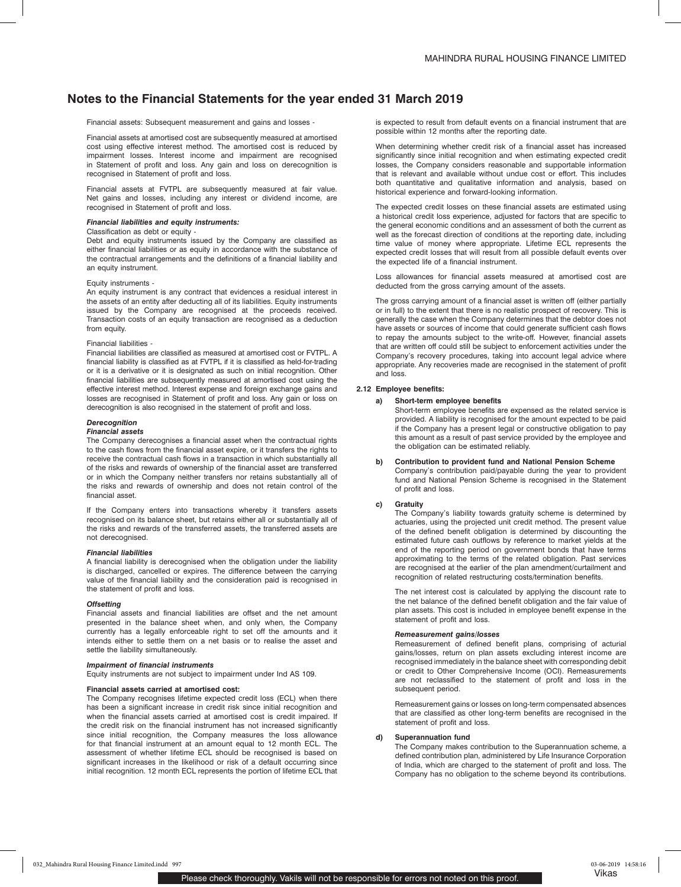Financial assets: Subsequent measurement and gains and losses -

Financial assets at amortised cost are subsequently measured at amortised cost using effective interest method. The amortised cost is reduced by impairment losses. Interest income and impairment are recognised in Statement of profit and loss. Any gain and loss on derecognition is recognised in Statement of profit and loss.

Financial assets at FVTPL are subsequently measured at fair value. Net gains and losses, including any interest or dividend income, are recognised in Statement of profit and loss.

#### *Financial liabilities and equity instruments:*

## Classification as debt or equity -

Debt and equity instruments issued by the Company are classified as either financial liabilities or as equity in accordance with the substance of the contractual arrangements and the definitions of a financial liability and an equity instrument.

#### Equity instruments -

An equity instrument is any contract that evidences a residual interest in the assets of an entity after deducting all of its liabilities. Equity instruments issued by the Company are recognised at the proceeds received. Transaction costs of an equity transaction are recognised as a deduction from equity.

#### Financial liabilities -

Financial liabilities are classified as measured at amortised cost or FVTPL. A financial liability is classified as at FVTPL if it is classified as held-for-trading or it is a derivative or it is designated as such on initial recognition. Other financial liabilities are subsequently measured at amortised cost using the effective interest method. Interest expense and foreign exchange gains and losses are recognised in Statement of profit and loss. Any gain or loss on derecognition is also recognised in the statement of profit and loss.

## *Derecognition*

#### *Financial assets*

The Company derecognises a financial asset when the contractual rights to the cash flows from the financial asset expire, or it transfers the rights to receive the contractual cash flows in a transaction in which substantially all of the risks and rewards of ownership of the financial asset are transferred or in which the Company neither transfers nor retains substantially all of the risks and rewards of ownership and does not retain control of the financial asset.

If the Company enters into transactions whereby it transfers assets recognised on its balance sheet, but retains either all or substantially all of the risks and rewards of the transferred assets, the transferred assets are not derecognised.

#### *Financial liabilities*

A financial liability is derecognised when the obligation under the liability is discharged, cancelled or expires. The difference between the carrying value of the financial liability and the consideration paid is recognised in the statement of profit and loss.

## *Offsetting*

Financial assets and financial liabilities are offset and the net amount presented in the balance sheet when, and only when, the Company currently has a legally enforceable right to set off the amounts and it intends either to settle them on a net basis or to realise the asset and settle the liability simultaneously.

#### *Impairment of financial instruments*

Equity instruments are not subject to impairment under Ind AS 109.

#### **Financial assets carried at amortised cost:**

The Company recognises lifetime expected credit loss (ECL) when there has been a significant increase in credit risk since initial recognition and when the financial assets carried at amortised cost is credit impaired. If the credit risk on the financial instrument has not increased significantly since initial recognition, the Company measures the loss allowance for that financial instrument at an amount equal to 12 month ECL. The assessment of whether lifetime ECL should be recognised is based on significant increases in the likelihood or risk of a default occurring since initial recognition. 12 month ECL represents the portion of lifetime ECL that is expected to result from default events on a financial instrument that are possible within 12 months after the reporting date.

When determining whether credit risk of a financial asset has increased significantly since initial recognition and when estimating expected credit losses, the Company considers reasonable and supportable information that is relevant and available without undue cost or effort. This includes both quantitative and qualitative information and analysis, based on historical experience and forward-looking information.

The expected credit losses on these financial assets are estimated using a historical credit loss experience, adjusted for factors that are specific to the general economic conditions and an assessment of both the current as well as the forecast direction of conditions at the reporting date, including time value of money where appropriate. Lifetime ECL represents the expected credit losses that will result from all possible default events over the expected life of a financial instrument.

Loss allowances for financial assets measured at amortised cost are deducted from the gross carrying amount of the assets.

The gross carrying amount of a financial asset is written off (either partially or in full) to the extent that there is no realistic prospect of recovery. This is generally the case when the Company determines that the debtor does not have assets or sources of income that could generate sufficient cash flows to repay the amounts subject to the write-off. However, financial assets that are written off could still be subject to enforcement activities under the Company's recovery procedures, taking into account legal advice where appropriate. Any recoveries made are recognised in the statement of profit and loss.

#### **2.12 Employee benefits:**

### **a) Short-term employee benefits**

Short-term employee benefits are expensed as the related service is provided. A liability is recognised for the amount expected to be paid if the Company has a present legal or constructive obligation to pay this amount as a result of past service provided by the employee and the obligation can be estimated reliably.

#### **b) Contribution to provident fund and National Pension Scheme**

Company's contribution paid/payable during the year to provident fund and National Pension Scheme is recognised in the Statement of profit and loss.

## **c) Gratuity**

The Company's liability towards gratuity scheme is determined by actuaries, using the projected unit credit method. The present value of the defined benefit obligation is determined by discounting the estimated future cash outflows by reference to market yields at the end of the reporting period on government bonds that have terms approximating to the terms of the related obligation. Past services are recognised at the earlier of the plan amendment/curtailment and recognition of related restructuring costs/termination benefits.

The net interest cost is calculated by applying the discount rate to the net balance of the defined benefit obligation and the fair value of plan assets. This cost is included in employee benefit expense in the statement of profit and loss.

## *Remeasurement gains/losses*

Remeasurement of defined benefit plans, comprising of acturial gains/losses, return on plan assets excluding interest income are recognised immediately in the balance sheet with corresponding debit or credit to Other Comprehensive Income (OCI). Remeasurements are not reclassified to the statement of profit and loss in the subsequent period.

Remeasurement gains or losses on long-term compensated absences that are classified as other long-term benefits are recognised in the statement of profit and loss.

#### **d) Superannuation fund**

The Company makes contribution to the Superannuation scheme, a defined contribution plan, administered by Life Insurance Corporation of India, which are charged to the statement of profit and loss. The Company has no obligation to the scheme beyond its contributions.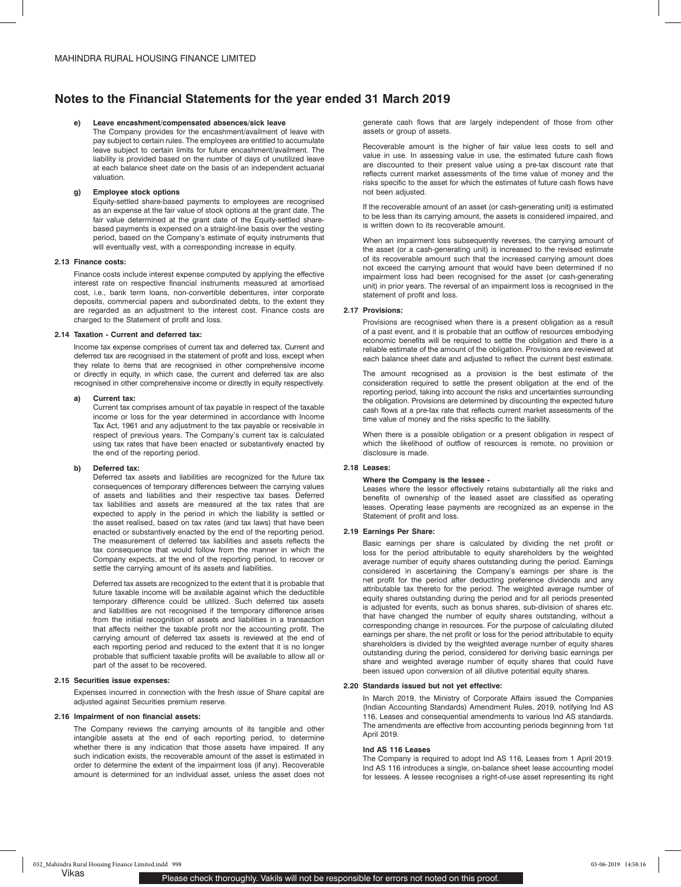#### **e) Leave encashment/compensated absences/sick leave**

The Company provides for the encashment/availment of leave with pay subject to certain rules. The employees are entitled to accumulate leave subject to certain limits for future encashment/availment. The liability is provided based on the number of days of unutilized leave at each balance sheet date on the basis of an independent actuarial valuation.

## **g) Employee stock options**

Equity-settled share-based payments to employees are recognised as an expense at the fair value of stock options at the grant date. The fair value determined at the grant date of the Equity-settled sharebased payments is expensed on a straight-line basis over the vesting period, based on the Company's estimate of equity instruments that will eventually vest, with a corresponding increase in equity.

#### **2.13 Finance costs:**

Finance costs include interest expense computed by applying the effective interest rate on respective financial instruments measured at amortised cost, i.e., bank term loans, non-convertible debentures, inter corporate deposits, commercial papers and subordinated debts, to the extent they are regarded as an adjustment to the interest cost. Finance costs are charged to the Statement of profit and loss.

## **2.14 Taxation - Current and deferred tax:**

Income tax expense comprises of current tax and deferred tax. Current and deferred tax are recognised in the statement of profit and loss, except when they relate to items that are recognised in other comprehensive income or directly in equity, in which case, the current and deferred tax are also recognised in other comprehensive income or directly in equity respectively.

#### **a) Current tax:**

Current tax comprises amount of tax payable in respect of the taxable income or loss for the year determined in accordance with Income Tax Act, 1961 and any adjustment to the tax payable or receivable in respect of previous years. The Company's current tax is calculated using tax rates that have been enacted or substantively enacted by the end of the reporting period.

#### **b) Deferred tax:**

Deferred tax assets and liabilities are recognized for the future tax consequences of temporary differences between the carrying values of assets and liabilities and their respective tax bases. Deferred tax liabilities and assets are measured at the tax rates that are expected to apply in the period in which the liability is settled or the asset realised, based on tax rates (and tax laws) that have been enacted or substantively enacted by the end of the reporting period. The measurement of deferred tax liabilities and assets reflects the tax consequence that would follow from the manner in which the Company expects, at the end of the reporting period, to recover or settle the carrying amount of its assets and liabilities.

Deferred tax assets are recognized to the extent that it is probable that future taxable income will be available against which the deductible temporary difference could be utilized. Such deferred tax assets and liabilities are not recognised if the temporary difference arises from the initial recognition of assets and liabilities in a transaction that affects neither the taxable profit nor the accounting profit. The carrying amount of deferred tax assets is reviewed at the end of each reporting period and reduced to the extent that it is no longer probable that sufficient taxable profits will be available to allow all or part of the asset to be recovered.

#### **2.15 Securities issue expenses:**

Expenses incurred in connection with the fresh issue of Share capital are adjusted against Securities premium reserve.

#### **2.16 Impairment of non financial assets:**

The Company reviews the carrying amounts of its tangible and other intangible assets at the end of each reporting period, to determine whether there is any indication that those assets have impaired. If any such indication exists, the recoverable amount of the asset is estimated in order to determine the extent of the impairment loss (if any). Recoverable amount is determined for an individual asset, unless the asset does not

generate cash flows that are largely independent of those from other assets or group of assets.

Recoverable amount is the higher of fair value less costs to sell and value in use. In assessing value in use, the estimated future cash flows are discounted to their present value using a pre-tax discount rate that reflects current market assessments of the time value of money and the risks specific to the asset for which the estimates of future cash flows have not been adjusted.

If the recoverable amount of an asset (or cash-generating unit) is estimated to be less than its carrying amount, the assets is considered impaired, and is written down to its recoverable amount.

When an impairment loss subsequently reverses, the carrying amount of the asset (or a cash-generating unit) is increased to the revised estimate of its recoverable amount such that the increased carrying amount does not exceed the carrying amount that would have been determined if no impairment loss had been recognised for the asset (or cash-generating unit) in prior years. The reversal of an impairment loss is recognised in the statement of profit and loss.

## **2.17 Provisions:**

Provisions are recognised when there is a present obligation as a result of a past event, and it is probable that an outflow of resources embodying economic benefits will be required to settle the obligation and there is a reliable estimate of the amount of the obligation. Provisions are reviewed at each balance sheet date and adjusted to reflect the current best estimate.

The amount recognised as a provision is the best estimate of the consideration required to settle the present obligation at the end of the reporting period, taking into account the risks and uncertainties surrounding the obligation. Provisions are determined by discounting the expected future cash flows at a pre-tax rate that reflects current market assessments of the time value of money and the risks specific to the liability.

When there is a possible obligation or a present obligation in respect of which the likelihood of outflow of resources is remote, no provision or disclosure is made.

#### **2.18 Leases:**

#### **Where the Company is the lessee -**

Leases where the lessor effectively retains substantially all the risks and benefits of ownership of the leased asset are classified as operating leases. Operating lease payments are recognized as an expense in the Statement of profit and loss.

### **2.19 Earnings Per Share:**

Basic earnings per share is calculated by dividing the net profit or loss for the period attributable to equity shareholders by the weighted average number of equity shares outstanding during the period. Earnings considered in ascertaining the Company's earnings per share is the net profit for the period after deducting preference dividends and any attributable tax thereto for the period. The weighted average number of equity shares outstanding during the period and for all periods presented is adjusted for events, such as bonus shares, sub-division of shares etc. that have changed the number of equity shares outstanding, without a corresponding change in resources. For the purpose of calculating diluted earnings per share, the net profit or loss for the period attributable to equity shareholders is divided by the weighted average number of equity shares outstanding during the period, considered for deriving basic earnings per share and weighted average number of equity shares that could have been issued upon conversion of all dilutive potential equity shares.

#### **2.20 Standards issued but not yet effective:**

In March 2019, the Ministry of Corporate Affairs issued the Companies (Indian Accounting Standards) Amendment Rules, 2019, notifying Ind AS 116, Leases and consequential amendments to various Ind AS standards. The amendments are effective from accounting periods beginning from 1st April 2019.

#### **Ind AS 116 Leases**

The Company is required to adopt Ind AS 116, Leases from 1 April 2019. Ind AS 116 introduces a single, on-balance sheet lease accounting model for lessees. A lessee recognises a right-of-use asset representing its right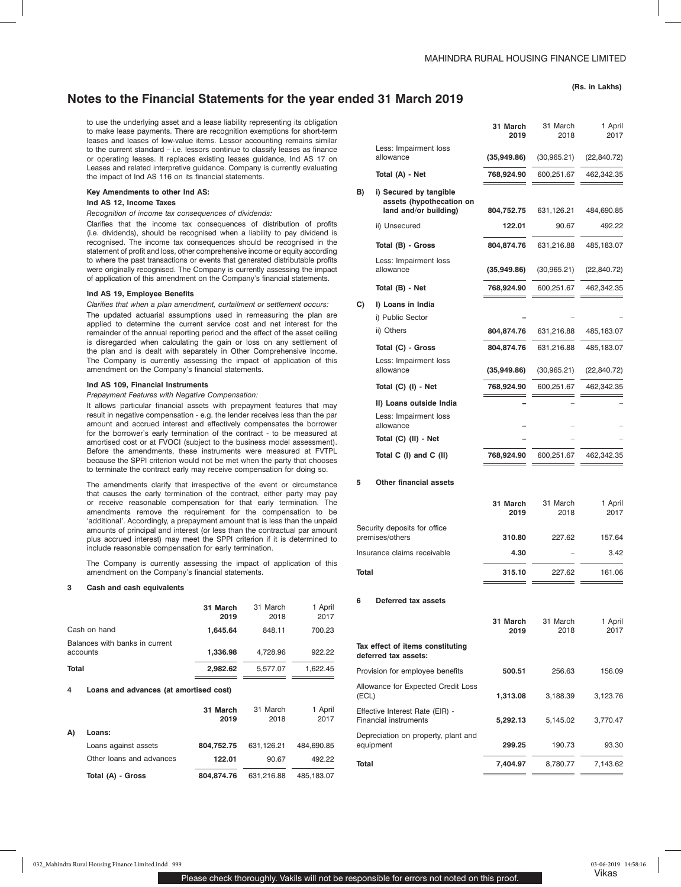to use the underlying asset and a lease liability representing its obligation to make lease payments. There are recognition exemptions for short-term leases and leases of low-value items. Lessor accounting remains similar to the current standard – i.e. lessors continue to classify leases as finance or operating leases. It replaces existing leases guidance, Ind AS 17 on Leases and related interpretive guidance. Company is currently evaluating the impact of Ind AS 116 on its financial statements.

### **Key Amendments to other Ind AS:**

### **Ind AS 12, Income Taxes**

*Recognition of income tax consequences of dividends:*

Clarifies that the income tax consequences of distribution of profits (i.e. dividends), should be recognised when a liability to pay dividend is recognised. The income tax consequences should be recognised in the statement of profit and loss, other comprehensive income or equity according to where the past transactions or events that generated distributable profits were originally recognised. The Company is currently assessing the impact of application of this amendment on the Company's financial statements.

#### **Ind AS 19, Employee Benefits**

*Clarifies that when a plan amendment, curtailment or settlement occurs:*

The updated actuarial assumptions used in remeasuring the plan are applied to determine the current service cost and net interest for the remainder of the annual reporting period and the effect of the asset ceiling is disregarded when calculating the gain or loss on any settlement of the plan and is dealt with separately in Other Comprehensive Income. The Company is currently assessing the impact of application of this amendment on the Company's financial statements.

## **Ind AS 109, Financial Instruments**

*Prepayment Features with Negative Compensation:*

It allows particular financial assets with prepayment features that may result in negative compensation - e.g. the lender receives less than the par amount and accrued interest and effectively compensates the borrower for the borrower's early termination of the contract - to be measured at amortised cost or at FVOCI (subject to the business model assessment). Before the amendments, these instruments were measured at FVTPL because the SPPI criterion would not be met when the party that chooses to terminate the contract early may receive compensation for doing so.

The amendments clarify that irrespective of the event or circumstance that causes the early termination of the contract, either party may pay or receive reasonable compensation for that early termination. The amendments remove the requirement for the compensation to be 'additional'. Accordingly, a prepayment amount that is less than the unpaid amounts of principal and interest (or less than the contractual par amount plus accrued interest) may meet the SPPI criterion if it is determined to include reasonable compensation for early termination.

The Company is currently assessing the impact of application of this amendment on the Company's financial statements.

### **3 Cash and cash equivalents**

|                                             | 31 March<br>2019 | 31 March<br>2018 | 1 April<br>2017 |
|---------------------------------------------|------------------|------------------|-----------------|
| Cash on hand                                | 1,645.64         | 848.11           | 700.23          |
| Balances with banks in current<br>accounts  | 1,336.98         | 4,728.96         | 922.22          |
| Total                                       | 2,982.62         | 5,577.07         | 1,622.45        |
| Loans and advances (at amortised cost)<br>4 |                  |                  |                 |
|                                             | 31 March<br>2019 | 31 March<br>2018 | 1 April<br>2017 |
| A)<br>Loans:                                |                  |                  |                 |
| Loans against assets                        | 804,752.75       | 631,126.21       | 484,690.85      |
| Other loans and advances                    | 122.01           | 90.67            | 492.22          |

**Total (A) - Gross 804,874.76** 631,216.88 485,183.07

|    |                                                                             | 31 March<br>2019 | 31 March<br>2018 | 1 April<br>2017 |
|----|-----------------------------------------------------------------------------|------------------|------------------|-----------------|
|    | Less: Impairment loss                                                       |                  |                  |                 |
|    | allowance                                                                   | (35,949.86)      | (30, 965.21)     | (22, 840.72)    |
|    | Total (A) - Net                                                             | 768,924.90       | 600,251.67       | 462,342.35      |
| B) | i) Secured by tangible<br>assets (hypothecation on<br>land and/or building) | 804,752.75       | 631,126.21       | 484,690.85      |
|    | ii) Unsecured                                                               | 122.01           | 90.67            | 492.22          |
|    | Total (B) - Gross                                                           | 804,874.76       | 631,216.88       | 485,183.07      |
|    | Less: Impairment loss<br>allowance                                          | (35,949.86)      | (30, 965.21)     | (22, 840.72)    |
|    | Total (B) - Net                                                             | 768,924.90       | 600,251.67       | 462,342.35      |
| C) | I) Loans in India                                                           |                  |                  |                 |
|    | i) Public Sector                                                            |                  |                  |                 |
|    | ii) Others                                                                  | 804,874.76       | 631,216.88       | 485,183.07      |
|    | Total (C) - Gross                                                           | 804,874.76       | 631,216.88       | 485,183.07      |
|    | Less: Impairment loss<br>allowance                                          | (35,949.86)      | (30, 965.21)     | (22, 840.72)    |
|    | Total (C) (I) - Net                                                         | 768,924.90       | 600,251.67       | 462,342.35      |
|    | II) Loans outside India                                                     |                  |                  |                 |
|    | Less: Impairment loss<br>allowance                                          |                  |                  |                 |
|    | Total (C) (II) - Net                                                        |                  |                  |                 |
|    | Total C (I) and C (II)                                                      | 768,924.90       | 600,251.67       | 462,342.35      |
|    |                                                                             |                  |                  |                 |

## **5 Other financial assets**

|                                                 | 31 March<br>2019 | 31 March<br>2018 | 1 April<br>2017 |
|-------------------------------------------------|------------------|------------------|-----------------|
| Security deposits for office<br>premises/others | 310.80           | 227.62           | 157.64          |
| Insurance claims receivable                     | 4.30             |                  | 3.42            |
| Total                                           | 315.10           | 227.62           | 161.06          |

#### **6 Deferred tax assets**

|                                                          | 31 March<br>2019 | 31 March<br>2018 | 1 April<br>2017 |
|----------------------------------------------------------|------------------|------------------|-----------------|
| Tax effect of items constituting<br>deferred tax assets: |                  |                  |                 |
| Provision for employee benefits                          | 500.51           | 256.63           | 156.09          |
| Allowance for Expected Credit Loss<br>(ECL)              | 1,313.08         | 3,188.39         | 3,123.76        |
| Effective Interest Rate (EIR) -<br>Financial instruments | 5,292.13         | 5.145.02         | 3.770.47        |
| Depreciation on property, plant and<br>equipment         | 299.25           | 190.73           | 93.30           |
| Total                                                    | 7,404.97         | 8,780.77         | 7,143.62        |
|                                                          |                  |                  |                 |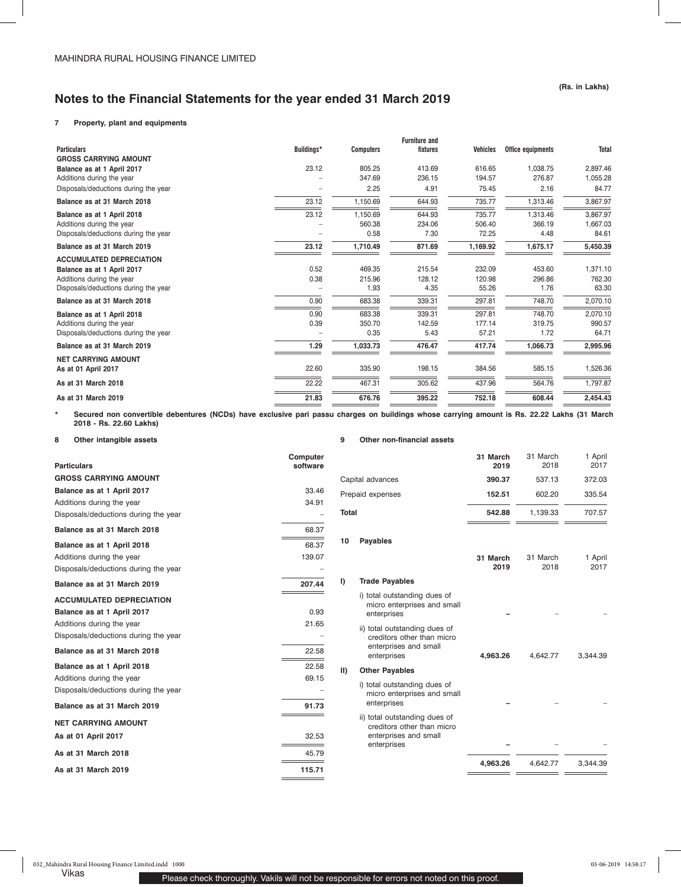## **7 Property, plant and equipments**

|                                      |            |                  | <b>Furniture and</b> |                 |                   |              |
|--------------------------------------|------------|------------------|----------------------|-----------------|-------------------|--------------|
| <b>Particulars</b>                   | Buildings* | <b>Computers</b> | fixtures             | <b>Vehicles</b> | Office equipments | <b>Total</b> |
| <b>GROSS CARRYING AMOUNT</b>         |            |                  |                      |                 |                   |              |
| Balance as at 1 April 2017           | 23.12      | 805.25           | 413.69               | 616.65          | 1,038.75          | 2,897.46     |
| Additions during the year            |            | 347.69           | 236.15               | 194.57          | 276.87            | 1,055.28     |
| Disposals/deductions during the year | ۰          | 2.25             | 4.91                 | 75.45           | 2.16              | 84.77        |
| Balance as at 31 March 2018          | 23.12      | 1,150.69         | 644.93               | 735.77          | 1,313.46          | 3,867.97     |
| Balance as at 1 April 2018           | 23.12      | 1,150.69         | 644.93               | 735.77          | 1,313.46          | 3,867.97     |
| Additions during the year            |            | 560.38           | 234.06               | 506.40          | 366.19            | 1,667.03     |
| Disposals/deductions during the year |            | 0.58             | 7.30                 | 72.25           | 4.48              | 84.61        |
| Balance as at 31 March 2019          | 23.12      | 1,710.49         | 871.69               | 1,169.92        | 1,675.17          | 5,450.39     |
| <b>ACCUMULATED DEPRECIATION</b>      |            |                  |                      |                 |                   |              |
| Balance as at 1 April 2017           | 0.52       | 469.35           | 215.54               | 232.09          | 453.60            | 1,371.10     |
| Additions during the year            | 0.38       | 215.96           | 128.12               | 120.98          | 296.86            | 762.30       |
| Disposals/deductions during the year |            | 1.93             | 4.35                 | 55.26           | 1.76              | 63.30        |
| Balance as at 31 March 2018          | 0.90       | 683.38           | 339.31               | 297.81          | 748.70            | 2,070.10     |
| Balance as at 1 April 2018           | 0.90       | 683.38           | 339.31               | 297.81          | 748.70            | 2,070.10     |
| Additions during the year            | 0.39       | 350.70           | 142.59               | 177.14          | 319.75            | 990.57       |
| Disposals/deductions during the year |            | 0.35             | 5.43                 | 57.21           | 1.72              | 64.71        |
| Balance as at 31 March 2019          | 1.29       | 1,033.73         | 476.47               | 417.74          | 1,066.73          | 2,995.96     |
| <b>NET CARRYING AMOUNT</b>           |            |                  |                      |                 |                   |              |
| As at 01 April 2017                  | 22.60      | 335.90           | 198.15               | 384.56          | 585.15            | 1,526.36     |
| As at 31 March 2018                  | 22.22      | 467.31           | 305.62               | 437.96          | 564.76            | 1,797.87     |
| As at 31 March 2019                  | 21.83      | 676.76           | 395.22               | 752.18          | 608.44            | 2,454.43     |
|                                      |            |                  |                      |                 |                   |              |

\* **Secured non convertible debentures (NCDs) have exclusive pari passu charges on buildings whose carrying amount is Rs. 22.22 Lakhs (31 March 2018 - Rs. 22.60 Lakhs)**

**8 Other intangible assets**

**9 Other non-financial assets**

| <b>Particulars</b>                   | Computer<br>software |
|--------------------------------------|----------------------|
| <b>GROSS CARRYING AMOUNT</b>         |                      |
| Balance as at 1 April 2017           | 33.46                |
| Additions during the year            | 34.91                |
| Disposals/deductions during the year |                      |
| Balance as at 31 March 2018          | 68.37                |
| Balance as at 1 April 2018           | 68.37                |
| Additions during the year            | 139.07               |
| Disposals/deductions during the year |                      |
| Balance as at 31 March 2019          | 207.44               |
| <b>ACCUMULATED DEPRECIATION</b>      |                      |
| Balance as at 1 April 2017           | 0.93                 |
| Additions during the year            | 21.65                |
| Disposals/deductions during the year |                      |
| Balance as at 31 March 2018          | 22.58                |
| Balance as at 1 April 2018           | 22.58                |
| Additions during the year            | 69.15                |
| Disposals/deductions during the year |                      |
| Balance as at 31 March 2019          | 91.73                |
| <b>NET CARRYING AMOUNT</b>           |                      |
| As at 01 April 2017                  | 32.53                |
| As at 31 March 2018                  | 45.79                |
| As at 31 March 2019                  | 115.71               |

|       |                                                                                                     | 31 March<br>2019 | 31 March<br>2018 | 1 April<br>2017 |
|-------|-----------------------------------------------------------------------------------------------------|------------------|------------------|-----------------|
|       | Capital advances                                                                                    | 390.37           | 537.13           | 372.03          |
|       | Prepaid expenses                                                                                    | 152.51           | 602.20           | 335.54          |
| Total |                                                                                                     | 542.88           | 1,139.33         | 707.57          |
| 10    | <b>Payables</b>                                                                                     |                  |                  |                 |
|       |                                                                                                     | 31 March<br>2019 | 31 March<br>2018 | 1 April<br>2017 |
| I)    | <b>Trade Payables</b>                                                                               |                  |                  |                 |
|       | i) total outstanding dues of<br>micro enterprises and small<br>enterprises                          |                  |                  |                 |
|       | ii) total outstanding dues of<br>creditors other than micro<br>enterprises and small<br>enterprises | 4,963.26         | 4,642.77         | 3.344.39        |
| II)   | <b>Other Payables</b>                                                                               |                  |                  |                 |
|       | i) total outstanding dues of<br>micro enterprises and small<br>enterprises                          |                  |                  |                 |
|       | ii) total outstanding dues of<br>creditors other than micro<br>enterprises and small<br>enterprises |                  |                  |                 |
|       |                                                                                                     | 4,963.26         | 4,642.77         | 3,344.39        |
|       |                                                                                                     |                  |                  |                 |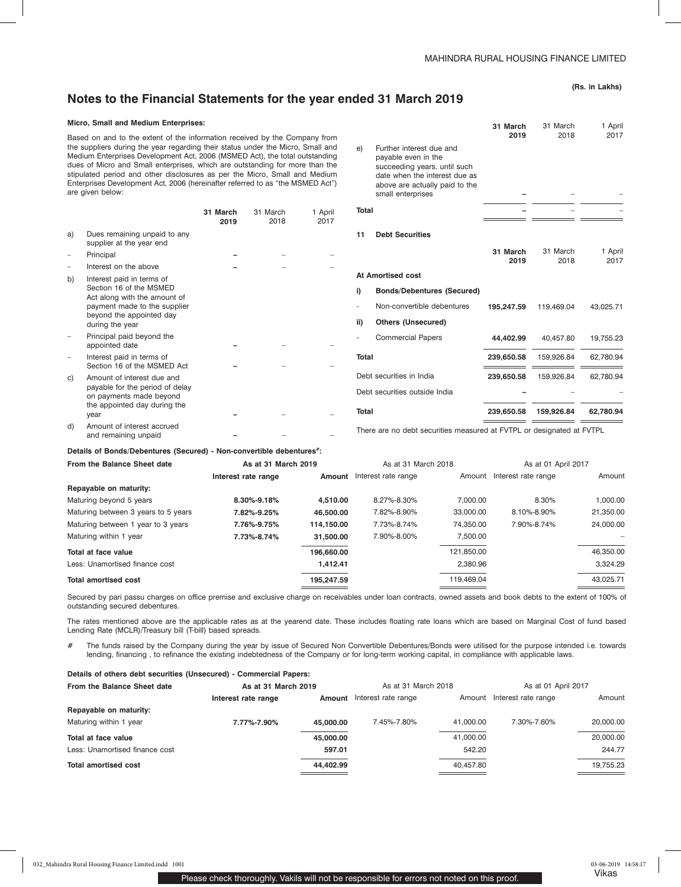**31 March** 

## **Notes to the Financial Statements for the year ended 31 March 2019**

## **(Rs. in Lakhs)**

1 April

31 March

#### **Micro, Small and Medium Enterprises:**

Based on and to the extent of the information received by the Company from the suppliers during the year regarding their status under the Micro, Small and Medium Enterprises Development Act, 2006 (MSMED Act), the total outstanding dues of Micro and Small enterprises, which are outstanding for more than the stipulated period and other disclosures as per the Micro, Small and Medium Enterprises Development Act, 2006 (hereinafter referred to as "the MSMED Act") are given below:

|    |                                                                                                                                                                     | 31 March<br>2019 | 31 March<br>2018 | 1 April<br>2017 |
|----|---------------------------------------------------------------------------------------------------------------------------------------------------------------------|------------------|------------------|-----------------|
| a) | Dues remaining unpaid to any<br>supplier at the year end                                                                                                            |                  |                  |                 |
|    | Principal                                                                                                                                                           |                  |                  |                 |
|    | Interest on the above                                                                                                                                               |                  |                  |                 |
| b) | Interest paid in terms of<br>Section 16 of the MSMED<br>Act along with the amount of<br>payment made to the supplier<br>beyond the appointed day<br>during the year |                  |                  |                 |
|    | Principal paid beyond the<br>appointed date                                                                                                                         |                  |                  |                 |
|    | Interest paid in terms of<br>Section 16 of the MSMED Act                                                                                                            |                  |                  |                 |
| C) | Amount of interest due and<br>payable for the period of delay<br>on payments made beyond<br>the appointed day during the<br>year                                    |                  |                  |                 |
| d) | Amount of interest accrued                                                                                                                                          |                  |                  |                 |
|    | and remaining unpaid                                                                                                                                                |                  |                  |                 |

**2019**  2018 2017 e) Further interest due and payable even in the succeeding years, until such date when the interest due as above are actually paid to the small enterprises **Total –** – – **11 Debt Securities 31 March 2019**  31 March 2018 1 April 2017 **At Amortised cost i) Bonds/Debentures (Secured)** - Non-convertible debentures **195,247.59** 119,469.04 43,025.71 **ii) Others (Unsecured)** - Commercial Papers **44,402.99** 40,457.80 19,755.23 **Total 239,650.58** 159,926.84 62,780.94 Debt securities in India **239,650.58** 159,926.84 62,780.94 Debt securities outside India **Total 239,650.58 159,926.84 62,780.94** 

There are no debt securities measured at FVTPL or designated at FVTPL

#### Details of Bonds/Debentures (Secured) - Non-convertible debentures<sup>#</sup>:

| From the Balance Sheet date         | As at 31 March 2019 |            | As at 31 March 2018 |            | As at 01 April 2017        |           |
|-------------------------------------|---------------------|------------|---------------------|------------|----------------------------|-----------|
|                                     | Interest rate range | Amount     | Interest rate range |            | Amount Interest rate range | Amount    |
| Repayable on maturity:              |                     |            |                     |            |                            |           |
| Maturing beyond 5 years             | 8.30%-9.18%         | 4.510.00   | 8.27%-8.30%         | 7.000.00   | 8.30%                      | 1,000.00  |
| Maturing between 3 years to 5 years | 7.82%-9.25%         | 46,500,00  | 7.82%-8.90%         | 33.000.00  | 8.10%-8.90%                | 21,350.00 |
| Maturing between 1 year to 3 years  | 7.76%-9.75%         | 114,150.00 | 7.73%-8.74%         | 74.350.00  | 7.90%-8.74%                | 24,000.00 |
| Maturing within 1 year              | 7.73%-8.74%         | 31,500,00  | 7.90%-8.00%         | 7,500.00   |                            |           |
| Total at face value                 |                     | 196.660.00 |                     | 121.850.00 |                            | 46,350.00 |
| Less: Unamortised finance cost      |                     | 1.412.41   |                     | 2,380.96   |                            | 3.324.29  |
| <b>Total amortised cost</b>         |                     | 195.247.59 |                     | 119.469.04 |                            | 43.025.71 |

Secured by pari passu charges on office premise and exclusive charge on receivables under loan contracts, owned assets and book debts to the extent of 100% of outstanding secured debentures.

The rates mentioned above are the applicable rates as at the yearend date. These includes floating rate loans which are based on Marginal Cost of fund based Lending Rate (MCLR)/Treasury bill (T-bill) based spreads.

# The funds raised by the Company during the year by issue of Secured Non Convertible Debentures/Bonds were utilised for the purpose intended i.e. towards lending, financing , to refinance the existing indebtedness of the Company or for long-term working capital, in compliance with applicable laws.

| Details of others debt securities (Unsecured) - Commercial Papers: |                     |                     |                     |           |                            |           |
|--------------------------------------------------------------------|---------------------|---------------------|---------------------|-----------|----------------------------|-----------|
| From the Balance Sheet date<br>As at 31 March 2019                 |                     | As at 31 March 2018 |                     |           | As at 01 April 2017        |           |
|                                                                    | Interest rate range | Amount              | Interest rate range |           | Amount Interest rate range | Amount    |
| Repayable on maturity:                                             |                     |                     |                     |           |                            |           |
| Maturing within 1 year                                             | 7.77%-7.90%         | 45,000,00           | 7.45%-7.80%         | 41.000.00 | 7.30%-7.60%                | 20.000.00 |
| Total at face value                                                |                     | 45,000,00           |                     | 41,000.00 |                            | 20,000.00 |
| Less: Unamortised finance cost                                     |                     | 597.01              |                     | 542.20    |                            | 244.77    |
| <b>Total amortised cost</b>                                        |                     | 44.402.99           |                     | 40.457.80 |                            | 19,755.23 |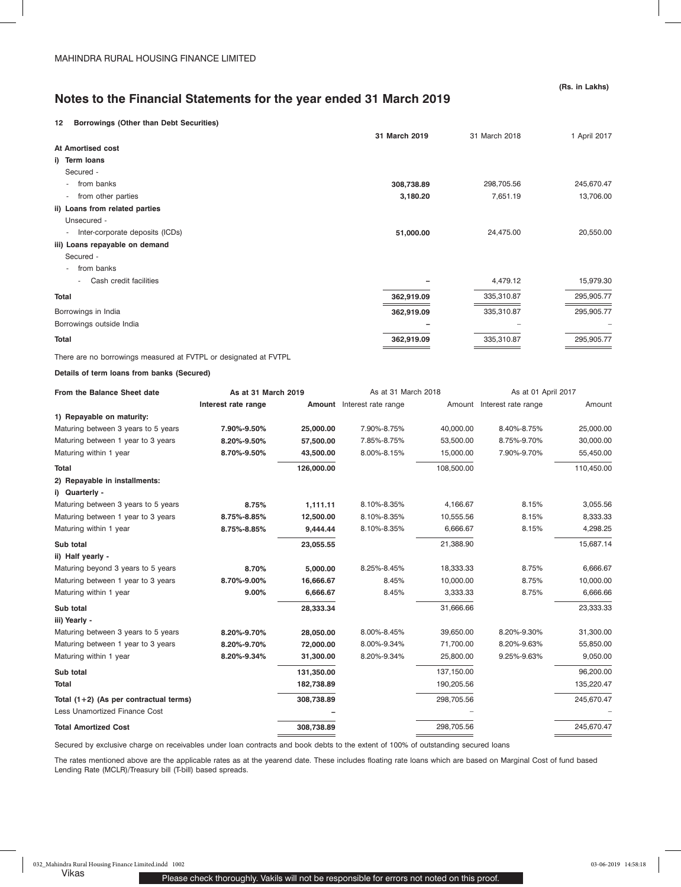## **12 Borrowings (Other than Debt Securities)**

|                                                             | 31 March 2019 | 31 March 2018 | 1 April 2017 |
|-------------------------------------------------------------|---------------|---------------|--------------|
| At Amortised cost                                           |               |               |              |
| i) Term loans                                               |               |               |              |
| Secured -                                                   |               |               |              |
| from banks<br>$\overline{\phantom{a}}$                      | 308,738.89    | 298,705.56    | 245,670.47   |
| from other parties<br>$\overline{\phantom{a}}$              | 3,180.20      | 7,651.19      | 13,706.00    |
| ii) Loans from related parties                              |               |               |              |
| Unsecured -                                                 |               |               |              |
| Inter-corporate deposits (ICDs)<br>$\overline{\phantom{a}}$ | 51,000.00     | 24,475.00     | 20,550.00    |
| iii) Loans repayable on demand                              |               |               |              |
| Secured -                                                   |               |               |              |
| from banks                                                  |               |               |              |
| Cash credit facilities<br>٠                                 |               | 4,479.12      | 15,979.30    |
| <b>Total</b>                                                | 362,919.09    | 335,310.87    | 295,905.77   |
| Borrowings in India                                         | 362,919.09    | 335,310.87    | 295,905.77   |
| Borrowings outside India                                    |               |               |              |
| Total                                                       | 362,919.09    | 335,310.87    | 295,905.77   |
|                                                             |               |               |              |

There are no borrowings measured at FVTPL or designated at FVTPL

## **Details of term loans from banks (Secured)**

| From the Balance Sheet date                     | As at 31 March 2019 |            | As at 31 March 2018        |            | As at 01 April 2017        |            |
|-------------------------------------------------|---------------------|------------|----------------------------|------------|----------------------------|------------|
|                                                 | Interest rate range |            | Amount Interest rate range |            | Amount Interest rate range | Amount     |
| 1) Repayable on maturity:                       |                     |            |                            |            |                            |            |
| Maturing between 3 years to 5 years             | 7.90%-9.50%         | 25,000.00  | 7.90%-8.75%                | 40,000.00  | 8.40%-8.75%                | 25,000.00  |
| Maturing between 1 year to 3 years              | 8.20%-9.50%         | 57,500.00  | 7.85%-8.75%                | 53,500.00  | 8.75%-9.70%                | 30,000.00  |
| Maturing within 1 year                          | 8.70%-9.50%         | 43,500.00  | 8.00%-8.15%                | 15,000.00  | 7.90%-9.70%                | 55,450.00  |
| <b>Total</b>                                    |                     | 126,000.00 |                            | 108,500.00 |                            | 110,450.00 |
| 2) Repayable in installments:<br>i) Quarterly - |                     |            |                            |            |                            |            |
| Maturing between 3 years to 5 years             | 8.75%               | 1,111.11   | 8.10%-8.35%                | 4,166.67   | 8.15%                      | 3,055.56   |
| Maturing between 1 year to 3 years              | 8.75%-8.85%         | 12,500.00  | 8.10%-8.35%                | 10,555.56  | 8.15%                      | 8,333.33   |
| Maturing within 1 year                          | 8.75%-8.85%         | 9,444.44   | 8.10%-8.35%                | 6,666.67   | 8.15%                      | 4,298.25   |
| Sub total                                       |                     | 23,055.55  |                            | 21,388.90  |                            | 15,687.14  |
| ii) Half yearly -                               |                     |            |                            |            |                            |            |
| Maturing beyond 3 years to 5 years              | 8.70%               | 5,000.00   | 8.25%-8.45%                | 18,333.33  | 8.75%                      | 6,666.67   |
| Maturing between 1 year to 3 years              | 8.70%-9.00%         | 16,666.67  | 8.45%                      | 10,000.00  | 8.75%                      | 10,000.00  |
| Maturing within 1 year                          | 9.00%               | 6,666.67   | 8.45%                      | 3,333.33   | 8.75%                      | 6,666.66   |
| Sub total<br>iii) Yearly -                      |                     | 28,333.34  |                            | 31,666.66  |                            | 23,333.33  |
| Maturing between 3 years to 5 years             | 8.20%-9.70%         | 28,050.00  | 8.00%-8.45%                | 39,650.00  | 8.20%-9.30%                | 31,300.00  |
| Maturing between 1 year to 3 years              | 8.20%-9.70%         | 72,000.00  | 8.00%-9.34%                | 71,700.00  | 8.20%-9.63%                | 55,850.00  |
| Maturing within 1 year                          | 8.20%-9.34%         | 31,300.00  | 8.20%-9.34%                | 25,800.00  | 9.25%-9.63%                | 9,050.00   |
| Sub total                                       |                     | 131,350.00 |                            | 137,150.00 |                            | 96,200.00  |
| Total                                           |                     | 182,738.89 |                            | 190,205.56 |                            | 135,220.47 |
| Total (1+2) (As per contractual terms)          |                     | 308,738.89 |                            | 298,705.56 |                            | 245,670.47 |
| Less Unamortized Finance Cost                   |                     |            |                            |            |                            |            |
| <b>Total Amortized Cost</b>                     |                     | 308,738.89 |                            | 298,705.56 |                            | 245,670.47 |
|                                                 |                     |            |                            |            |                            |            |

Secured by exclusive charge on receivables under loan contracts and book debts to the extent of 100% of outstanding secured loans

The rates mentioned above are the applicable rates as at the yearend date. These includes floating rate loans which are based on Marginal Cost of fund based Lending Rate (MCLR)/Treasury bill (T-bill) based spreads.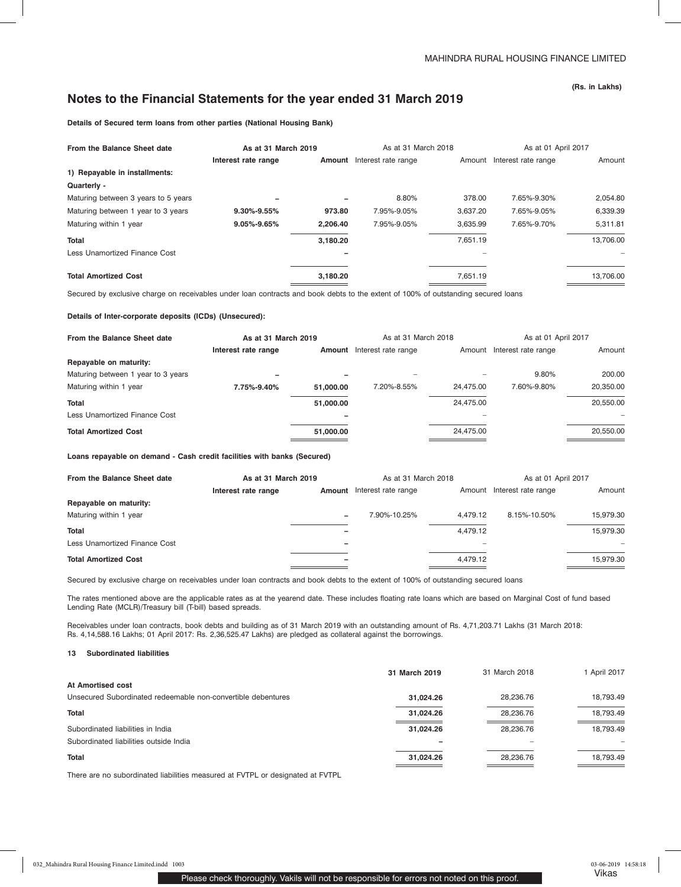**(Rs. in Lakhs)**

**Details of Secured term loans from other parties (National Housing Bank)**

| From the Balance Sheet date         | As at 31 March 2019 |          | As at 31 March 2018 |          | As at 01 April 2017        |           |
|-------------------------------------|---------------------|----------|---------------------|----------|----------------------------|-----------|
|                                     | Interest rate range | Amount   | Interest rate range |          | Amount Interest rate range | Amount    |
| 1) Repayable in installments:       |                     |          |                     |          |                            |           |
| Quarterly -                         |                     |          |                     |          |                            |           |
| Maturing between 3 years to 5 years |                     |          | 8.80%               | 378.00   | 7.65%-9.30%                | 2.054.80  |
| Maturing between 1 year to 3 years  | $9.30\% - 9.55\%$   | 973.80   | 7.95%-9.05%         | 3.637.20 | 7.65%-9.05%                | 6,339.39  |
| Maturing within 1 year              | 9.05%-9.65%         | 2.206.40 | 7.95%-9.05%         | 3.635.99 | 7.65%-9.70%                | 5.311.81  |
| <b>Total</b>                        |                     | 3,180.20 |                     | 7.651.19 |                            | 13.706.00 |
| Less Unamortized Finance Cost       |                     |          |                     |          |                            |           |
| <b>Total Amortized Cost</b>         |                     | 3,180.20 |                     | 7,651.19 |                            | 13,706.00 |

Secured by exclusive charge on receivables under loan contracts and book debts to the extent of 100% of outstanding secured loans

**Details of Inter-corporate deposits (ICDs) (Unsecured):**

| From the Balance Sheet date        | As at 31 March 2019 |           | As at 31 March 2018 |           | As at 01 April 2017 |           |
|------------------------------------|---------------------|-----------|---------------------|-----------|---------------------|-----------|
|                                    | Interest rate range | Amount    | Interest rate range | Amount    | Interest rate range | Amount    |
| Repayable on maturity:             |                     |           |                     |           |                     |           |
| Maturing between 1 year to 3 years |                     |           |                     |           | 9.80%               | 200.00    |
| Maturing within 1 year             | 7.75%-9.40%         | 51,000,00 | 7.20%-8.55%         | 24.475.00 | 7.60%-9.80%         | 20,350.00 |
| <b>Total</b>                       |                     | 51,000,00 |                     | 24.475.00 |                     | 20,550.00 |
| Less Unamortized Finance Cost      |                     |           |                     |           |                     |           |
| <b>Total Amortized Cost</b>        |                     | 51,000,00 |                     | 24.475.00 |                     | 20,550.00 |
|                                    |                     |           |                     |           |                     |           |

**Loans repayable on demand - Cash credit facilities with banks (Secured)**

| From the Balance Sheet date   | As at 31 March 2019 |        | As at 31 March 2018 |          | As at 01 April 2017        |           |
|-------------------------------|---------------------|--------|---------------------|----------|----------------------------|-----------|
|                               | Interest rate range | Amount | Interest rate range |          | Amount Interest rate range | Amount    |
| Repayable on maturity:        |                     |        |                     |          |                            |           |
| Maturing within 1 year        |                     | -      | 7.90%-10.25%        | 4.479.12 | 8.15%-10.50%               | 15.979.30 |
| <b>Total</b>                  |                     |        |                     | 4.479.12 |                            | 15,979.30 |
| Less Unamortized Finance Cost |                     | -      |                     |          |                            | $\sim$    |
| <b>Total Amortized Cost</b>   |                     | -      |                     | 4.479.12 |                            | 15.979.30 |

Secured by exclusive charge on receivables under loan contracts and book debts to the extent of 100% of outstanding secured loans

The rates mentioned above are the applicable rates as at the yearend date. These includes floating rate loans which are based on Marginal Cost of fund based Lending Rate (MCLR)/Treasury bill (T-bill) based spreads.

Receivables under loan contracts, book debts and building as of 31 March 2019 with an outstanding amount of Rs. 4,71,203.71 Lakhs (31 March 2018: Rs. 4,14,588.16 Lakhs; 01 April 2017: Rs. 2,36,525.47 Lakhs) are pledged as collateral against the borrowings.

### **13 Subordinated liabilities**

|                                                              | 31 March 2019 | 31 March 2018 | 1 April 2017 |
|--------------------------------------------------------------|---------------|---------------|--------------|
| At Amortised cost                                            |               |               |              |
| Unsecured Subordinated redeemable non-convertible debentures | 31.024.26     | 28.236.76     | 18.793.49    |
| <b>Total</b>                                                 | 31.024.26     | 28.236.76     | 18.793.49    |
| Subordinated liabilities in India                            | 31.024.26     | 28.236.76     | 18,793.49    |
| Subordinated liabilities outside India                       |               |               |              |
| <b>Total</b>                                                 | 31.024.26     | 28,236.76     | 18.793.49    |

There are no subordinated liabilities measured at FVTPL or designated at FVTPL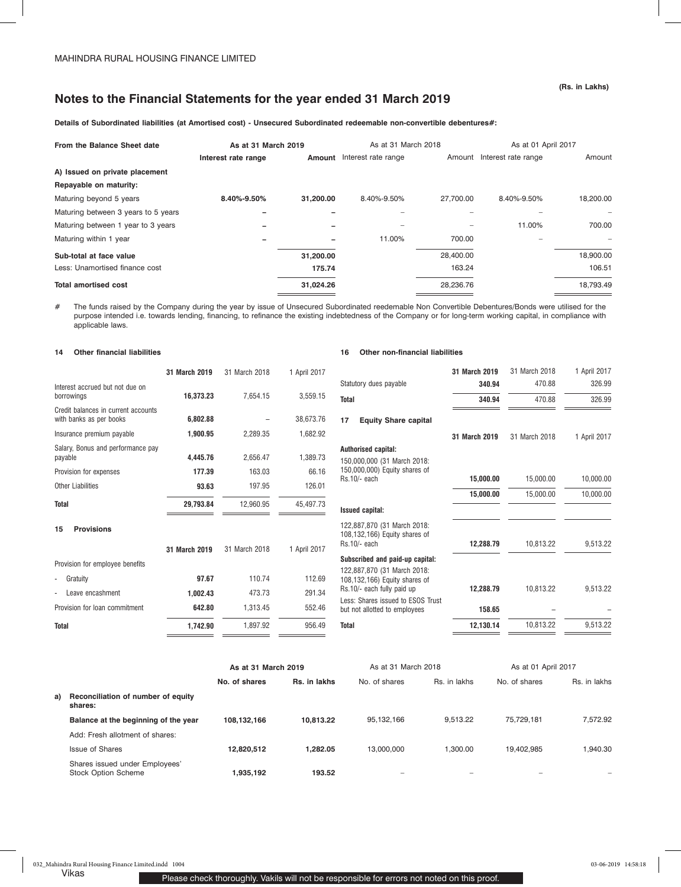**Details of Subordinated liabilities (at Amortised cost) - Unsecured Subordinated redeemable non-convertible debentures#:**

| As at 31 March 2019<br>From the Balance Sheet date |                     | As at 31 March 2018 |                     |           |                            | As at 01 April 2017 |
|----------------------------------------------------|---------------------|---------------------|---------------------|-----------|----------------------------|---------------------|
|                                                    | Interest rate range | Amount              | Interest rate range |           | Amount Interest rate range | Amount              |
| A) Issued on private placement                     |                     |                     |                     |           |                            |                     |
| Repayable on maturity:                             |                     |                     |                     |           |                            |                     |
| Maturing beyond 5 years                            | 8.40%-9.50%         | 31.200.00           | 8.40%-9.50%         | 27.700.00 | 8.40%-9.50%                | 18,200.00           |
| Maturing between 3 years to 5 years                |                     |                     |                     |           |                            |                     |
| Maturing between 1 year to 3 years                 |                     |                     |                     |           | 11.00%                     | 700.00              |
| Maturing within 1 year                             |                     |                     | 11.00%              | 700.00    |                            |                     |
| Sub-total at face value                            |                     | 31,200.00           |                     | 28.400.00 |                            | 18,900.00           |
| Less: Unamortised finance cost                     |                     | 175.74              |                     | 163.24    |                            | 106.51              |
| <b>Total amortised cost</b>                        |                     | 31,024.26           |                     | 28,236.76 |                            | 18,793.49           |

# The funds raised by the Company during the year by issue of Unsecured Subordinated reedemable Non Convertible Debentures/Bonds were utilised for the purpose intended i.e. towards lending, financing, to refinance the existing indebtedness of the Company or for long-term working capital, in compliance with applicable laws.

## **14 Other financial liabilities**

|                                                                | 31 March 2019 | 31 March 2018 | 1 April 2017 |
|----------------------------------------------------------------|---------------|---------------|--------------|
| Interest accrued but not due on<br>borrowings                  | 16.373.23     | 7.654.15      | 3.559.15     |
| Credit balances in current accounts<br>with banks as per books | 6,802.88      |               | 38,673.76    |
| Insurance premium payable                                      | 1,900.95      | 2.289.35      | 1,682.92     |
| Salary, Bonus and performance pay<br>payable                   | 4,445.76      | 2,656.47      | 1,389.73     |
| Provision for expenses                                         | 177.39        | 163.03        | 66.16        |
| Other Liabilities                                              | 93.63         | 197.95        |              |
| <b>Total</b>                                                   | 29,793.84     | 12,960.95     | 45,497.73    |
| <b>Provisions</b><br>15                                        |               |               |              |
|                                                                | 31 March 2019 | 31 March 2018 | 1 April 2017 |
| Provision for employee benefits                                |               |               |              |
| Gratuity                                                       | 97.67         | 110.74        | 112.69       |
| Leave encashment                                               | 1.002.43      | 473.73        | 291.34       |
| Provision for loan commitment                                  | 642.80        | 1,313.45      | 552.46       |
| Total                                                          | 1,742.90      | 1,897.92      | 956.49       |
|                                                                |               |               |              |

### **16 Other non-financial liabilities**

|                                                                                                 | 31 March 2019 | 31 March 2018 | 1 April 2017 |
|-------------------------------------------------------------------------------------------------|---------------|---------------|--------------|
| Statutory dues payable                                                                          | 340.94        | 470.88        | 326.99       |
| <b>Total</b>                                                                                    | 340.94        | 470.88        | 326.99       |
| 17<br><b>Equity Share capital</b>                                                               |               |               |              |
|                                                                                                 | 31 March 2019 | 31 March 2018 | 1 April 2017 |
| Authorised capital:<br>150,000,000 (31 March 2018:<br>150,000,000) Equity shares of             |               |               |              |
| Rs.10/- each                                                                                    | 15,000.00     | 15,000.00     | 10,000.00    |
|                                                                                                 | 15,000.00     | 15,000.00     | 10,000.00    |
| <b>Issued capital:</b>                                                                          |               |               |              |
| 122,887,870 (31 March 2018:<br>108,132,166) Equity shares of<br>Rs.10/- each                    | 12,288.79     | 10,813.22     | 9.513.22     |
| Subscribed and paid-up capital:<br>122,887,870 (31 March 2018:<br>108,132,166) Equity shares of |               |               |              |
| Rs.10/- each fully paid up<br>Less: Shares issued to ESOS Trust                                 | 12,288.79     | 10,813.22     | 9,513.22     |
| but not allotted to employees                                                                   | 158.65        |               |              |
| <b>Total</b>                                                                                    | 12,130.14     | 10,813.22     | 9,513.22     |
|                                                                                                 |               |               |              |

|    |                                                              | As at 31 March 2019 |              | As at 31 March 2018      |              | As at 01 April 2017 |              |
|----|--------------------------------------------------------------|---------------------|--------------|--------------------------|--------------|---------------------|--------------|
|    |                                                              | No. of shares       | Rs. in lakhs | No. of shares            | Rs. in lakhs | No. of shares       | Rs. in lakhs |
| a) | Reconciliation of number of equity<br>shares:                |                     |              |                          |              |                     |              |
|    | Balance at the beginning of the year                         | 108.132.166         | 10.813.22    | 95,132,166               | 9.513.22     | 75.729.181          | 7.572.92     |
|    | Add: Fresh allotment of shares:                              |                     |              |                          |              |                     |              |
|    | Issue of Shares                                              | 12,820,512          | 1.282.05     | 13,000,000               | 1.300.00     | 19.402.985          | 1.940.30     |
|    | Shares issued under Employees'<br><b>Stock Option Scheme</b> | 1,935,192           | 193.52       | $\overline{\phantom{a}}$ |              |                     |              |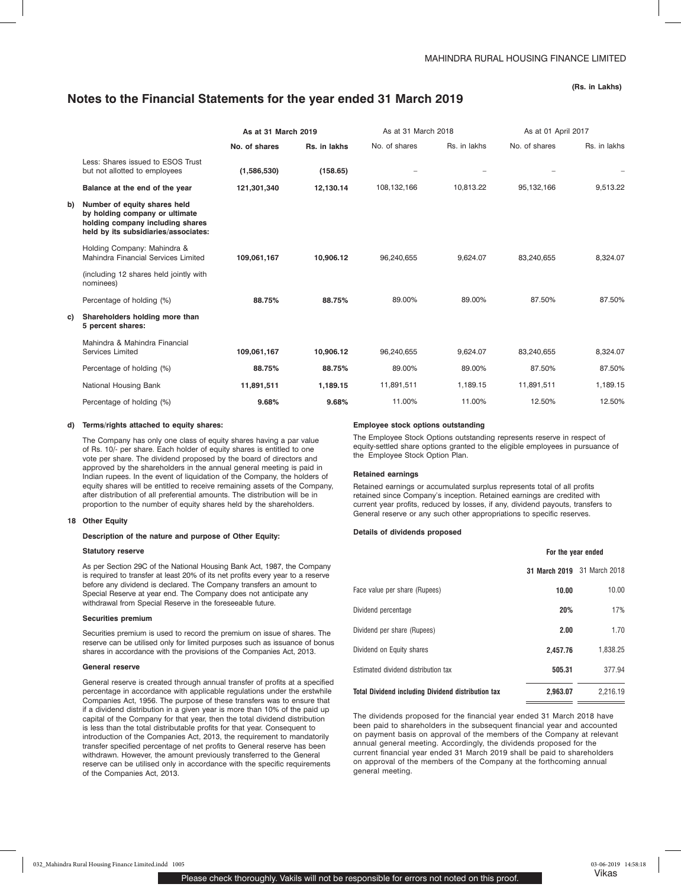**(Rs. in Lakhs)**

|    |                                                                                                                                            | As at 31 March 2019 |              |               | As at 31 March 2018 |               | As at 01 April 2017 |  |
|----|--------------------------------------------------------------------------------------------------------------------------------------------|---------------------|--------------|---------------|---------------------|---------------|---------------------|--|
|    |                                                                                                                                            | No. of shares       | Rs. in lakhs | No. of shares | Rs. in lakhs        | No. of shares | Rs. in lakhs        |  |
|    | Less: Shares issued to ESOS Trust<br>but not allotted to employees                                                                         | (1,586,530)         | (158.65)     |               |                     |               |                     |  |
|    | Balance at the end of the year                                                                                                             | 121,301,340         | 12,130.14    | 108,132,166   | 10,813.22           | 95,132,166    | 9,513.22            |  |
| b) | Number of equity shares held<br>by holding company or ultimate<br>holding company including shares<br>held by its subsidiaries/associates: |                     |              |               |                     |               |                     |  |
|    | Holding Company: Mahindra &<br>Mahindra Financial Services Limited                                                                         | 109,061,167         | 10,906.12    | 96,240,655    | 9,624.07            | 83,240,655    | 8,324.07            |  |
|    | (including 12 shares held jointly with<br>nominees)                                                                                        |                     |              |               |                     |               |                     |  |
|    | Percentage of holding (%)                                                                                                                  | 88.75%              | 88.75%       | 89.00%        | 89.00%              | 87.50%        | 87.50%              |  |
| C) | Shareholders holding more than<br>5 percent shares:                                                                                        |                     |              |               |                     |               |                     |  |
|    | Mahindra & Mahindra Financial<br>Services Limited                                                                                          | 109,061,167         | 10,906.12    | 96,240,655    | 9,624.07            | 83,240,655    | 8,324.07            |  |
|    | Percentage of holding (%)                                                                                                                  | 88.75%              | 88.75%       | 89.00%        | 89.00%              | 87.50%        | 87.50%              |  |
|    | National Housing Bank                                                                                                                      | 11,891,511          | 1,189.15     | 11,891,511    | 1,189.15            | 11,891,511    | 1,189.15            |  |
|    | Percentage of holding (%)                                                                                                                  | 9.68%               | 9.68%        | 11.00%        | 11.00%              | 12.50%        | 12.50%              |  |

#### **d) Terms/rights attached to equity shares:**

The Company has only one class of equity shares having a par value of Rs. 10/- per share. Each holder of equity shares is entitled to one vote per share. The dividend proposed by the board of directors and approved by the shareholders in the annual general meeting is paid in Indian rupees. In the event of liquidation of the Company, the holders of equity shares will be entitled to receive remaining assets of the Company, after distribution of all preferential amounts. The distribution will be in proportion to the number of equity shares held by the shareholders.

### **18 Other Equity**

#### **Description of the nature and purpose of Other Equity:**

#### **Statutory reserve**

As per Section 29C of the National Housing Bank Act, 1987, the Company is required to transfer at least 20% of its net profits every year to a reserve before any dividend is declared. The Company transfers an amount to Special Reserve at year end. The Company does not anticipate any withdrawal from Special Reserve in the foreseeable future.

#### **Securities premium**

Securities premium is used to record the premium on issue of shares. The reserve can be utilised only for limited purposes such as issuance of bonus shares in accordance with the provisions of the Companies Act, 2013.

#### **General reserve**

General reserve is created through annual transfer of profits at a specified percentage in accordance with applicable regulations under the erstwhile Companies Act, 1956. The purpose of these transfers was to ensure that if a dividend distribution in a given year is more than 10% of the paid up capital of the Company for that year, then the total dividend distribution is less than the total distributable profits for that year. Consequent to introduction of the Companies Act, 2013, the requirement to mandatorily transfer specified percentage of net profits to General reserve has been withdrawn. However, the amount previously transferred to the General reserve can be utilised only in accordance with the specific requirements of the Companies Act, 2013.

#### **Employee stock options outstanding**

The Employee Stock Options outstanding represents reserve in respect of equity-settled share options granted to the eligible employees in pursuance of the Employee Stock Option Plan.

## **Retained earnings**

Retained earnings or accumulated surplus represents total of all profits retained since Company's inception. Retained earnings are credited with current year profits, reduced by losses, if any, dividend payouts, transfers to General reserve or any such other appropriations to specific reserves.

#### **Details of dividends proposed**

|                                                           | For the year ended |               |  |
|-----------------------------------------------------------|--------------------|---------------|--|
|                                                           | 31 March 2019      | 31 March 2018 |  |
| Face value per share (Rupees)                             | 10.00              | 10.00         |  |
| Dividend percentage                                       | 20%                | 17%           |  |
| Dividend per share (Rupees)                               | 2.00               | 1.70          |  |
| Dividend on Equity shares                                 | 2.457.76           | 1,838.25      |  |
| Estimated dividend distribution tax                       | 505.31             | 377.94        |  |
| <b>Total Dividend including Dividend distribution tax</b> | 2.963.07           | 2.216.19      |  |

The dividends proposed for the financial year ended 31 March 2018 have been paid to shareholders in the subsequent financial year and accounted on payment basis on approval of the members of the Company at relevant annual general meeting. Accordingly, the dividends proposed for the current financial year ended 31 March 2019 shall be paid to shareholders on approval of the members of the Company at the forthcoming annual general meeting.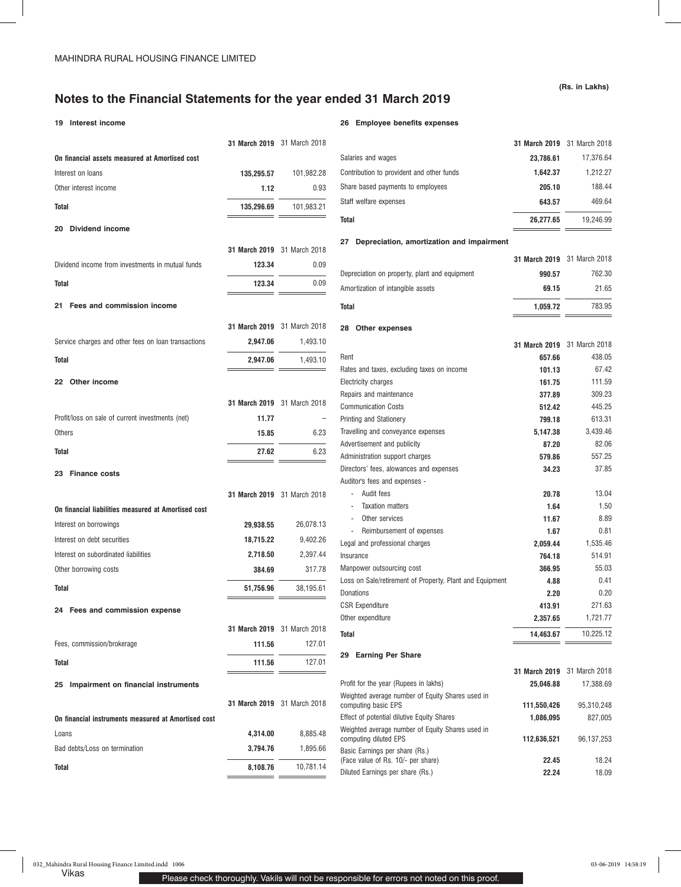## **19 Interest income**

### **26 Employee benefits expenses**

|                                                     | 31 March 2019 31 March 2018 |                             |                                                                           | 31 March 2019 31 March 2018 |                             |
|-----------------------------------------------------|-----------------------------|-----------------------------|---------------------------------------------------------------------------|-----------------------------|-----------------------------|
| On financial assets measured at Amortised cost      |                             |                             | Salaries and wages                                                        | 23,786.61                   | 17,376.64                   |
| Interest on loans                                   | 135.295.57                  | 101,982.28                  | Contribution to provident and other funds                                 | 1,642.37                    | 1,212.27                    |
| Other interest income                               | 1.12                        | 0.93                        | Share based payments to employees                                         | 205.10                      | 188.44                      |
| Total                                               | 135,296.69                  | 101,983.21                  | Staff welfare expenses                                                    | 643.57                      | 469.64                      |
|                                                     |                             |                             | <b>Total</b>                                                              | 26,277.65                   | 19,246.99                   |
| 20 Dividend income                                  |                             |                             |                                                                           |                             |                             |
|                                                     | 31 March 2019 31 March 2018 |                             | 27 Depreciation, amortization and impairment                              |                             |                             |
| Dividend income from investments in mutual funds    | 123.34                      | 0.09                        |                                                                           |                             | 31 March 2019 31 March 2018 |
|                                                     |                             |                             | Depreciation on property, plant and equipment                             | 990.57                      | 762.30                      |
| <b>Total</b>                                        | 123.34<br>$\equiv$ $\equiv$ | 0.09                        | Amortization of intangible assets                                         | 69.15                       | 21.65                       |
| 21 Fees and commission income                       |                             |                             | <b>Total</b>                                                              | 1,059.72                    | 783.95                      |
|                                                     |                             | 31 March 2019 31 March 2018 | 28 Other expenses                                                         |                             |                             |
| Service charges and other fees on loan transactions | 2,947.06                    | 1,493.10                    |                                                                           |                             | 31 March 2019 31 March 2018 |
| <b>Total</b>                                        | 2,947.06                    | 1,493.10                    | Rent                                                                      | 657.66                      | 438.05                      |
|                                                     |                             |                             | Rates and taxes, excluding taxes on income                                | 101.13                      | 67.42                       |
| 22 Other income                                     |                             |                             | Electricity charges                                                       | 161.75                      | 111.59                      |
|                                                     |                             |                             | Repairs and maintenance                                                   | 377.89                      | 309.23                      |
|                                                     |                             | 31 March 2019 31 March 2018 | <b>Communication Costs</b>                                                | 512.42                      | 445.25                      |
| Profit/loss on sale of current investments (net)    | 11.77                       | $\qquad \qquad -$           | Printing and Stationery                                                   | 799.18                      | 613.31                      |
| Others                                              | 15.85                       | 6.23                        | Travelling and conveyance expenses                                        | 5,147.38                    | 3,439.46                    |
| Total                                               | 27.62                       | 6.23                        | Advertisement and publicity                                               | 87.20                       | 82.06                       |
|                                                     | __                          |                             | Administration support charges                                            | 579.86                      | 557.25                      |
| 23 Finance costs                                    |                             |                             | Directors' fees, alowances and expenses                                   | 34.23                       | 37.85                       |
|                                                     |                             |                             | Auditor's fees and expenses -                                             |                             |                             |
|                                                     |                             | 31 March 2019 31 March 2018 | - Audit fees<br><b>Taxation matters</b>                                   | 20.78<br>1.64               | 13.04<br>1.50               |
| On financial liabilities measured at Amortised cost |                             |                             | Other services                                                            | 11.67                       | 8.89                        |
| Interest on borrowings                              | 29,938.55                   | 26,078.13                   | Reimbursement of expenses                                                 | 1.67                        | 0.81                        |
| Interest on debt securities                         | 18,715.22                   | 9,402.26                    | Legal and professional charges                                            | 2,059.44                    | 1,535.46                    |
| Interest on subordinated liabilities                | 2,718.50                    | 2,397.44                    | Insurance                                                                 | 764.18                      | 514.91                      |
| Other borrowing costs                               | 384.69                      | 317.78                      | Manpower outsourcing cost                                                 | 366.95                      | 55.03                       |
|                                                     |                             |                             | Loss on Sale/retirement of Property, Plant and Equipment                  | 4.88                        | 0.41                        |
| <b>Total</b>                                        | 51,756.96                   | 38,195.61                   | Donations                                                                 | 2.20                        | 0.20                        |
| 24 Fees and commission expense                      |                             |                             | <b>CSR Expenditure</b>                                                    | 413.91                      | 271.63                      |
|                                                     |                             |                             | Other expenditure                                                         | 2,357.65                    | 1,721.77                    |
|                                                     | 31 March 2019 31 March 2018 |                             | Total                                                                     | 14,463.67                   | 10,225.12                   |
| Fees, commission/brokerage                          | 111.56                      | 127.01                      | 29 Earning Per Share                                                      |                             |                             |
| <b>Total</b>                                        | 111.56<br>$ -$              | 127.01                      |                                                                           |                             | 31 March 2019 31 March 2018 |
| 25 Impairment on financial instruments              |                             |                             | Profit for the year (Rupees in lakhs)                                     | 25,046.88                   | 17,388.69                   |
|                                                     |                             |                             | Weighted average number of Equity Shares used in                          |                             |                             |
|                                                     |                             | 31 March 2019 31 March 2018 | computing basic EPS                                                       | 111,550,426                 | 95,310,248                  |
| On financial instruments measured at Amortised cost |                             |                             | Effect of potential dilutive Equity Shares                                | 1,086,095                   | 827,005                     |
| Loans                                               | 4,314.00                    | 8,885.48                    | Weighted average number of Equity Shares used in<br>computing diluted EPS | 112,636,521                 | 96, 137, 253                |
| Bad debts/Loss on termination                       | 3,794.76                    | 1,895.66                    | Basic Earnings per share (Rs.)                                            |                             |                             |
| <b>Total</b>                                        | 8,108.76                    | 10,781.14                   | (Face value of Rs. 10/- per share)                                        | 22.45                       | 18.24                       |
|                                                     |                             |                             | Diluted Earnings per share (Rs.)                                          | 22.24                       | 18.09                       |

**(Rs. in Lakhs)**

**31 March 2019** 31 March 2018 Salaries and wages **23,786.61** 17,376.64 Contribution to provident and other funds **1,642.37** 1,212.27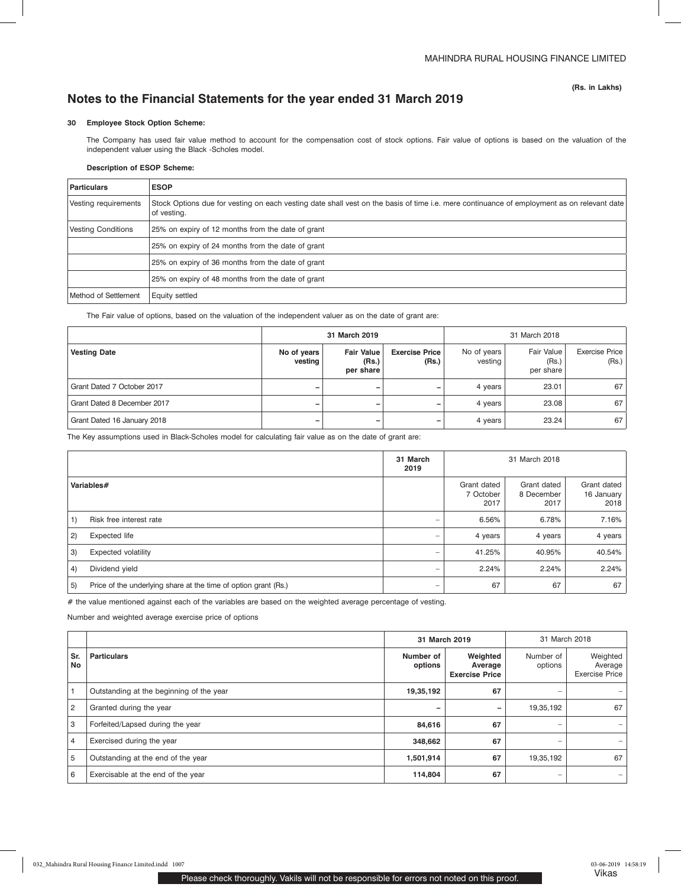## **30 Employee Stock Option Scheme:**

The Company has used fair value method to account for the compensation cost of stock options. Fair value of options is based on the valuation of the independent valuer using the Black -Scholes model.

## **Description of ESOP Scheme:**

| <b>Particulars</b>        | <b>ESOP</b>                                                                                                                                               |
|---------------------------|-----------------------------------------------------------------------------------------------------------------------------------------------------------|
| Vesting requirements      | Stock Options due for vesting on each vesting date shall vest on the basis of time i.e. mere continuance of employment as on relevant date<br>of vesting. |
| <b>Vesting Conditions</b> | 25% on expiry of 12 months from the date of grant                                                                                                         |
|                           | 25% on expiry of 24 months from the date of grant                                                                                                         |
|                           | 25% on expiry of 36 months from the date of grant                                                                                                         |
|                           | 25% on expiry of 48 months from the date of grant                                                                                                         |
| Method of Settlement      | Equity settled                                                                                                                                            |

The Fair value of options, based on the valuation of the independent valuer as on the date of grant are:

|                             | 31 March 2019          |                                         |                                | 31 March 2018          |                                  |                                |
|-----------------------------|------------------------|-----------------------------------------|--------------------------------|------------------------|----------------------------------|--------------------------------|
| <b>Vesting Date</b>         | No of years<br>vesting | <b>Fair Value</b><br>(Rs.)<br>per share | <b>Exercise Price</b><br>(Rs.) | No of years<br>vesting | Fair Value<br>(Rs.)<br>per share | <b>Exercise Price</b><br>(Rs.) |
| Grant Dated 7 October 2017  | -                      |                                         |                                | 4 years                | 23.01                            | 67                             |
| Grant Dated 8 December 2017 | -                      |                                         |                                | 4 years                | 23.08                            | 67                             |
| Grant Dated 16 January 2018 | -                      |                                         |                                | 4 years                | 23.24                            | 67                             |

The Key assumptions used in Black-Scholes model for calculating fair value as on the date of grant are:

|     |                                                                 | 31 March<br>2019         |                                  | 31 March 2018                     |                                   |
|-----|-----------------------------------------------------------------|--------------------------|----------------------------------|-----------------------------------|-----------------------------------|
|     | Variables#                                                      |                          | Grant dated<br>7 October<br>2017 | Grant dated<br>8 December<br>2017 | Grant dated<br>16 January<br>2018 |
| 1)  | Risk free interest rate                                         | -                        | 6.56%                            | 6.78%                             | 7.16%                             |
| (2) | <b>Expected life</b>                                            | -                        | 4 years                          | 4 years                           | 4 years                           |
| 3)  | <b>Expected volatility</b>                                      | $\overline{\phantom{0}}$ | 41.25%                           | 40.95%                            | 40.54%                            |
| 4)  | Dividend yield                                                  | $\overline{\phantom{a}}$ | 2.24%                            | 2.24%                             | 2.24%                             |
| 5)  | Price of the underlying share at the time of option grant (Rs.) | -                        | 67                               | 67                                | 67                                |

# the value mentioned against each of the variables are based on the weighted average percentage of vesting.

Number and weighted average exercise price of options

|                |                                          | 31 March 2019        |                                              | 31 March 2018            |                                              |
|----------------|------------------------------------------|----------------------|----------------------------------------------|--------------------------|----------------------------------------------|
| Sr.<br>No      | <b>Particulars</b>                       | Number of<br>options | Weighted<br>Average<br><b>Exercise Price</b> | Number of<br>options     | Weighted<br>Average<br><b>Exercise Price</b> |
|                | Outstanding at the beginning of the year | 19,35,192            | 67                                           | $\overline{\phantom{a}}$ |                                              |
| $\overline{2}$ | Granted during the year                  |                      | -                                            | 19,35,192                | 67                                           |
| 3              | Forfeited/Lapsed during the year         | 84,616               | 67                                           | $\sim$                   |                                              |
| 4              | Exercised during the year                | 348,662              | 67                                           | $\overline{\phantom{a}}$ |                                              |
| 5              | Outstanding at the end of the year       | 1,501,914            | 67                                           | 19,35,192                | 67                                           |
| 6              | Exercisable at the end of the year       | 114,804              | 67                                           | $\overline{\phantom{a}}$ |                                              |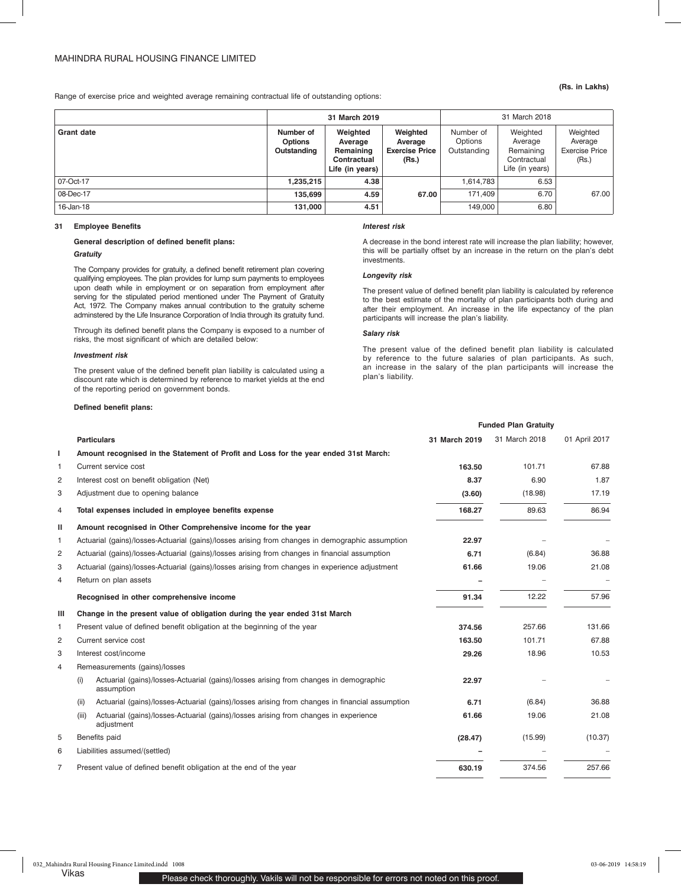#### Range of exercise price and weighted average remaining contractual life of outstanding options:

|  | (Rs. in Lakhs) |
|--|----------------|
|  |                |

|                   |                                            | 31 March 2019                                                      |                                                       | 31 March 2018                       |                                                                    |                                                       |
|-------------------|--------------------------------------------|--------------------------------------------------------------------|-------------------------------------------------------|-------------------------------------|--------------------------------------------------------------------|-------------------------------------------------------|
| <b>Grant date</b> | Number of<br><b>Options</b><br>Outstanding | Weighted<br>Average<br>Remaining<br>Contractual<br>Life (in years) | Weighted<br>Average<br><b>Exercise Price</b><br>(Rs.) | Number of<br>Options<br>Outstanding | Weighted<br>Average<br>Remaining<br>Contractual<br>Life (in years) | Weighted<br>Average<br><b>Exercise Price</b><br>(Rs.) |
| 07-Oct-17         | 1.235.215                                  | 4.38                                                               |                                                       | 1.614.783                           | 6.53                                                               |                                                       |
| 08-Dec-17         | 135.699                                    | 4.59                                                               | 67.00                                                 | 171.409                             | 6.70                                                               | 67.00                                                 |
| 16-Jan-18         | 131,000                                    | 4.51                                                               |                                                       | 149,000                             | 6.80                                                               |                                                       |

## **31 Employee Benefits**

### **General description of defined benefit plans:**

## *Gratuity*

The Company provides for gratuity, a defined benefit retirement plan covering qualifying employees. The plan provides for lump sum payments to employees upon death while in employment or on separation from employment after serving for the stipulated period mentioned under The Payment of Gratuity Act, 1972. The Company makes annual contribution to the gratuity scheme adminstered by the Life Insurance Corporation of India through its gratuity fund.

Through its defined benefit plans the Company is exposed to a number of risks, the most significant of which are detailed below:

#### *Investment risk*

The present value of the defined benefit plan liability is calculated using a discount rate which is determined by reference to market yields at the end of the reporting period on government bonds.

## **Defined benefit plans:**

#### *Interest risk*

A decrease in the bond interest rate will increase the plan liability; however, this will be partially offset by an increase in the return on the plan's debt investments.

### *Longevity risk*

The present value of defined benefit plan liability is calculated by reference to the best estimate of the mortality of plan participants both during and after their employment. An increase in the life expectancy of the plan participants will increase the plan's liability.

#### *Salary risk*

The present value of the defined benefit plan liability is calculated by reference to the future salaries of plan participants. As such, an increase in the salary of the plan participants will increase the plan's liability.

**Funded Plan Gratuity**

|                | <b>Particulars</b>                                                                                          | 31 March 2019 | 31 March 2018 | 01 April 2017 |
|----------------|-------------------------------------------------------------------------------------------------------------|---------------|---------------|---------------|
| п              | Amount recognised in the Statement of Profit and Loss for the year ended 31st March:                        |               |               |               |
| 1              | Current service cost                                                                                        | 163.50        | 101.71        | 67.88         |
| 2              | Interest cost on benefit obligation (Net)                                                                   | 8.37          | 6.90          | 1.87          |
| 3              | Adjustment due to opening balance                                                                           | (3.60)        | (18.98)       | 17.19         |
| 4              | Total expenses included in employee benefits expense                                                        | 168.27        | 89.63         | 86.94         |
| Ш              | Amount recognised in Other Comprehensive income for the year                                                |               |               |               |
| 1              | Actuarial (gains)/losses-Actuarial (gains)/losses arising from changes in demographic assumption            | 22.97         |               |               |
| 2              | Actuarial (gains)/losses-Actuarial (gains)/losses arising from changes in financial assumption              | 6.71          | (6.84)        | 36.88         |
| 3              | Actuarial (gains)/losses-Actuarial (gains)/losses arising from changes in experience adjustment             | 61.66         | 19.06         | 21.08         |
| 4              | Return on plan assets                                                                                       |               |               |               |
|                | Recognised in other comprehensive income                                                                    | 91.34         | 12.22         | 57.96         |
| Ш              | Change in the present value of obligation during the year ended 31st March                                  |               |               |               |
| 1              | Present value of defined benefit obligation at the beginning of the year                                    | 374.56        | 257.66        | 131.66        |
| 2              | Current service cost                                                                                        | 163.50        | 101.71        | 67.88         |
| 3              | Interest cost/income                                                                                        | 29.26         | 18.96         | 10.53         |
| 4              | Remeasurements (gains)/losses                                                                               |               |               |               |
|                | Actuarial (gains)/losses-Actuarial (gains)/losses arising from changes in demographic<br>(i)<br>assumption  | 22.97         |               |               |
|                | Actuarial (gains)/losses-Actuarial (gains)/losses arising from changes in financial assumption<br>(ii)      | 6.71          | (6.84)        | 36.88         |
|                | Actuarial (gains)/losses-Actuarial (gains)/losses arising from changes in experience<br>(iii)<br>adjustment | 61.66         | 19.06         | 21.08         |
| 5              | Benefits paid                                                                                               | (28.47)       | (15.99)       | (10.37)       |
| 6              | Liabilities assumed/(settled)                                                                               |               |               |               |
| $\overline{7}$ | Present value of defined benefit obligation at the end of the year                                          | 630.19        | 374.56        | 257.66        |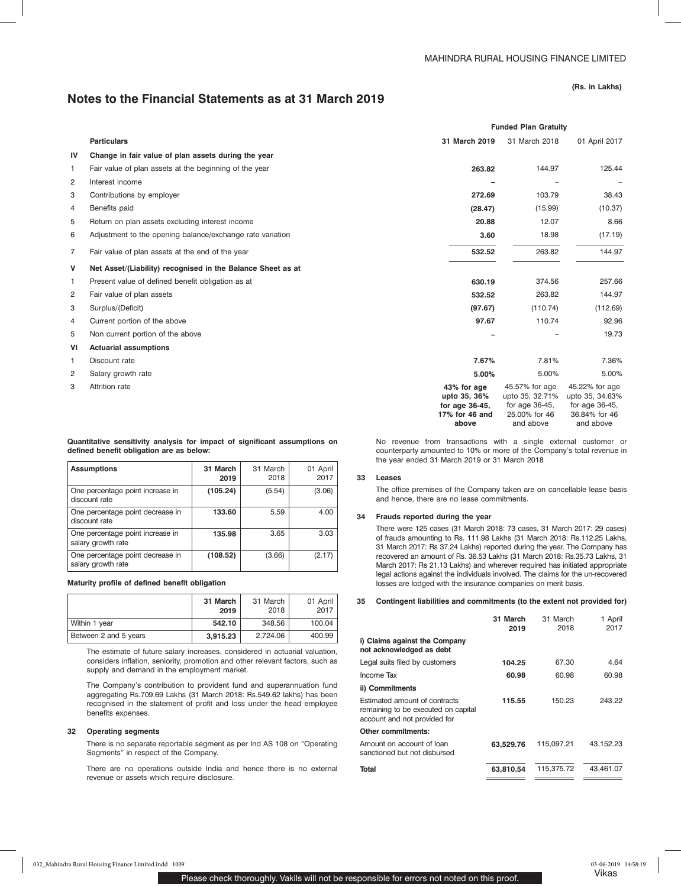## **Notes to the Financial Statements as at 31 March 2019**

**(Rs. in Lakhs)**

|                |                                                             |                                                                 | <b>Funded Plan Gratuity</b>                                             |                                                                      |
|----------------|-------------------------------------------------------------|-----------------------------------------------------------------|-------------------------------------------------------------------------|----------------------------------------------------------------------|
|                | <b>Particulars</b>                                          | 31 March 2019                                                   | 31 March 2018                                                           | 01 April 2017                                                        |
| IV             | Change in fair value of plan assets during the year         |                                                                 |                                                                         |                                                                      |
| 1              | Fair value of plan assets at the beginning of the year      | 263.82                                                          | 144.97                                                                  | 125.44                                                               |
| 2              | Interest income                                             |                                                                 |                                                                         | $\overline{\phantom{a}}$                                             |
| 3              | Contributions by employer                                   | 272.69                                                          | 103.79                                                                  | 38.43                                                                |
| 4              | Benefits paid                                               | (28.47)                                                         | (15.99)                                                                 | (10.37)                                                              |
| 5              | Return on plan assets excluding interest income             | 20.88                                                           | 12.07                                                                   | 8.66                                                                 |
| 6              | Adjustment to the opening balance/exchange rate variation   | 3.60                                                            | 18.98                                                                   | (17.19)                                                              |
| 7              | Fair value of plan assets at the end of the year            | 532.52                                                          | 263.82                                                                  | 144.97                                                               |
| $\mathsf{v}$   | Net Asset/(Liability) recognised in the Balance Sheet as at |                                                                 |                                                                         |                                                                      |
| 1              | Present value of defined benefit obligation as at           | 630.19                                                          | 374.56                                                                  | 257.66                                                               |
| $\overline{c}$ | Fair value of plan assets                                   | 532.52                                                          | 263.82                                                                  | 144.97                                                               |
| 3              | Surplus/(Deficit)                                           | (97.67)                                                         | (110.74)                                                                | (112.69)                                                             |
| 4              | Current portion of the above                                | 97.67                                                           | 110.74                                                                  | 92.96                                                                |
| 5              | Non current portion of the above                            |                                                                 |                                                                         | 19.73                                                                |
| VI             | <b>Actuarial assumptions</b>                                |                                                                 |                                                                         |                                                                      |
| 1              | Discount rate                                               | 7.67%                                                           | 7.81%                                                                   | 7.36%                                                                |
| 2              | Salary growth rate                                          | 5.00%                                                           | 5.00%                                                                   | 5.00%                                                                |
| 3              | Attrition rate                                              | 43% for age<br>upto 35, 36%<br>for age 36-45,<br>17% for 46 and | 45.57% for age<br>upto 35, 32.71%<br>for age $36-45$ ,<br>25.00% for 46 | 45.22% for age<br>upto 35, 34.63%<br>for age 36-45.<br>36.84% for 46 |

**Quantitative sensitivity analysis for impact of significant assumptions on defined benefit obligation are as below:**

| <b>Assumptions</b>                                     | 31 March<br>2019 | 31 March<br>2018 | 01 April<br>2017 |
|--------------------------------------------------------|------------------|------------------|------------------|
| One percentage point increase in<br>discount rate      | (105.24)         | (5.54)           | (3.06)           |
| One percentage point decrease in<br>discount rate      | 133.60           | 5.59             | 4.00             |
| One percentage point increase in<br>salary growth rate | 135.98           | 3.65             | 3.03             |
| One percentage point decrease in<br>salary growth rate | (108.52)         | (3.66)           | (2.17)           |

## **Maturity profile of defined benefit obligation**

|                       | 31 March<br>2019 | 31 March<br>2018 | 01 April<br>2017 |
|-----------------------|------------------|------------------|------------------|
| Within 1 year         | 542.10           | 348.56           | 100.04           |
| Between 2 and 5 years | 3,915.23         | 2.724.06         | 400.99           |

The estimate of future salary increases, considered in actuarial valuation, considers inflation, seniority, promotion and other relevant factors, such as supply and demand in the employment market.

The Company's contribution to provident fund and superannuation fund aggregating Rs.709.69 Lakhs (31 March 2018: Rs.549.62 lakhs) has been recognised in the statement of profit and loss under the head employee benefits expenses.

#### **32 Operating segments**

There is no separate reportable segment as per Ind AS 108 on "Operating Segments" in respect of the Company.

There are no operations outside India and hence there is no external revenue or assets which require disclosure.

No revenue from transactions with a single external customer or counterparty amounted to 10% or more of the Company's total revenue in the year ended 31 March 2019 or 31 March 2018

and above

and above

**above**

#### **33 Leases**

The office premises of the Company taken are on cancellable lease basis and hence, there are no lease commitments.

### **34 Frauds reported during the year**

There were 125 cases (31 March 2018: 73 cases, 31 March 2017: 29 cases) of frauds amounting to Rs. 111.98 Lakhs (31 March 2018: Rs.112.25 Lakhs, 31 March 2017: Rs 37.24 Lakhs) reported during the year. The Company has recovered an amount of Rs. 36.53 Lakhs (31 March 2018: Rs.35.73 Lakhs, 31 March 2017: Rs 21.13 Lakhs) and wherever required has initiated appropriate legal actions against the individuals involved. The claims for the un-recovered losses are lodged with the insurance companies on merit basis.

#### **35 Contingent liabilities and commitments (to the extent not provided for)**

|                                                                                                      | 31 March<br>2019 | 31 March<br>2018 | 1 April<br>2017 |
|------------------------------------------------------------------------------------------------------|------------------|------------------|-----------------|
| i) Claims against the Company<br>not acknowledged as debt                                            |                  |                  |                 |
| Legal suits filed by customers                                                                       | 104.25           | 67.30            | 4.64            |
| Income Tax                                                                                           | 60.98            | 60.98            | 60.98           |
| ii) Commitments                                                                                      |                  |                  |                 |
| Estimated amount of contracts<br>remaining to be executed on capital<br>account and not provided for | 115.55           | 150.23           | 243.22          |
| <b>Other commitments:</b>                                                                            |                  |                  |                 |
| Amount on account of loan<br>sanctioned but not disbursed                                            | 63,529.76        | 115,097.21       | 43,152.23       |
| <b>Total</b>                                                                                         | 63.810.54        | 115.375.72       | 43.461.07       |

 $\mathbf{r}$ 

 $\mathbf{r}$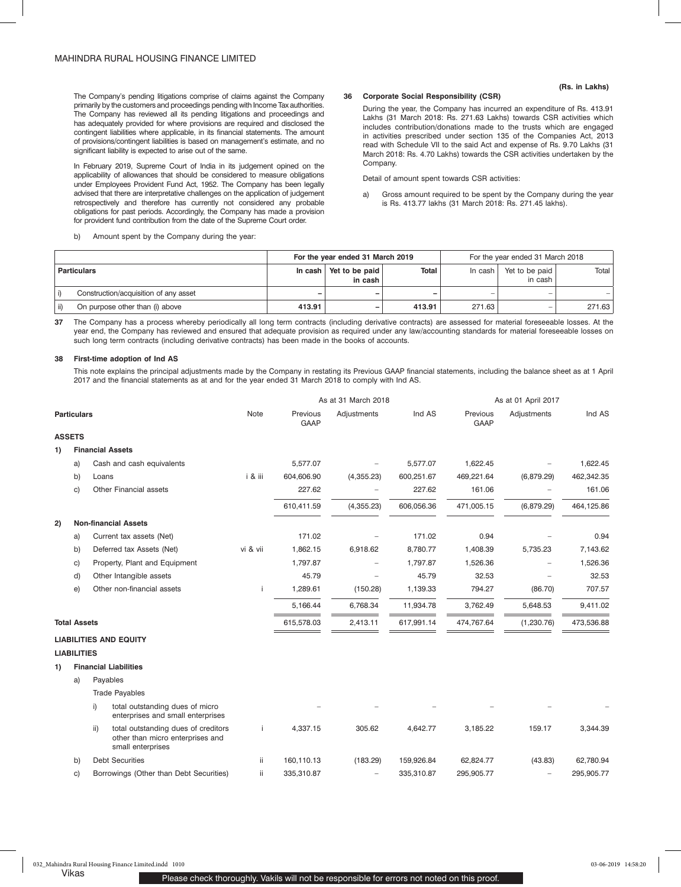The Company's pending litigations comprise of claims against the Company primarily by the customers and proceedings pending with Income Tax authorities. The Company has reviewed all its pending litigations and proceedings and has adequately provided for where provisions are required and disclosed the contingent liabilities where applicable, in its financial statements. The amount of provisions/contingent liabilities is based on management's estimate, and no significant liability is expected to arise out of the same.

In February 2019, Supreme Court of India in its judgement opined on the applicability of allowances that should be considered to measure obligations under Employees Provident Fund Act, 1952. The Company has been legally advised that there are interpretative challenges on the application of judgement retrospectively and therefore has currently not considered any probable obligations for past periods. Accordingly, the Company has made a provision for provident fund contribution from the date of the Supreme Court order.

b) Amount spent by the Company during the year:

## **36 Corporate Social Responsibility (CSR)**

During the year, the Company has incurred an expenditure of Rs. 413.91 Lakhs (31 March 2018: Rs. 271.63 Lakhs) towards CSR activities which includes contribution/donations made to the trusts which are engaged in activities prescribed under section 135 of the Companies Act, 2013 read with Schedule VII to the said Act and expense of Rs. 9.70 Lakhs (31 March 2018: Rs. 4.70 Lakhs) towards the CSR activities undertaken by the Company.

Detail of amount spent towards CSR activities:

a) Gross amount required to be spent by the Company during the year is Rs. 413.77 lakhs (31 March 2018: Rs. 271.45 lakhs).

|                                        | For the year ended 31 March 2019<br>For the year ended 31 March 2018 |                           |        |         |                           |        |
|----------------------------------------|----------------------------------------------------------------------|---------------------------|--------|---------|---------------------------|--------|
| <b>Particulars</b>                     | In cash                                                              | Yet to be paid<br>in cash | Total  | In cash | Yet to be paid<br>in cash | Total  |
| Construction/acquisition of any asset  |                                                                      | -                         | -      | $\sim$  | -                         |        |
| On purpose other than (i) above<br>ii) | 413.91                                                               | -                         | 413.91 | 271.63  | -                         | 271.63 |

**37** The Company has a process whereby periodically all long term contracts (including derivative contracts) are assessed for material foreseeable losses. At the year end, the Company has reviewed and ensured that adequate provision as required under any law/accounting standards for material foreseeable losses on such long term contracts (including derivative contracts) has been made in the books of accounts.

## **38 First-time adoption of Ind AS**

This note explains the principal adjustments made by the Company in restating its Previous GAAP financial statements, including the balance sheet as at 1 April 2017 and the financial statements as at and for the year ended 31 March 2018 to comply with Ind AS.

|    |                     | As at 31 March 2018 |                                                                                              | As at 01 April 2017 |                         |                          |            |                         |             |            |
|----|---------------------|---------------------|----------------------------------------------------------------------------------------------|---------------------|-------------------------|--------------------------|------------|-------------------------|-------------|------------|
|    | <b>Particulars</b>  |                     |                                                                                              | Note                | Previous<br><b>GAAP</b> | Adjustments              | Ind AS     | Previous<br><b>GAAP</b> | Adjustments | Ind AS     |
|    | <b>ASSETS</b>       |                     |                                                                                              |                     |                         |                          |            |                         |             |            |
| 1) |                     |                     | <b>Financial Assets</b>                                                                      |                     |                         |                          |            |                         |             |            |
|    | a)                  |                     | Cash and cash equivalents                                                                    |                     | 5,577.07                |                          | 5,577.07   | 1,622.45                |             | 1,622.45   |
|    | b)                  | Loans               |                                                                                              | i & iii             | 604,606.90              | (4,355.23)               | 600,251.67 | 469,221.64              | (6,879.29)  | 462,342.35 |
|    | C)                  |                     | Other Financial assets                                                                       |                     | 227.62                  |                          | 227.62     | 161.06                  |             | 161.06     |
|    |                     |                     |                                                                                              |                     | 610,411.59              | (4,355.23)               | 606,056.36 | 471,005.15              | (6,879.29)  | 464,125.86 |
| 2) |                     |                     | <b>Non-financial Assets</b>                                                                  |                     |                         |                          |            |                         |             |            |
|    | a)                  |                     | Current tax assets (Net)                                                                     |                     | 171.02                  | $\overline{\phantom{0}}$ | 171.02     | 0.94                    |             | 0.94       |
|    | b)                  |                     | Deferred tax Assets (Net)                                                                    | vi & vii            | 1,862.15                | 6,918.62                 | 8,780.77   | 1,408.39                | 5,735.23    | 7,143.62   |
|    | C)                  |                     | Property, Plant and Equipment                                                                |                     | 1,797.87                |                          | 1,797.87   | 1,526.36                | ÷           | 1,526.36   |
|    | d)                  |                     | Other Intangible assets                                                                      |                     | 45.79                   | ÷.                       | 45.79      | 32.53                   |             | 32.53      |
|    | e)                  |                     | Other non-financial assets                                                                   | j.                  | 1,289.61                | (150.28)                 | 1,139.33   | 794.27                  | (86.70)     | 707.57     |
|    |                     |                     |                                                                                              |                     | 5,166.44                | 6,768.34                 | 11,934.78  | 3,762.49                | 5,648.53    | 9,411.02   |
|    | <b>Total Assets</b> |                     |                                                                                              |                     | 615,578.03              | 2,413.11                 | 617,991.14 | 474,767.64              | (1,230.76)  | 473,536.88 |
|    |                     |                     | <b>LIABILITIES AND EQUITY</b>                                                                |                     |                         |                          |            |                         |             |            |
|    | <b>LIABILITIES</b>  |                     |                                                                                              |                     |                         |                          |            |                         |             |            |
| 1) |                     |                     | <b>Financial Liabilities</b>                                                                 |                     |                         |                          |            |                         |             |            |
|    | a)                  | Payables            |                                                                                              |                     |                         |                          |            |                         |             |            |
|    |                     |                     | <b>Trade Payables</b>                                                                        |                     |                         |                          |            |                         |             |            |
|    |                     | i)                  | total outstanding dues of micro<br>enterprises and small enterprises                         |                     |                         |                          |            |                         |             |            |
|    |                     | ii)                 | total outstanding dues of creditors<br>other than micro enterprises and<br>small enterprises |                     | 4,337.15                | 305.62                   | 4,642.77   | 3,185.22                | 159.17      | 3,344.39   |
|    | b)                  |                     | <b>Debt Securities</b>                                                                       | ii                  | 160,110.13              | (183.29)                 | 159,926.84 | 62,824.77               | (43.83)     | 62,780.94  |
|    | C)                  |                     | Borrowings (Other than Debt Securities)                                                      | ii.                 | 335,310.87              |                          | 335,310.87 | 295,905.77              |             | 295,905.77 |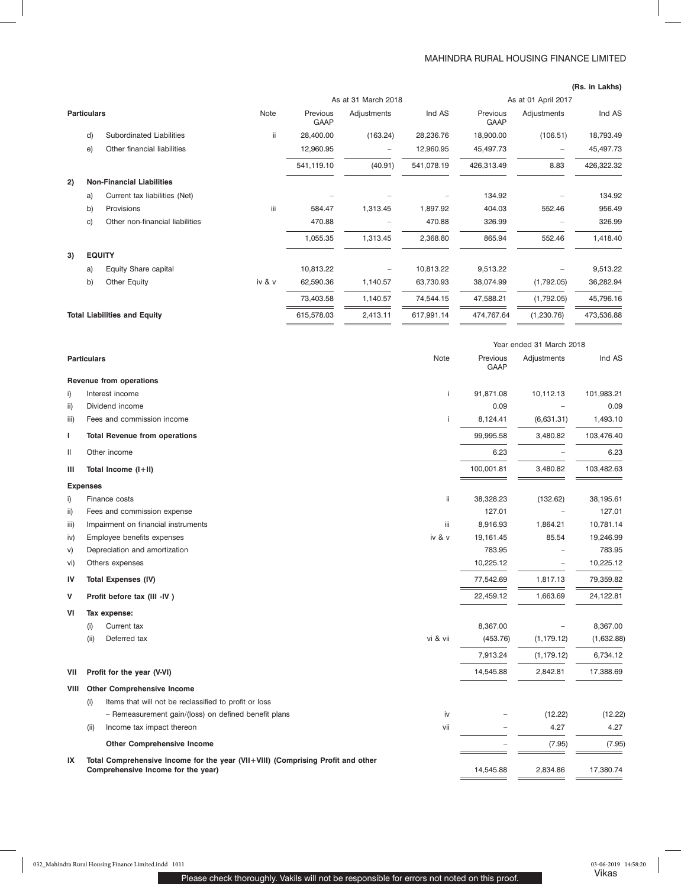## MAHINDRA RURAL HOUSING FINANCE LIMITED

|                                     |                     |                                  |             |                         |                     |            |                         |             | (Rs. in Lakhs) |
|-------------------------------------|---------------------|----------------------------------|-------------|-------------------------|---------------------|------------|-------------------------|-------------|----------------|
|                                     | As at 31 March 2018 |                                  |             |                         | As at 01 April 2017 |            |                         |             |                |
|                                     | <b>Particulars</b>  |                                  | <b>Note</b> | Previous<br><b>GAAP</b> | Adjustments         | Ind AS     | Previous<br><b>GAAP</b> | Adjustments | Ind AS         |
|                                     | d)                  | Subordinated Liabilities         | ii.         | 28,400.00               | (163.24)            | 28,236.76  | 18,900.00               | (106.51)    | 18,793.49      |
|                                     | e)                  | Other financial liabilities      |             | 12,960.95               | -                   | 12,960.95  | 45,497.73               | -           | 45,497.73      |
|                                     |                     |                                  |             | 541,119.10              | (40.91)             | 541,078.19 | 426,313.49              | 8.83        | 426,322.32     |
| 2)                                  |                     | <b>Non-Financial Liabilities</b> |             |                         |                     |            |                         |             |                |
|                                     | a)                  | Current tax liabilities (Net)    |             |                         |                     |            | 134.92                  |             | 134.92         |
|                                     | b)                  | Provisions                       | iii         | 584.47                  | 1,313.45            | 1,897.92   | 404.03                  | 552.46      | 956.49         |
|                                     | C)                  | Other non-financial liabilities  |             | 470.88                  |                     | 470.88     | 326.99                  |             | 326.99         |
|                                     |                     |                                  |             | 1,055.35                | 1,313.45            | 2,368.80   | 865.94                  | 552.46      | 1,418.40       |
| 3)                                  | <b>EQUITY</b>       |                                  |             |                         |                     |            |                         |             |                |
|                                     | a)                  | Equity Share capital             |             | 10,813.22               | -                   | 10,813.22  | 9,513.22                |             | 9,513.22       |
|                                     | b)                  | Other Equity                     | iv & v      | 62,590.36               | 1,140.57            | 63,730.93  | 38,074.99               | (1,792.05)  | 36,282.94      |
|                                     |                     |                                  |             | 73,403.58               | 1,140.57            | 74,544.15  | 47,588.21               | (1,792.05)  | 45,796.16      |
| <b>Total Liabilities and Equity</b> |                     |                                  | 615,578.03  | 2,413.11                | 617,991.14          | 474,767.64 | (1,230.76)              | 473,536.88  |                |

 $=$ 

 $\equiv$ 

 $=$ 

| Note<br>Previous<br><b>Particulars</b><br>Adjustments<br><b>GAAP</b><br>Revenue from operations<br>91,871.08<br>i)<br>Interest income<br>i.<br>10,112.13<br>Dividend income<br>ii)<br>0.09<br>(6,631.31)<br>Fees and commission income<br>8,124.41<br>iii)<br>99,995.58<br>3,480.82<br><b>Total Revenue from operations</b><br>L<br>$\mathbf{  }$<br>6.23<br>Other income<br>100,001.81<br>3,480.82<br>Total Income (I+II)<br>ш<br><b>Expenses</b><br>ii.<br>i)<br>Finance costs<br>38,328.23<br>(132.62)<br>ii)<br>127.01<br>Fees and commission expense<br>Impairment on financial instruments<br>iii.<br>8,916.93<br>1,864.21<br>iii)<br>iv & v<br>Employee benefits expenses<br>19,161.45<br>85.54<br>iv)<br>Depreciation and amortization<br>783.95<br>V)<br>Others expenses<br>10,225.12<br>vi)<br>1,817.13<br>IV<br><b>Total Expenses (IV)</b><br>77,542.69<br>v<br>22,459.12<br>1,663.69<br>Profit before tax (III -IV)<br>VI<br>Tax expense:<br>8,367.00<br>Current tax<br>(i)<br>vi & vii<br>(i)<br>Deferred tax<br>(1, 179.12)<br>(453.76) | Ind AS<br>101,983.21<br>0.09<br>1,493.10<br>103,476.40<br>6.23<br>103,482.63<br>38,195.61<br>127.01<br>10,781.14<br>19,246.99 |
|-------------------------------------------------------------------------------------------------------------------------------------------------------------------------------------------------------------------------------------------------------------------------------------------------------------------------------------------------------------------------------------------------------------------------------------------------------------------------------------------------------------------------------------------------------------------------------------------------------------------------------------------------------------------------------------------------------------------------------------------------------------------------------------------------------------------------------------------------------------------------------------------------------------------------------------------------------------------------------------------------------------------------------------------------------|-------------------------------------------------------------------------------------------------------------------------------|
|                                                                                                                                                                                                                                                                                                                                                                                                                                                                                                                                                                                                                                                                                                                                                                                                                                                                                                                                                                                                                                                       |                                                                                                                               |
|                                                                                                                                                                                                                                                                                                                                                                                                                                                                                                                                                                                                                                                                                                                                                                                                                                                                                                                                                                                                                                                       |                                                                                                                               |
|                                                                                                                                                                                                                                                                                                                                                                                                                                                                                                                                                                                                                                                                                                                                                                                                                                                                                                                                                                                                                                                       |                                                                                                                               |
|                                                                                                                                                                                                                                                                                                                                                                                                                                                                                                                                                                                                                                                                                                                                                                                                                                                                                                                                                                                                                                                       |                                                                                                                               |
|                                                                                                                                                                                                                                                                                                                                                                                                                                                                                                                                                                                                                                                                                                                                                                                                                                                                                                                                                                                                                                                       |                                                                                                                               |
|                                                                                                                                                                                                                                                                                                                                                                                                                                                                                                                                                                                                                                                                                                                                                                                                                                                                                                                                                                                                                                                       |                                                                                                                               |
|                                                                                                                                                                                                                                                                                                                                                                                                                                                                                                                                                                                                                                                                                                                                                                                                                                                                                                                                                                                                                                                       |                                                                                                                               |
|                                                                                                                                                                                                                                                                                                                                                                                                                                                                                                                                                                                                                                                                                                                                                                                                                                                                                                                                                                                                                                                       |                                                                                                                               |
|                                                                                                                                                                                                                                                                                                                                                                                                                                                                                                                                                                                                                                                                                                                                                                                                                                                                                                                                                                                                                                                       |                                                                                                                               |
|                                                                                                                                                                                                                                                                                                                                                                                                                                                                                                                                                                                                                                                                                                                                                                                                                                                                                                                                                                                                                                                       |                                                                                                                               |
|                                                                                                                                                                                                                                                                                                                                                                                                                                                                                                                                                                                                                                                                                                                                                                                                                                                                                                                                                                                                                                                       |                                                                                                                               |
|                                                                                                                                                                                                                                                                                                                                                                                                                                                                                                                                                                                                                                                                                                                                                                                                                                                                                                                                                                                                                                                       |                                                                                                                               |
|                                                                                                                                                                                                                                                                                                                                                                                                                                                                                                                                                                                                                                                                                                                                                                                                                                                                                                                                                                                                                                                       |                                                                                                                               |
|                                                                                                                                                                                                                                                                                                                                                                                                                                                                                                                                                                                                                                                                                                                                                                                                                                                                                                                                                                                                                                                       | 783.95                                                                                                                        |
|                                                                                                                                                                                                                                                                                                                                                                                                                                                                                                                                                                                                                                                                                                                                                                                                                                                                                                                                                                                                                                                       | 10,225.12                                                                                                                     |
|                                                                                                                                                                                                                                                                                                                                                                                                                                                                                                                                                                                                                                                                                                                                                                                                                                                                                                                                                                                                                                                       | 79,359.82                                                                                                                     |
|                                                                                                                                                                                                                                                                                                                                                                                                                                                                                                                                                                                                                                                                                                                                                                                                                                                                                                                                                                                                                                                       | 24,122.81                                                                                                                     |
|                                                                                                                                                                                                                                                                                                                                                                                                                                                                                                                                                                                                                                                                                                                                                                                                                                                                                                                                                                                                                                                       |                                                                                                                               |
|                                                                                                                                                                                                                                                                                                                                                                                                                                                                                                                                                                                                                                                                                                                                                                                                                                                                                                                                                                                                                                                       | 8,367.00                                                                                                                      |
|                                                                                                                                                                                                                                                                                                                                                                                                                                                                                                                                                                                                                                                                                                                                                                                                                                                                                                                                                                                                                                                       | (1,632.88)                                                                                                                    |
| 7,913.24<br>(1, 179.12)                                                                                                                                                                                                                                                                                                                                                                                                                                                                                                                                                                                                                                                                                                                                                                                                                                                                                                                                                                                                                               | 6,734.12                                                                                                                      |
| Profit for the year (V-VI)<br>14,545.88<br>2,842.81<br>VII                                                                                                                                                                                                                                                                                                                                                                                                                                                                                                                                                                                                                                                                                                                                                                                                                                                                                                                                                                                            | 17,388.69                                                                                                                     |
| <b>VIII</b><br><b>Other Comprehensive Income</b>                                                                                                                                                                                                                                                                                                                                                                                                                                                                                                                                                                                                                                                                                                                                                                                                                                                                                                                                                                                                      |                                                                                                                               |
| (i)<br>Items that will not be reclassified to profit or loss                                                                                                                                                                                                                                                                                                                                                                                                                                                                                                                                                                                                                                                                                                                                                                                                                                                                                                                                                                                          |                                                                                                                               |
| - Remeasurement gain/(loss) on defined benefit plans<br>(12.22)<br>iv                                                                                                                                                                                                                                                                                                                                                                                                                                                                                                                                                                                                                                                                                                                                                                                                                                                                                                                                                                                 | (12.22)                                                                                                                       |
| Income tax impact thereon<br>4.27<br>(ii)<br>vii                                                                                                                                                                                                                                                                                                                                                                                                                                                                                                                                                                                                                                                                                                                                                                                                                                                                                                                                                                                                      | 4.27                                                                                                                          |
| <b>Other Comprehensive Income</b><br>(7.95)                                                                                                                                                                                                                                                                                                                                                                                                                                                                                                                                                                                                                                                                                                                                                                                                                                                                                                                                                                                                           | (7.95)                                                                                                                        |
| Total Comprehensive Income for the year (VII+VIII) (Comprising Profit and other<br>IX<br>Comprehensive Income for the year)<br>14,545.88<br>2,834.86                                                                                                                                                                                                                                                                                                                                                                                                                                                                                                                                                                                                                                                                                                                                                                                                                                                                                                  | 17,380.74                                                                                                                     |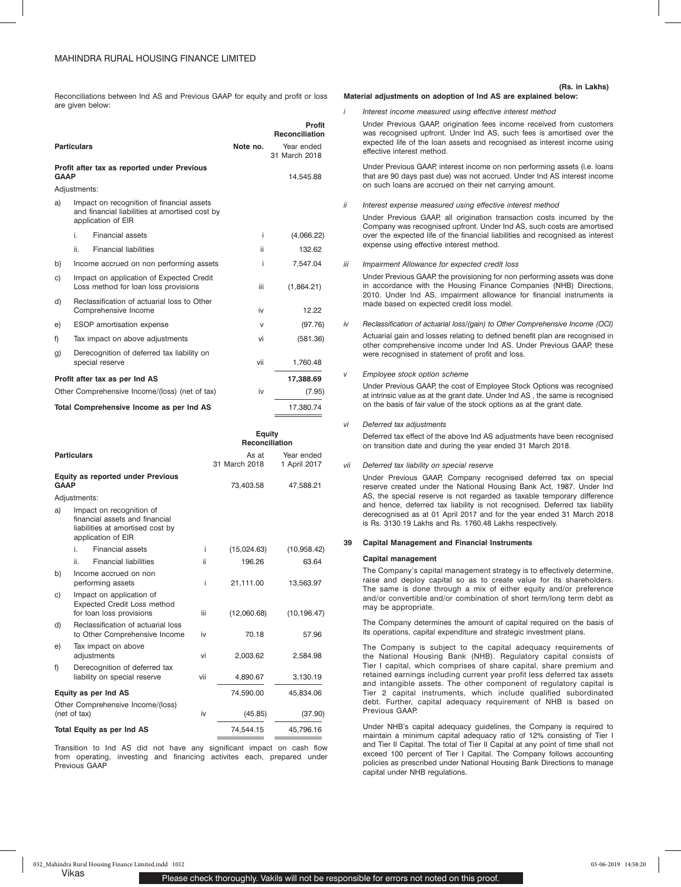Reconciliations between Ind AS and Previous GAAP for equity and profit or loss are given below:

|             | <b>Particulars</b> |                                                                                                                   | Note no. | Profit<br>Reconciliation<br>Year ended<br>31 March 2018 |
|-------------|--------------------|-------------------------------------------------------------------------------------------------------------------|----------|---------------------------------------------------------|
| <b>GAAP</b> |                    | Profit after tax as reported under Previous                                                                       |          | 14,545.88                                               |
|             | Adjustments:       |                                                                                                                   |          |                                                         |
| a)          |                    | Impact on recognition of financial assets<br>and financial liabilities at amortised cost by<br>application of EIR |          |                                                         |
|             | i.                 | Financial assets                                                                                                  | i        | (4,066.22)                                              |
|             | ii.                | <b>Financial liabilities</b>                                                                                      | ii       | 132.62                                                  |
| b)          |                    | Income accrued on non performing assets                                                                           | i        | 7,547.04                                                |
| C)          |                    | Impact on application of Expected Credit<br>Loss method for loan loss provisions                                  | iii      | (1,864.21)                                              |
| d)          |                    | Reclassification of actuarial loss to Other<br>Comprehensive Income                                               | iv       | 12.22                                                   |
| e)          |                    | <b>ESOP</b> amortisation expense                                                                                  | v        | (97.76)                                                 |
| f)          |                    | Tax impact on above adjustments                                                                                   | vi       | (581.36)                                                |
| g)          |                    | Derecognition of deferred tax liability on<br>special reserve                                                     | vii      | 1,760.48                                                |
|             |                    | Profit after tax as per Ind AS                                                                                    |          | 17,388.69                                               |
|             |                    | Other Comprehensive Income/(loss) (net of tax)                                                                    | iv       | (7.95)                                                  |
|             |                    | Total Comprehensive Income as per Ind AS                                                                          |          | 17,380.74                                               |

|             |                    |                                                                                                                      |     | Equity<br>Reconciliation |                            |  |
|-------------|--------------------|----------------------------------------------------------------------------------------------------------------------|-----|--------------------------|----------------------------|--|
|             | <b>Particulars</b> |                                                                                                                      |     | As at<br>31 March 2018   | Year ended<br>1 April 2017 |  |
| <b>GAAP</b> |                    | <b>Equity as reported under Previous</b>                                                                             |     | 73,403.58<br>47,588.21   |                            |  |
|             | Adjustments:       |                                                                                                                      |     |                          |                            |  |
| a)          |                    | Impact on recognition of<br>financial assets and financial<br>liabilities at amortised cost by<br>application of EIR |     |                          |                            |  |
|             | i.                 | Financial assets                                                                                                     | Ť   | (15,024.63)              | (10,958.42)                |  |
|             | ii.                | <b>Financial liabilities</b>                                                                                         | ii. | 196.26                   | 63.64                      |  |
| b)          |                    | Income accrued on non<br>performing assets                                                                           | j.  | 21,111.00                | 13,563.97                  |  |
| C)          |                    | Impact on application of<br><b>Expected Credit Loss method</b><br>for loan loss provisions                           | iii | (12,060.68)              | (10, 196.47)               |  |
| d)          |                    | Reclassification of actuarial loss<br>to Other Comprehensive Income                                                  | iv  | 70.18                    | 57.96                      |  |
| e)          |                    | Tax impact on above<br>adjustments                                                                                   | vi  | 2,003.62                 | 2,584.98                   |  |
| f)          |                    | Derecognition of deferred tax<br>liability on special reserve                                                        | vii | 4,890.67                 | 3,130.19                   |  |
|             |                    | Equity as per Ind AS                                                                                                 |     | 74,590.00                | 45,834.06                  |  |
|             | (net of tax)       | Other Comprehensive Income/(loss)                                                                                    | iv  | (45.85)                  | (37.90)                    |  |
|             |                    | <b>Total Equity as per Ind AS</b>                                                                                    |     | 74,544.15                | 45,796.16                  |  |
|             |                    |                                                                                                                      |     |                          |                            |  |

Transition to Ind AS did not have any significant impact on cash flow from operating, investing and financing activites each, prepared under Previous GAAP

#### **Material adjustments on adoption of Ind AS are explained below: (Rs. in Lakhs)**

*i Interest income measured using effective interest method*

Under Previous GAAP, origination fees income received from customers was recognised upfront. Under Ind AS, such fees is amortised over the expected life of the loan assets and recognised as interest income using effective interest method.

Under Previous GAAP, interest income on non performing assets (i.e. loans that are 90 days past due) was not accrued. Under Ind AS interest income on such loans are accrued on their net carrying amount.

*ii Interest expense measured using effective interest method*

Under Previous GAAP, all origination transaction costs incurred by the Company was recognised upfront. Under Ind AS, such costs are amortised over the expected life of the financial liabilities and recognised as interest expense using effective interest method.

*iii Impairment Allowance for expected credit loss*

Under Previous GAAP, the provisioning for non performing assets was done in accordance with the Housing Finance Companies (NHB) Directions, 2010. Under Ind AS, impairment allowance for financial instruments is made based on expected credit loss model.

*iv Reclassification of actuarial loss/(gain) to Other Comprehensive Income (OCI)* Actuarial gain and losses relating to defined benefit plan are recognised in other comprehensive income under Ind AS. Under Previous GAAP, these were recognised in statement of profit and loss.

## *Employee stock option scheme*

Under Previous GAAP, the cost of Employee Stock Options was recognised at intrinsic value as at the grant date. Under Ind AS , the same is recognised on the basis of fair value of the stock options as at the grant date.

*vi Deferred tax adjustments*

Deferred tax effect of the above Ind AS adjustments have been recognised on transition date and during the year ended 31 March 2018.

#### *vii Deferred tax liability on special reserve*

Under Previous GAAP, Company recognised deferred tax on special reserve created under the National Housing Bank Act, 1987. Under Ind AS, the special reserve is not regarded as taxable temporary difference and hence, deferred tax liability is not recognised. Deferred tax liability derecognised as at 01 April 2017 and for the year ended 31 March 2018 is Rs. 3130.19 Lakhs and Rs. 1760.48 Lakhs respectively.

## **39 Capital Management and Financial Instruments**

#### **Capital management**

The Company's capital management strategy is to effectively determine, raise and deploy capital so as to create value for its shareholders. The same is done through a mix of either equity and/or preference and/or convertible and/or combination of short term/long term debt as may be appropriate.

The Company determines the amount of capital required on the basis of its operations, capital expenditure and strategic investment plans.

The Company is subject to the capital adequacy requirements of the National Housing Bank (NHB). Regulatory capital consists of Tier I capital, which comprises of share capital, share premium and retained earnings including current year profit less deferred tax assets and intangible assets. The other component of regulatory capital is Tier 2 capital instruments, which include qualified subordinated debt. Further, capital adequacy requirement of NHB is based on Previous GAAP.

Under NHB's capital adequacy guidelines, the Company is required to maintain a minimum capital adequacy ratio of 12% consisting of Tier I and Tier II Capital. The total of Tier II Capital at any point of time shall not exceed 100 percent of Tier I Capital. The Company follows accounting policies as prescribed under National Housing Bank Directions to manage capital under NHB regulations.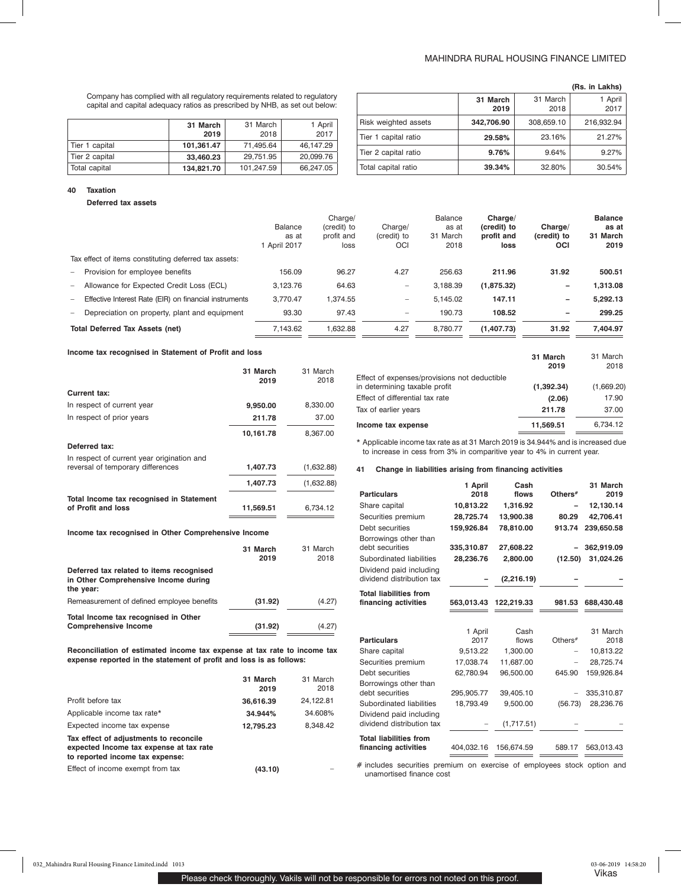## MAHINDRA RURAL HOUSING FINANCE LIMITED

**(Rs. in Lakhs)**

Company has complied with all regulatory requirements related to regulatory capital and capital adequacy ratios as prescribed by NHB, as set out below:

|                | 31 March   | 31 March   | 1 April   |
|----------------|------------|------------|-----------|
|                | 2019       | 2018       | 2017      |
| Tier 1 capital | 101.361.47 | 71.495.64  | 46.147.29 |
| Tier 2 capital | 33,460,23  | 29.751.95  | 20,099.76 |
| Total capital  | 134,821.70 | 101,247.59 | 66,247.05 |

|                      |                  |                  | וטווא⊾ ווו ⊿מו  |
|----------------------|------------------|------------------|-----------------|
|                      | 31 March<br>2019 | 31 March<br>2018 | 1 April<br>2017 |
| Risk weighted assets | 342.706.90       | 308,659.10       | 216,932.94      |
| Tier 1 capital ratio | 29.58%           | 23.16%           | 21.27%          |
| Tier 2 capital ratio | 9.76%            | 9.64%            | 9.27%           |
| Total capital ratio  | 39.34%           | 32.80%           | 30.54%          |

#### **40 Taxation**

### **Deferred tax assets**

|                          |                                                        | Balance<br>as at<br>1 April 2017 | Charge/<br>(credit) to<br>profit and<br>loss | Charge/<br>(credit) to<br><b>OCI</b> | Balance<br>as at<br>31 March<br>2018 | Charge/<br>(credit) to<br>profit and<br>loss | Charge/<br>(credit) to<br><b>OCI</b> | <b>Balance</b><br>as at<br>31 March<br>2019 |
|--------------------------|--------------------------------------------------------|----------------------------------|----------------------------------------------|--------------------------------------|--------------------------------------|----------------------------------------------|--------------------------------------|---------------------------------------------|
|                          | Tax effect of items constituting deferred tax assets:  |                                  |                                              |                                      |                                      |                                              |                                      |                                             |
| $\overline{\phantom{a}}$ | Provision for employee benefits                        | 156.09                           | 96.27                                        | 4.27                                 | 256.63                               | 211.96                                       | 31.92                                | 500.51                                      |
| $\overline{\phantom{a}}$ | Allowance for Expected Credit Loss (ECL)               | 3,123.76                         | 64.63                                        |                                      | 3,188.39                             | (1,875.32)                                   | -                                    | 1,313.08                                    |
| $\overline{\phantom{a}}$ | Effective Interest Rate (EIR) on financial instruments | 3.770.47                         | 1.374.55                                     | -                                    | 5.145.02                             | 147.11                                       | -                                    | 5.292.13                                    |
| $\overline{\phantom{a}}$ | Depreciation on property, plant and equipment          | 93.30                            | 97.43                                        | $\overline{\phantom{0}}$             | 190.73                               | 108.52                                       | $\qquad \qquad$                      | 299.25                                      |
|                          | <b>Total Deferred Tax Assets (net)</b>                 | 7,143.62                         | 1,632.88                                     | 4.27                                 | 8.780.77                             | (1,407.73)                                   | 31.92                                | 7,404.97                                    |

### **Income tax recognised in Statement of Profit and loss**

|                                                                                 | 31 March<br>2019 | 31 March<br>2018 |
|---------------------------------------------------------------------------------|------------------|------------------|
| Current tax:                                                                    |                  |                  |
| In respect of current year                                                      | 9,950.00         | 8,330.00         |
| In respect of prior years                                                       | 211.78           | 37.00            |
|                                                                                 | 10,161.78        | 8,367.00         |
| Deferred tax:                                                                   |                  |                  |
| In respect of current year origination and<br>reversal of temporary differences | 1,407.73         | (1,632.88)       |
|                                                                                 | 1,407.73         | (1,632.88)       |
| Total Income tax recognised in Statement<br>of Profit and loss                  | 11,569.51        | 6,734.12         |
| Income tax recognised in Other Comprehensive Income                             |                  |                  |

### **31 March 2019** 31 March 2018 **Deferred tax related to items recognised in Other Comprehensive Income during the year:** Remeasurement of defined employee benefits **(31.92)** (4.27) **Total Income tax recognised in Other Comprehensive Income (31.92)** (4.27)

**Reconciliation of estimated income tax expense at tax rate to income tax expense reported in the statement of profit and loss is as follows:**

|                                                                                                                      | 31 March<br>2019 | 31 March<br>2018 |
|----------------------------------------------------------------------------------------------------------------------|------------------|------------------|
| Profit before tax                                                                                                    | 36,616.39        | 24,122.81        |
| Applicable income tax rate*                                                                                          | 34.944%          | 34.608%          |
| Expected income tax expense                                                                                          | 12.795.23        | 8.348.42         |
| Tax effect of adjustments to reconcile<br>expected Income tax expense at tax rate<br>to reported income tax expense: |                  |                  |
| Effect of income exempt from tax                                                                                     | (43.10)          |                  |

|                                                                               | 31 March<br>2019 | 31 March<br>2018 |
|-------------------------------------------------------------------------------|------------------|------------------|
| Effect of expenses/provisions not deductible<br>in determining taxable profit | (1,392.34)       | (1,669.20)       |
| Effect of differential tax rate                                               | (2.06)           | 17.90            |
| Tax of earlier years                                                          | 211.78           | 37.00            |
| Income tax expense                                                            | 11.569.51        | 6,734.12         |

\* Applicable income tax rate as at 31 March 2019 is 34.944% and is increased due to increase in cess from 3% in comparitive year to 4% in current year.

## **41 Change in liabilities arising from financing activities**

| <b>Particulars</b>                                                                              | 1 April<br>2018         | Cash<br>flows         | Others <sup>#</sup> | 31 March<br>2019        |
|-------------------------------------------------------------------------------------------------|-------------------------|-----------------------|---------------------|-------------------------|
| Share capital                                                                                   | 10,813.22               | 1,316.92              |                     | 12,130.14               |
| Securities premium                                                                              | 28,725.74               | 13,900.38             | 80.29               | 42,706.41               |
| Debt securities                                                                                 | 159,926.84              | 78,810.00             | 913.74              | 239,650.58              |
| Borrowings other than<br>debt securities<br>Subordinated liabilities<br>Dividend paid including | 335,310.87<br>28,236.76 | 27,608.22<br>2,800.00 | (12.50)             | 362,919.09<br>31,024.26 |
| dividend distribution tax                                                                       |                         | (2, 216.19)           |                     |                         |
| <b>Total liabilities from</b><br>financing activities                                           | 563,013.43              | 122,219.33            | 981.53              | 688,430.48              |
|                                                                                                 | 1 April                 | Cash                  |                     | 31 March                |
| <b>Particulars</b>                                                                              | 2017                    | flows                 | Others $#$          | 2018                    |
| Share capital                                                                                   | 9,513.22                | 1,300.00              |                     | 10,813.22               |
| Securities premium                                                                              | 17.038.74               | 11.687.00             |                     | 28.725.74               |
| Debt securities                                                                                 | 62,780.94               | 96,500.00             | 645.90              | 159,926.84              |
| Borrowings other than<br>debt securities                                                        | 295,905.77              | 39,405.10             |                     | 335,310.87              |
| Subordinated liabilities                                                                        | 18,793.49               | 9,500.00              | (56.73)             | 28,236.76               |
| Dividend paid including<br>dividend distribution tax                                            |                         | (1,717.51)            |                     |                         |
| <b>Total liabilities from</b><br>financing activities                                           | 404,032.16              | 156,674.59            | 589.17              | 563,013.43              |

# includes securities premium on exercise of employees stock option and unamortised finance cost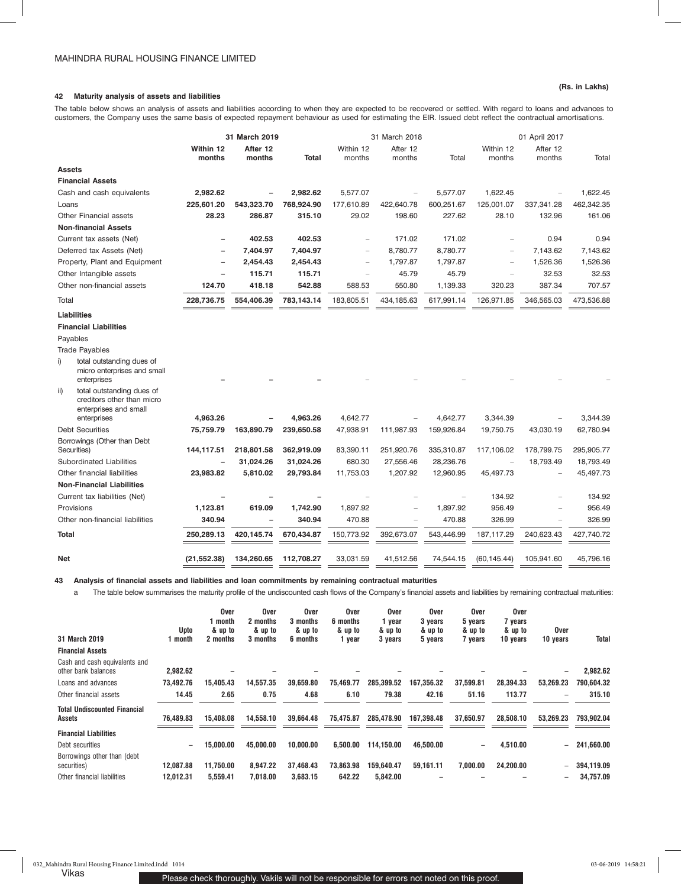## **42 Maturity analysis of assets and liabilities**

The table below shows an analysis of assets and liabilities according to when they are expected to be recovered or settled. With regard to loans and advances to customers, the Company uses the same basis of expected repayment behaviour as used for estimating the EIR. Issued debt reflect the contractual amortisations.

|               |                                                                                  |                     | 31 March 2019            |              |                          | 31 March 2018            |            | 01 April 2017       |                    |            |  |
|---------------|----------------------------------------------------------------------------------|---------------------|--------------------------|--------------|--------------------------|--------------------------|------------|---------------------|--------------------|------------|--|
|               |                                                                                  | Within 12<br>months | After 12<br>months       | <b>Total</b> | Within 12<br>months      | After 12<br>months       | Total      | Within 12<br>months | After 12<br>months | Total      |  |
| <b>Assets</b> |                                                                                  |                     |                          |              |                          |                          |            |                     |                    |            |  |
|               | <b>Financial Assets</b>                                                          |                     |                          |              |                          |                          |            |                     |                    |            |  |
|               | Cash and cash equivalents                                                        | 2,982.62            |                          | 2,982.62     | 5,577.07                 |                          | 5,577.07   | 1,622.45            |                    | 1.622.45   |  |
| Loans         |                                                                                  | 225,601.20          | 543,323.70               | 768,924.90   | 177,610.89               | 422,640.78               | 600,251.67 | 125,001.07          | 337,341.28         | 462,342.35 |  |
|               | Other Financial assets                                                           | 28.23               | 286.87                   | 315.10       | 29.02                    | 198.60                   | 227.62     | 28.10               | 132.96             | 161.06     |  |
|               | <b>Non-financial Assets</b>                                                      |                     |                          |              |                          |                          |            |                     |                    |            |  |
|               | Current tax assets (Net)                                                         |                     | 402.53                   | 402.53       |                          | 171.02                   | 171.02     |                     | 0.94               | 0.94       |  |
|               | Deferred tax Assets (Net)                                                        |                     | 7,404.97                 | 7,404.97     | $\overline{\phantom{0}}$ | 8,780.77                 | 8,780.77   | ۳                   | 7,143.62           | 7,143.62   |  |
|               | Property, Plant and Equipment                                                    |                     | 2,454.43                 | 2,454.43     | $\equiv$                 | 1,797.87                 | 1,797.87   |                     | 1,526.36           | 1,526.36   |  |
|               | Other Intangible assets                                                          |                     | 115.71                   | 115.71       |                          | 45.79                    | 45.79      |                     | 32.53              | 32.53      |  |
|               | Other non-financial assets                                                       | 124.70              | 418.18                   | 542.88       | 588.53                   | 550.80                   | 1,139.33   | 320.23              | 387.34             | 707.57     |  |
| Total         |                                                                                  | 228,736.75          | 554,406.39               | 783,143.14   | 183,805.51               | 434,185.63               | 617,991.14 | 126,971.85          | 346,565.03         | 473,536.88 |  |
|               | <b>Liabilities</b>                                                               |                     |                          |              |                          |                          |            |                     |                    |            |  |
|               | <b>Financial Liabilities</b>                                                     |                     |                          |              |                          |                          |            |                     |                    |            |  |
|               | Payables                                                                         |                     |                          |              |                          |                          |            |                     |                    |            |  |
|               | <b>Trade Payables</b>                                                            |                     |                          |              |                          |                          |            |                     |                    |            |  |
| i)            | total outstanding dues of<br>micro enterprises and small<br>enterprises          |                     |                          |              |                          |                          |            |                     |                    |            |  |
| ii)           | total outstanding dues of<br>creditors other than micro<br>enterprises and small |                     |                          |              |                          |                          |            |                     |                    |            |  |
|               | enterprises                                                                      | 4,963.26            |                          | 4,963.26     | 4,642.77                 |                          | 4,642.77   | 3,344.39            |                    | 3,344.39   |  |
|               | <b>Debt Securities</b>                                                           | 75,759.79           | 163,890.79               | 239,650.58   | 47,938.91                | 111,987.93               | 159,926.84 | 19,750.75           | 43,030.19          | 62,780.94  |  |
|               | Borrowings (Other than Debt<br>Securities)                                       | 144,117.51          | 218,801.58               | 362,919.09   | 83,390.11                | 251,920.76               | 335,310.87 | 117,106.02          | 178,799.75         | 295,905.77 |  |
|               | Subordinated Liabilities                                                         |                     | 31,024.26                | 31,024.26    | 680.30                   | 27,556.46                | 28,236.76  |                     | 18,793.49          | 18,793.49  |  |
|               | Other financial liabilities                                                      | 23,983.82           | 5,810.02                 | 29,793.84    | 11,753.03                | 1,207.92                 | 12,960.95  | 45,497.73           |                    | 45,497.73  |  |
|               | <b>Non-Financial Liabilities</b>                                                 |                     |                          |              |                          |                          |            |                     |                    |            |  |
|               | Current tax liabilities (Net)                                                    |                     |                          |              |                          |                          |            | 134.92              |                    | 134.92     |  |
|               | Provisions                                                                       | 1,123.81            | 619.09                   | 1,742.90     | 1,897.92                 |                          | 1,897.92   | 956.49              |                    | 956.49     |  |
|               | Other non-financial liabilities                                                  | 340.94              | $\overline{\phantom{0}}$ | 340.94       | 470.88                   | $\overline{\phantom{0}}$ | 470.88     | 326.99              |                    | 326.99     |  |
| <b>Total</b>  |                                                                                  | 250,289.13          | 420,145.74               | 670,434.87   | 150,773.92               | 392,673.07               | 543,446.99 | 187,117.29          | 240,623.43         | 427,740.72 |  |
|               |                                                                                  |                     |                          |              |                          |                          |            |                     |                    |            |  |
| Net           |                                                                                  | (21, 552.38)        | 134,260.65               | 112,708.27   | 33,031.59                | 41,512.56                | 74,544.15  | (60, 145.44)        | 105,941.60         | 45,796.16  |  |

**43 Analysis of financial assets and liabilities and loan commitments by remaining contractual maturities**

a The table below summarises the maturity profile of the undiscounted cash flows of the Company's financial assets and liabilities by remaining contractual maturities:

| 31 March 2019                                        | Upto<br>month | <b>Over</b><br>month<br>& up to<br>2 months | <b>Over</b><br>2 months<br>& up to<br>3 months | <b>Over</b><br>3 months<br>& up to<br>6 months | Over<br>6 months<br>& up to<br>1 year | <b>Over</b><br>year<br>& up to<br>3 years | <b>Over</b><br>3 years<br>& up to<br>5 years | Over<br>5 years<br>& up to<br>7 years | Over<br>7 years<br>& up to<br>10 years | <b>Over</b><br>10 years      | Total      |
|------------------------------------------------------|---------------|---------------------------------------------|------------------------------------------------|------------------------------------------------|---------------------------------------|-------------------------------------------|----------------------------------------------|---------------------------------------|----------------------------------------|------------------------------|------------|
| <b>Financial Assets</b>                              |               |                                             |                                                |                                                |                                       |                                           |                                              |                                       |                                        |                              |            |
| Cash and cash equivalents and<br>other bank balances | 2.982.62      |                                             |                                                |                                                |                                       |                                           |                                              |                                       |                                        | $\qquad \qquad \blacksquare$ | 2,982.62   |
| Loans and advances                                   | 73.492.76     | 15.405.43                                   | 14,557.35                                      | 39,659.80                                      | 75,469.77                             | 285.399.52                                | 167.356.32                                   | 37,599.81                             | 28,394.33                              | 53,269.23                    | 790.604.32 |
| Other financial assets                               | 14.45         | 2.65                                        | 0.75                                           | 4.68                                           | 6.10                                  | 79.38                                     | 42.16                                        | 51.16                                 | 113.77                                 | $\overline{\phantom{a}}$     | 315.10     |
| <b>Total Undiscounted Financial</b><br>Assets        | 76,489.83     | 15.408.08                                   | 14,558.10                                      | 39,664.48                                      | 75,475.87                             | 285,478.90                                | 167,398.48                                   | 37,650.97                             | 28,508.10                              | 53,269.23                    | 793,902.04 |
| <b>Financial Liabilities</b>                         |               |                                             |                                                |                                                |                                       |                                           |                                              |                                       |                                        |                              |            |
| Debt securities                                      |               | 15.000.00                                   | 45.000.00                                      | 10.000.00                                      | 6.500.00                              | 114.150.00                                | 46.500.00                                    | -                                     | 4.510.00                               | $\overline{\phantom{a}}$     | 241.660.00 |
| Borrowings other than (debt<br>securities)           | 12.087.88     | 11,750.00                                   | 8,947.22                                       | 37,468.43                                      | 73,863.98                             | 159.640.47                                | 59,161.11                                    | 7,000.00                              | 24,200.00                              | $\qquad \qquad -$            | 394,119.09 |
| Other financial liabilities                          | 12.012.31     | 5.559.41                                    | 7.018.00                                       | 3.683.15                                       | 642.22                                | 5.842.00                                  |                                              |                                       |                                        | $\overline{\phantom{m}}$     | 34.757.09  |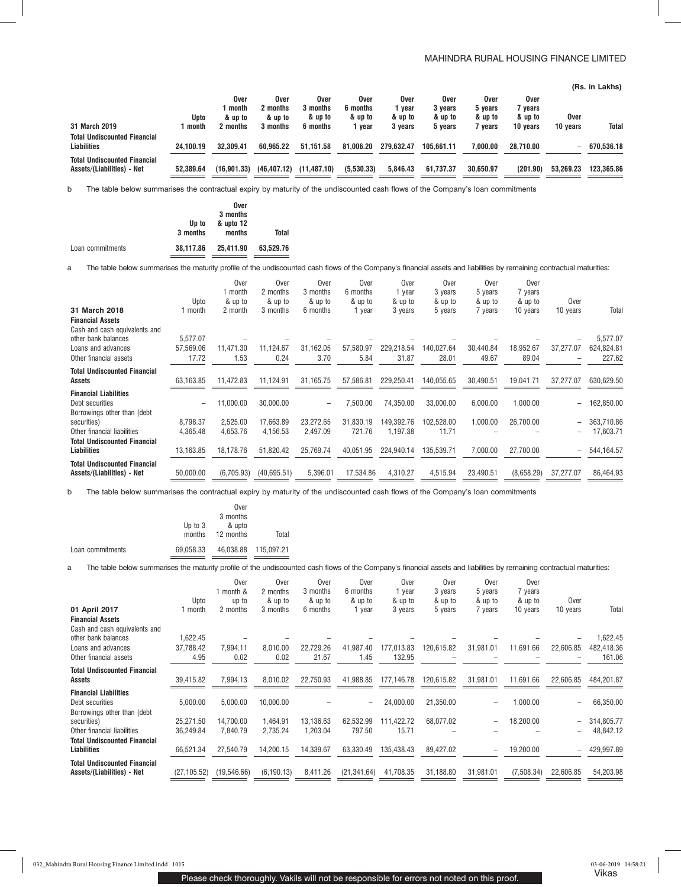## MAHINDRA RURAL HOUSING FINANCE LIMITED

|                                                                   |           |                          |                             |                             |                             |                         |                            |                            |                            |                          | (Rs. in Lakhs) |
|-------------------------------------------------------------------|-----------|--------------------------|-----------------------------|-----------------------------|-----------------------------|-------------------------|----------------------------|----------------------------|----------------------------|--------------------------|----------------|
|                                                                   | Upto      | Over<br>month<br>& up to | Over<br>2 months<br>& up to | Over<br>3 months<br>& up to | Over<br>6 months<br>& up to | Over<br>vear<br>& up to | Over<br>3 vears<br>& up to | Over<br>5 vears<br>& up to | Over<br>7 vears<br>& up to | Over                     |                |
| 31 March 2019                                                     | month     | 2 months                 | 3 months                    | 6 months                    | year                        | 3 years                 | 5 vears                    | 7 vears                    | 10 years                   | 10 years                 | <b>Total</b>   |
| <b>Total Undiscounted Financial</b><br><b>Liabilities</b>         | 24.100.19 | 32.309.41                | 60.965.22                   | 51.151.58                   | 81.006.20                   | 279.632.47              | 105.661.11                 | 7.000.00                   | 28.710.00                  | $\overline{\phantom{0}}$ | 670.536.18     |
| <b>Total Undiscounted Financial</b><br>Assets/(Liabilities) - Net | 52.389.64 | (16.901.33)              | (46, 407.12)                | (11, 487.10)                | (5,530.33)                  | 5.846.43                | 61.737.37                  | 30.650.97                  | (201.90)                   | 53.269.23                | 123.365.86     |

b The table below summarises the contractual expiry by maturity of the undiscounted cash flows of the Company's loan commitments

|                  |           | Over      |           |
|------------------|-----------|-----------|-----------|
|                  |           | 3 months  |           |
|                  | Up to     | & upto 12 |           |
|                  | 3 months  | months    | Total     |
| Loan commitments | 38.117.86 | 25.411.90 | 63.529.76 |

a The table below summarises the maturity profile of the undiscounted cash flows of the Company's financial assets and liabilities by remaining contractual maturities:

|                                     |               | <b>Over</b>        | Over                | Over                         | Over      | Over       | Over       | Over      | Over       |                          |            |
|-------------------------------------|---------------|--------------------|---------------------|------------------------------|-----------|------------|------------|-----------|------------|--------------------------|------------|
|                                     |               | 1 month            | 2 months            | 3 months                     | 6 months  | l year     | 3 years    | 5 years   | 7 years    |                          |            |
|                                     | Upto<br>month | & up to<br>2 month | & up to<br>3 months | & up to<br>6 months          | & up to   | & up to    | & up to    | & up to   | & up to    | Over                     |            |
| 31 March 2018                       |               |                    |                     |                              | 1 year    | 3 years    | 5 years    | 7 years   | 10 years   | 10 years                 | Total      |
| <b>Financial Assets</b>             |               |                    |                     |                              |           |            |            |           |            |                          |            |
| Cash and cash equivalents and       |               |                    |                     |                              |           |            |            |           |            |                          |            |
| other bank balances                 | 5.577.07      |                    |                     |                              |           |            |            |           |            |                          | 5,577.07   |
| Loans and advances                  | 57.569.06     | 11,471.30          | 11,124.67           | 31,162.05                    | 57,580.97 | 229,218.54 | 140.027.64 | 30.440.84 | 18,952.67  | 37,277.07                | 624,824.81 |
| Other financial assets              | 17.72         | 1.53               | 0.24                | 3.70                         | 5.84      | 31.87      | 28.01      | 49.67     | 89.04      |                          | 227.62     |
| <b>Total Undiscounted Financial</b> |               |                    |                     |                              |           |            |            |           |            |                          |            |
| Assets                              | 63,163.85     | 11,472.83          | 11,124.91           | 31,165.75                    | 57,586.81 | 229,250.41 | 140,055.65 | 30,490.51 | 19,041.71  | 37,277.07                | 630,629.50 |
| <b>Financial Liabilities</b>        |               |                    |                     |                              |           |            |            |           |            |                          |            |
| Debt securities                     |               | 11.000.00          | 30,000.00           | $\qquad \qquad \blacksquare$ | 7.500.00  | 74.350.00  | 33.000.00  | 6.000.00  | 1.000.00   | $\overline{\phantom{a}}$ | 162,850.00 |
| Borrowings other than (debt         |               |                    |                     |                              |           |            |            |           |            |                          |            |
| securities)                         | 8.798.37      | 2.525.00           | 17,663.89           | 23,272.65                    | 31,830.19 | 149.392.76 | 102.528.00 | 1,000.00  | 26,700.00  | $\qquad \qquad$          | 363,710.86 |
| Other financial liabilities         | 4,365.48      | 4,653.76           | 4,156.53            | 2,497.09                     | 721.76    | 1,197.38   | 11.71      |           |            |                          | 17,603.71  |
| <b>Total Undiscounted Financial</b> |               |                    |                     |                              |           |            |            |           |            |                          |            |
| <b>Liabilities</b>                  | 13,163.85     | 18,178.76          | 51,820.42           | 25,769.74                    | 40,051.95 | 224,940.14 | 135,539.71 | 7,000.00  | 27,700.00  | $\overline{\phantom{a}}$ | 544,164.57 |
| <b>Total Undiscounted Financial</b> |               |                    |                     |                              |           |            |            |           |            |                          |            |
| Assets/(Liabilities) - Net          | 50,000.00     | (6,705.93)         | (40,695.51)         | 5,396.01                     | 17,534.86 | 4,310.27   | 4,515.94   | 23,490.51 | (8,658.29) | 37,277.07                | 86,464.93  |
|                                     |               |                    |                     |                              |           |            |            |           |            |                          |            |

b The table below summarises the contractual expiry by maturity of the undiscounted cash flows of the Company's loan commitments

|                  |           | Over      |                      |
|------------------|-----------|-----------|----------------------|
|                  |           | 3 months  |                      |
|                  | Up to $3$ | & upto    |                      |
|                  | months    | 12 months | Total                |
| Loan commitments | 69.058.33 |           | 46.038.88 115.097.21 |

a The table below summarises the maturity profile of the undiscounted cash flows of the Company's financial assets and liabilities by remaining contractual maturities:

|                                     |              | Over<br>1 month & | Over<br>2 months | Over<br>3 months | Over<br>6 months | Over<br>1 year | Over<br>3 years | Over<br>5 years   | Over<br>7 years |           |            |
|-------------------------------------|--------------|-------------------|------------------|------------------|------------------|----------------|-----------------|-------------------|-----------------|-----------|------------|
|                                     | Upto         | up to             | & up to          | & up to          | & up to          | & up to        | & up to         | & up to           | & up to         | Over      |            |
| 01 April 2017                       | month        | 2 months          | 3 months         | 6 months         | 1 year           | 3 years        | 5 years         | 7 years           | 10 years        | 10 years  | Total      |
| <b>Financial Assets</b>             |              |                   |                  |                  |                  |                |                 |                   |                 |           |            |
| Cash and cash equivalents and       |              |                   |                  |                  |                  |                |                 |                   |                 |           |            |
| other bank balances                 | 1,622.45     |                   |                  |                  |                  |                |                 |                   |                 |           | ,622.45    |
| Loans and advances                  | 37,788.42    | 7.994.11          | 8.010.00         | 22,729.26        | 41,987.40        | 177,013.83     | 120,615.82      | 31,981.01         | 11,691.66       | 22,606.85 | 482,418.36 |
| Other financial assets              | 4.95         | 0.02              | 0.02             | 21.67            | 1.45             | 132.95         |                 |                   |                 |           | 161.06     |
| <b>Total Undiscounted Financial</b> |              |                   |                  |                  |                  |                |                 |                   |                 |           |            |
| Assets                              | 39,415.82    | 7.994.13          | 8,010.02         | 22,750.93        | 41,988.85        | 177.146.78     | 120,615.82      | 31.981.01         | 11,691.66       | 22,606.85 | 484.201.87 |
| <b>Financial Liabilities</b>        |              |                   |                  |                  |                  |                |                 |                   |                 |           |            |
| Debt securities                     | 5,000.00     | 5,000.00          | 10,000.00        |                  | -                | 24,000.00      | 21,350.00       | -                 | 1,000.00        |           | 66,350.00  |
| Borrowings other than (debt         |              |                   |                  |                  |                  |                |                 |                   |                 |           |            |
| securities)                         | 25,271.50    | 14.700.00         | 1.464.91         | 13,136.63        | 62,532.99        | 111,422.72     | 68,077.02       | ۰                 | 18,200.00       |           | 314,805.77 |
| Other financial liabilities         | 36.249.84    | 7.840.79          | 2.735.24         | 1.203.04         | 797.50           | 15.71          |                 |                   |                 |           | 48,842.12  |
| <b>Total Undiscounted Financial</b> |              |                   |                  |                  |                  |                |                 |                   |                 |           |            |
| <b>Liabilities</b>                  | 66.521.34    | 27.540.79         | 14,200.15        | 14,339.67        | 63.330.49        | 135.438.43     | 89,427.02       | $\qquad \qquad -$ | 19,200.00       |           | 429,997.89 |
| <b>Total Undiscounted Financial</b> |              |                   |                  |                  |                  |                |                 |                   |                 |           |            |
| Assets/(Liabilities) - Net          | (27, 105.52) | (19, 546.66)      | (6, 190.13)      | 8,411.26         | (21, 341.64)     | 41,708.35      | 31.188.80       | 31,981.01         | (7,508.34)      | 22.606.85 | 54,203.98  |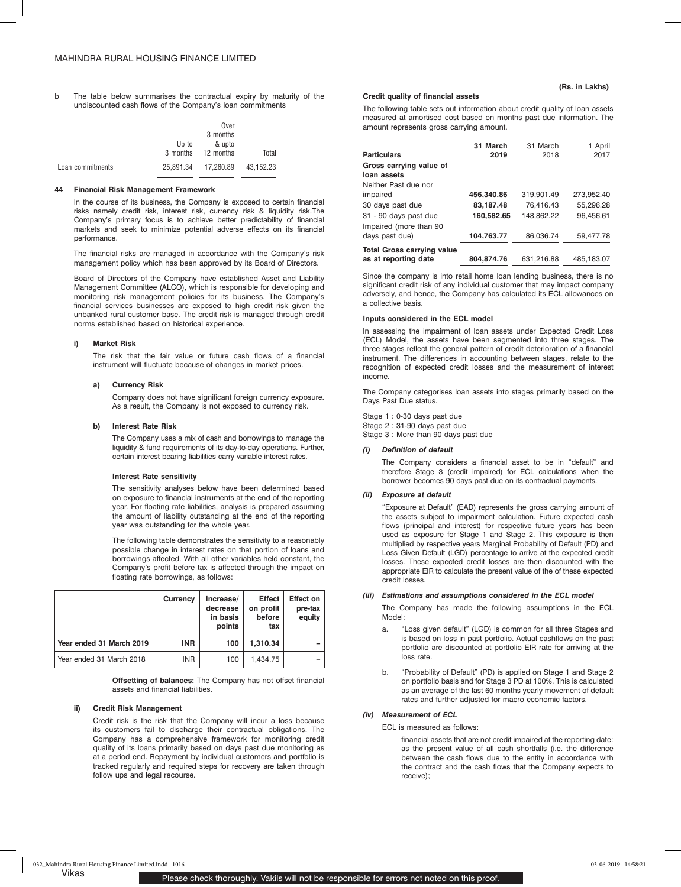b The table below summarises the contractual expiry by maturity of the undiscounted cash flows of the Company's loan commitments

|                  |       | Over                |           |
|------------------|-------|---------------------|-----------|
|                  |       | 3 months            |           |
|                  | Up to | & upto              |           |
|                  |       | 3 months 12 months  | Total     |
| Loan commitments |       | 25.891.34 17.260.89 | 43.152.23 |

#### **44 Financial Risk Management Framework**

In the course of its business, the Company is exposed to certain financial risks namely credit risk, interest risk, currency risk & liquidity risk.The Company's primary focus is to achieve better predictability of financial markets and seek to minimize potential adverse effects on its financial performance.

The financial risks are managed in accordance with the Company's risk management policy which has been approved by its Board of Directors.

Board of Directors of the Company have established Asset and Liability Management Committee (ALCO), which is responsible for developing and monitoring risk management policies for its business. The Company's financial services businesses are exposed to high credit risk given the unbanked rural customer base. The credit risk is managed through credit norms established based on historical experience.

## **i) Market Risk**

The risk that the fair value or future cash flows of a financial instrument will fluctuate because of changes in market prices.

### **a) Currency Risk**

Company does not have significant foreign currency exposure. As a result, the Company is not exposed to currency risk.

#### **b) Interest Rate Risk**

The Company uses a mix of cash and borrowings to manage the liquidity & fund requirements of its day-to-day operations. Further, certain interest bearing liabilities carry variable interest rates.

#### **Interest Rate sensitivity**

The sensitivity analyses below have been determined based on exposure to financial instruments at the end of the reporting year. For floating rate liabilities, analysis is prepared assuming the amount of liability outstanding at the end of the reporting year was outstanding for the whole year.

The following table demonstrates the sensitivity to a reasonably possible change in interest rates on that portion of loans and borrowings affected. With all other variables held constant, the Company's profit before tax is affected through the impact on floating rate borrowings, as follows:

|                          | Currency   | Increase/<br>decrease<br>in basis<br>points | <b>Effect</b><br>on profit<br>before<br>tax | <b>Effect on</b><br>pre-tax<br>equity |
|--------------------------|------------|---------------------------------------------|---------------------------------------------|---------------------------------------|
| Year ended 31 March 2019 | <b>INR</b> | 100                                         | 1.310.34                                    |                                       |
| Year ended 31 March 2018 | <b>INR</b> | 100                                         | 1.434.75                                    |                                       |

**Offsetting of balances:** The Company has not offset financial assets and financial liabilities.

#### **ii) Credit Risk Management**

Credit risk is the risk that the Company will incur a loss because its customers fail to discharge their contractual obligations. The Company has a comprehensive framework for monitoring credit quality of its loans primarily based on days past due monitoring as at a period end. Repayment by individual customers and portfolio is tracked regularly and required steps for recovery are taken through follow ups and legal recourse.

#### **Credit quality of financial assets**

The following table sets out information about credit quality of loan assets measured at amortised cost based on months past due information. The amount represents gross carrying amount.

| <b>Particulars</b>                                        | 31 March<br>2019        | 31 March<br>2018 | 1 April<br>2017 |
|-----------------------------------------------------------|-------------------------|------------------|-----------------|
| Gross carrying value of<br>loan assets                    |                         |                  |                 |
| Neither Past due nor                                      |                         | 319.901.49       | 273.952.40      |
| impaired<br>30 days past due                              | 456,340.86<br>83,187.48 | 76.416.43        | 55,296.28       |
| 31 - 90 days past due<br>Impaired (more than 90           | 160.582.65              | 148.862.22       | 96.456.61       |
| days past due)                                            | 104,763.77              | 86.036.74        | 59.477.78       |
| <b>Total Gross carrying value</b><br>as at reporting date | 804.874.76              | 631.216.88       | 485,183.07      |

Since the company is into retail home loan lending business, there is no significant credit risk of any individual customer that may impact company adversely, and hence, the Company has calculated its ECL allowances on a collective basis.

### **Inputs considered in the ECL model**

In assessing the impairment of loan assets under Expected Credit Loss (ECL) Model, the assets have been segmented into three stages. The three stages reflect the general pattern of credit deterioration of a financial instrument. The differences in accounting between stages, relate to the recognition of expected credit losses and the measurement of interest income.

The Company categorises loan assets into stages primarily based on the Days Past Due status.

Stage 1 : 0-30 days past due Stage 2 : 31-90 days past due Stage 3 : More than 90 days past due

#### *(i) Definition of default*

The Company considers a financial asset to be in "default" and therefore Stage 3 (credit impaired) for ECL calculations when the borrower becomes 90 days past due on its contractual payments.

#### *(ii) Exposure at default*

"Exposure at Default" (EAD) represents the gross carrying amount of the assets subject to impairment calculation. Future expected cash flows (principal and interest) for respective future years has been used as exposure for Stage 1 and Stage 2. This exposure is then multiplied by respective years Marginal Probability of Default (PD) and Loss Given Default (LGD) percentage to arrive at the expected credit losses. These expected credit losses are then discounted with the appropriate EIR to calculate the present value of the of these expected credit losses.

#### *(iii) Estimations and assumptions considered in the ECL model*

The Company has made the following assumptions in the ECL Model:

- a. "Loss given default" (LGD) is common for all three Stages and is based on loss in past portfolio. Actual cashflows on the past portfolio are discounted at portfolio EIR rate for arriving at the loss rate.
- b. "Probability of Default" (PD) is applied on Stage 1 and Stage 2 on portfolio basis and for Stage 3 PD at 100%. This is calculated as an average of the last 60 months yearly movement of default rates and further adjusted for macro economic factors.

#### *(iv) Measurement of ECL*

ECL is measured as follows:

financial assets that are not credit impaired at the reporting date: as the present value of all cash shortfalls (i.e. the difference between the cash flows due to the entity in accordance with the contract and the cash flows that the Company expects to receive);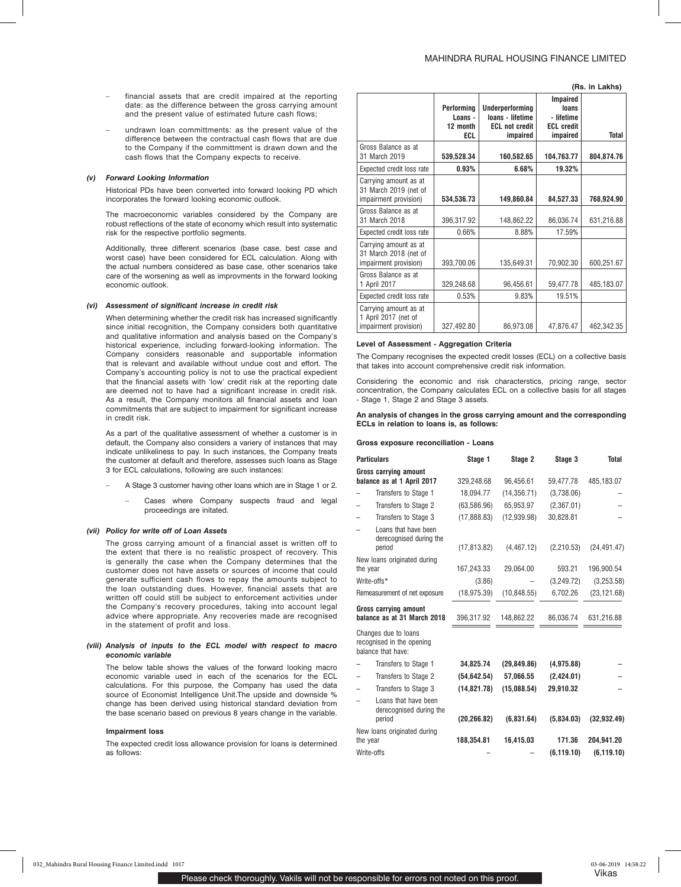**(Rs. in Lakhs)**

- financial assets that are credit impaired at the reporting date: as the difference between the gross carrying amount and the present value of estimated future cash flows;
- undrawn loan committments: as the present value of the difference between the contractual cash flows that are due to the Company if the committment is drawn down and the cash flows that the Company expects to receive.

#### *(v) Forward Looking Information*

Historical PDs have been converted into forward looking PD which incorporates the forward looking economic outlook.

The macroeconomic variables considered by the Company are robust reflections of the state of economy which result into systematic risk for the respective portfolio segments.

Additionally, three different scenarios (base case, best case and worst case) have been considered for ECL calculation. Along with the actual numbers considered as base case, other scenarios take care of the worsening as well as improvments in the forward looking economic outlook.

#### *(vi) Assessment of significant increase in credit risk*

When determining whether the credit risk has increased significantly since initial recognition, the Company considers both quantitative and qualitative information and analysis based on the Company's historical experience, including forward-looking information. The Company considers reasonable and supportable information that is relevant and available without undue cost and effort. The Company's accounting policy is not to use the practical expedient that the financial assets with 'low' credit risk at the reporting date are deemed not to have had a significant increase in credit risk. As a result, the Company monitors all financial assets and loan commitments that are subject to impairment for significant increase in credit risk.

As a part of the qualitative assessment of whether a customer is in default, the Company also considers a variery of instances that may indicate unlikeliness to pay. In such instances, the Company treats the customer at default and therefore, assesses such loans as Stage 3 for ECL calculations, following are such instances:

- A Stage 3 customer having other loans which are in Stage 1 or 2.
	- Cases where Company suspects fraud and legal proceedings are initated.

#### *(vii) Policy for write off of Loan Assets*

The gross carrying amount of a financial asset is written off to the extent that there is no realistic prospect of recovery. This is generally the case when the Company determines that the customer does not have assets or sources of income that could generate sufficient cash flows to repay the amounts subject to the loan outstanding dues. However, financial assets that are written off could still be subject to enforcement activities under the Company's recovery procedures, taking into account legal advice where appropriate. Any recoveries made are recognised in the statement of profit and loss.

### *(viii) Analysis of inputs to the ECL model with respect to macro economic variable*

The below table shows the values of the forward looking macro economic variable used in each of the scenarios for the ECL calculations. For this purpose, the Company has used the data source of Economist Intelligence Unit.The upside and downside % change has been derived using historical standard deviation from the base scenario based on previous 8 years change in the variable.

#### **Impairment loss**

The expected credit loss allowance provision for loans is determined as follows:

|                                                                         | Performing<br>Loans -<br>12 month<br>ECL | <b>Underperforming</b><br>loans - lifetime<br><b>ECL not credit</b><br>impaired | <b>Impaired</b><br>loans<br>- lifetime<br><b>ECL credit</b><br>impaired | Total      |
|-------------------------------------------------------------------------|------------------------------------------|---------------------------------------------------------------------------------|-------------------------------------------------------------------------|------------|
| Gross Balance as at<br>31 March 2019                                    | 539,528.34                               | 160,582.65                                                                      | 104,763.77                                                              | 804,874.76 |
| Expected credit loss rate                                               | 0.93%                                    | 6.68%                                                                           | 19.32%                                                                  |            |
| Carrying amount as at<br>31 March 2019 (net of<br>impairment provision) | 534,536.73                               | 149,860.84                                                                      | 84,527.33                                                               | 768,924.90 |
| Gross Balance as at<br>31 March 2018                                    | 396,317.92                               | 148,862.22                                                                      | 86,036.74                                                               | 631,216.88 |
| Expected credit loss rate                                               | 0.66%                                    | 8.88%                                                                           | 17.59%                                                                  |            |
| Carrying amount as at<br>31 March 2018 (net of<br>impairment provision) | 393,700.06                               | 135,649.31                                                                      | 70.902.30                                                               | 600,251.67 |
| Gross Balance as at<br>1 April 2017                                     | 329,248.68                               | 96,456.61                                                                       | 59,477.78                                                               | 485,183.07 |
| Expected credit loss rate                                               | 0.53%                                    | 9.83%                                                                           | 19.51%                                                                  |            |
| Carrying amount as at<br>1 April 2017 (net of<br>impairment provision)  | 327,492.80                               | 86.973.08                                                                       | 47,876.47                                                               | 462,342.35 |

#### **Level of Assessment - Aggregation Criteria**

The Company recognises the expected credit losses (ECL) on a collective basis that takes into account comprehensive credit risk information.

Considering the economic and risk characterstics, pricing range, sector concentration, the Company calculates ECL on a collective basis for all stages - Stage 1, Stage 2 and Stage 3 assets.

#### **An analysis of changes in the gross carrying amount and the corresponding ECLs in relation to loans is, as follows:**

#### **Gross exposure reconciliation - Loans**

| <b>Particulars</b> |                                                                         | Stage 1      | Stage 2      | Stage 3     | <b>Total</b> |
|--------------------|-------------------------------------------------------------------------|--------------|--------------|-------------|--------------|
|                    | <b>Gross carrying amount</b><br>balance as at 1 April 2017              | 329,248.68   | 96,456.61    | 59,477.78   | 485,183.07   |
|                    | Transfers to Stage 1                                                    | 18,094.77    | (14, 356.71) | (3,738.06)  |              |
|                    | Transfers to Stage 2                                                    | (63,586.96)  | 65,953.97    | (2,367.01)  |              |
|                    | Transfers to Stage 3                                                    | (17,888.83)  | (12,939.98)  | 30,828.81   |              |
|                    | Loans that have been<br>derecognised during the<br>period               | (17, 813.82) | (4, 467.12)  | (2,210.53)  | (24, 491.47) |
| the year           | New loans originated during                                             | 167,243.33   | 29,064.00    | 593.21      | 196,900.54   |
| Write-offs*        |                                                                         | (3.86)       |              | (3,249.72)  | (3,253.58)   |
|                    | Remeasurement of net exposure                                           | (18, 975.39) | (10, 848.55) | 6,702.26    | (23, 121.68) |
|                    | <b>Gross carrying amount</b><br>balance as at 31 March 2018             | 396,317.92   | 148,862.22   | 86,036.74   | 631,216.88   |
|                    | Changes due to loans<br>recognised in the opening<br>balance that have: |              |              |             |              |
|                    | Transfers to Stage 1                                                    | 34,825.74    | (29, 849.86) | (4,975.88)  |              |
|                    | Transfers to Stage 2                                                    | (54, 642.54) | 57,066.55    | (2,424.01)  |              |
|                    | Transfers to Stage 3                                                    | (14, 821.78) | (15,088.54)  | 29,910.32   |              |
|                    | Loans that have been<br>derecognised during the<br>period               | (20, 266.82) | (6,831.64)   | (5,834.03)  | (32,932.49)  |
| the year           | New loans originated during                                             | 188,354.81   | 16,415.03    | 171.36      | 204,941.20   |
| Write-offs         |                                                                         |              |              | (6, 119.10) | (6, 119.10)  |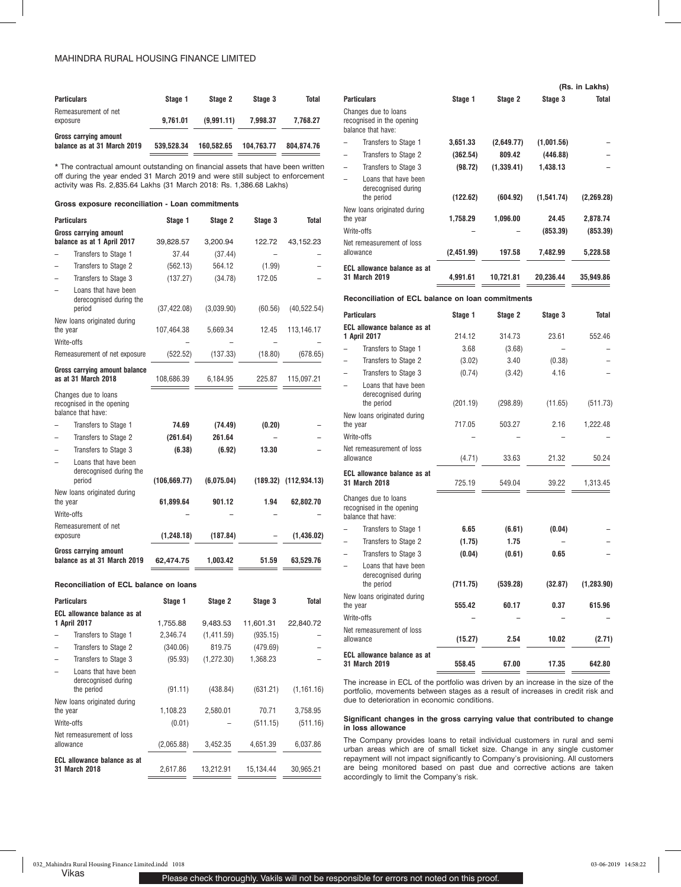| <b>Particulars</b>                                          | Stage 1    | Stage 2    | Stage 3    | Total      |
|-------------------------------------------------------------|------------|------------|------------|------------|
| Remeasurement of net<br>exposure                            | 9.761.01   | (9.991.11) | 7.998.37   | 7.768.27   |
| <b>Gross carrying amount</b><br>balance as at 31 March 2019 | 539.528.34 | 160.582.65 | 104.763.77 | 804.874.76 |

\* The contractual amount outstanding on financial assets that have been written off during the year ended 31 March 2019 and were still subject to enforcement activity was Rs. 2,835.64 Lakhs (31 March 2018: Rs. 1,386.68 Lakhs)

### **Gross exposure reconciliation - Loan commitments**

| <b>Particulars</b>                                                      | Stage 1       | Stage 2    | Stage 3 | <b>Total</b>              |
|-------------------------------------------------------------------------|---------------|------------|---------|---------------------------|
| <b>Gross carrying amount</b><br>balance as at 1 April 2017              | 39,828.57     | 3,200.94   | 122.72  | 43,152.23                 |
| Transfers to Stage 1                                                    | 37.44         | (37.44)    |         |                           |
| Transfers to Stage 2                                                    | (562.13)      | 564.12     | (1.99)  |                           |
| Transfers to Stage 3                                                    | (137.27)      | (34.78)    | 172.05  |                           |
| Loans that have been<br>derecognised during the<br>period               | (37, 422.08)  | (3,039.90) | (60.56) | (40, 522.54)              |
| New loans originated during<br>the year                                 | 107,464.38    | 5,669.34   | 12.45   | 113,146.17                |
| Write-offs                                                              |               |            |         |                           |
| Remeasurement of net exposure                                           | (522.52)      | (137.33)   | (18.80) | (678.65)                  |
| Gross carrying amount balance<br>as at 31 March 2018                    | 108,686.39    | 6,184.95   | 225.87  | 115,097.21                |
| Changes due to loans<br>recognised in the opening<br>balance that have: |               |            |         |                           |
| Transfers to Stage 1                                                    | 74.69         | (74.49)    | (0.20)  |                           |
| Transfers to Stage 2                                                    | (261.64)      | 261.64     |         |                           |
| Transfers to Stage 3                                                    | (6.38)        | (6.92)     | 13.30   |                           |
| Loans that have been<br>derecognised during the<br>period               | (106, 669.77) | (6,075.04) |         | $(189.32)$ $(112,934.13)$ |
| New loans originated during<br>the year                                 | 61,899.64     | 901.12     | 1.94    | 62,802.70                 |
| Write-offs                                                              |               |            |         |                           |
| Remeasurement of net<br>exposure                                        | (1, 248.18)   | (187.84)   |         | (1,436.02)                |
| <b>Gross carrying amount</b><br>balance as at 31 March 2019             | 62,474.75     | 1.003.42   | 51.59   | 63,529.76                 |

**Reconciliation of ECL balance on loans**

| <b>Particulars</b>                                        | Stage 1    | Stage 2     | Stage 3   | Total       |
|-----------------------------------------------------------|------------|-------------|-----------|-------------|
| <b>ECL allowance balance as at</b><br>1 April 2017        | 1,755.88   | 9,483.53    | 11,601.31 | 22,840.72   |
| Transfers to Stage 1                                      | 2,346.74   | (1,411.59)  | (935.15)  |             |
| Transfers to Stage 2                                      | (340.06)   | 819.75      | (479.69)  |             |
| Transfers to Stage 3                                      | (95.93)    | (1, 272.30) | 1,368.23  |             |
| Loans that have been<br>derecognised during<br>the period | (91.11)    | (438.84)    | (631.21)  | (1, 161.16) |
| New loans originated during<br>the year                   | 1,108.23   | 2,580.01    | 70.71     | 3,758.95    |
| Write-offs                                                | (0.01)     |             | (511.15)  | (511.16)    |
| Net remeasurement of loss<br>allowance                    | (2,065.88) | 3,452.35    | 4,651.39  | 6,037.86    |
| <b>ECL allowance balance as at</b><br>31 March 2018       | 2.617.86   | 13,212.91   | 15.134.44 | 30,965.21   |

|                                                                         |                    |                    |                | (Rs. in Lakhs) |
|-------------------------------------------------------------------------|--------------------|--------------------|----------------|----------------|
| <b>Particulars</b>                                                      | Stage 1            | Stage 2            | Stage 3        | <b>Total</b>   |
| Changes due to loans<br>recognised in the opening<br>balance that have: |                    |                    |                |                |
| Transfers to Stage 1                                                    | 3,651.33           | (2,649.77)         | (1,001.56)     |                |
| Transfers to Stage 2                                                    | (362.54)           | 809.42             | (446.88)       |                |
| Transfers to Stage 3                                                    | (98.72)            | (1,339.41)         | 1,438.13       |                |
| Loans that have been<br>derecognised during<br>the period               | (122.62)           | (604.92)           | (1,541.74)     | (2,269.28)     |
| New loans originated during                                             |                    |                    |                |                |
| the year                                                                | 1,758.29           | 1.096.00           | 24.45          | 2,878.74       |
| Write-offs                                                              |                    |                    | (853.39)       | (853.39)       |
| Net remeasurement of loss<br>allowance                                  | (2,451.99)         | 197.58             | 7,482.99       | 5,228.58       |
| <b>ECL allowance balance as at</b><br>31 March 2019                     | 4,991.61           | 10,721.81          | 20,236.44      | 35,949.86      |
| Reconciliation of ECL balance on loan commitments                       |                    |                    |                |                |
| <b>Particulars</b>                                                      | Stage 1            | Stage 2            | Stage 3        | Total          |
| <b>ECL allowance balance as at</b>                                      |                    |                    |                |                |
| 1 April 2017                                                            | 214.12<br>3.68     | 314.73             | 23.61          | 552.46         |
| Transfers to Stage 1<br>Transfers to Stage 2                            |                    | (3.68)<br>3.40     |                |                |
| Transfers to Stage 3                                                    | (3.02)             |                    | (0.38)<br>4.16 |                |
| Loans that have been<br>derecognised during<br>the period               | (0.74)<br>(201.19) | (3.42)<br>(298.89) | (11.65)        | (511.73)       |
| New loans originated during<br>the year                                 | 717.05             | 503.27             | 2.16           | 1,222.48       |
| Write-offs                                                              |                    |                    |                |                |
| Net remeasurement of loss<br>allowance                                  | (4.71)             | 33.63              | 21.32          | 50.24          |
| ECL allowance balance as at<br>31 March 2018                            | 725.19             | 549.04             | 39.22          | 1,313.45       |
| Changes due to loans<br>recognised in the opening<br>balance that have: |                    |                    |                |                |
| Transfers to Stage 1                                                    | 6.65               | (6.61)             | (0.04)         |                |
| Transfers to Stage 2                                                    | (1.75)             | 1.75               |                |                |
| Transfers to Stage 3                                                    | (0.04)             | (0.61)             | 0.65           |                |
| Loans that have been<br>derecognised during<br>the period               | (711.75)           | (539.28)           | (32.87)        | (1, 283.90)    |
| New loans originated during<br>the year                                 | 555.42             | 60.17              | 0.37           | 615.96         |
| Write-offs                                                              |                    |                    |                |                |
| Net remeasurement of loss<br>allowance                                  | (15.27)            | 2.54               | 10.02          | (2.71)         |
| <b>ECL allowance balance as at</b><br>31 March 2019                     | 558.45             | 67.00              | 17.35          | 642.80         |

The increase in ECL of the portfolio was driven by an increase in the size of the portfolio, movements between stages as a result of increases in credit risk and due to deterioration in economic conditions.

## **Significant changes in the gross carrying value that contributed to change in loss allowance**

The Company provides loans to retail individual customers in rural and semi urban areas which are of small ticket size. Change in any single customer repayment will not impact significantly to Company's provisioning. All customers are being monitored based on past due and corrective actions are taken accordingly to limit the Company's risk.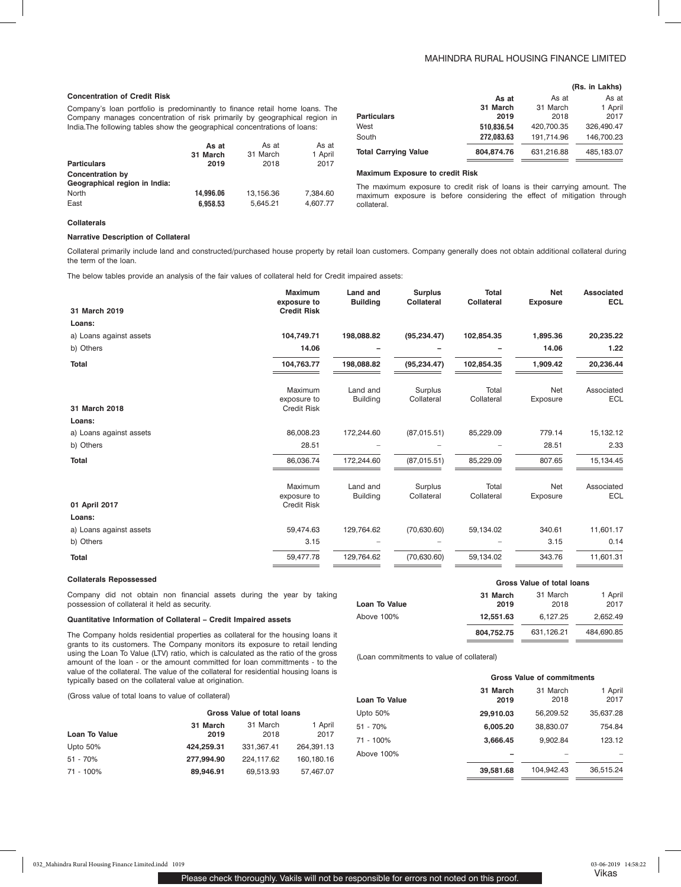## MAHINDRA RURAL HOUSING FINANCE LIMITED

**(Rs. in Lakhs)**

| <b>Concentration of Credit Risk</b>                                         |                   |                   |                  |                                                                                                                                                       | As at      | As at      | As at      |
|-----------------------------------------------------------------------------|-------------------|-------------------|------------------|-------------------------------------------------------------------------------------------------------------------------------------------------------|------------|------------|------------|
| Company's loan portfolio is predominantly to finance retail home loans. The |                   |                   |                  |                                                                                                                                                       | 31 March   | 31 March   | 1 April    |
| Company manages concentration of risk primarily by geographical region in   |                   |                   |                  | <b>Particulars</b>                                                                                                                                    | 2019       | 2018       | 2017       |
| India. The following tables show the geographical concentrations of loans:  |                   |                   |                  | West                                                                                                                                                  | 510.836.54 | 420.700.35 | 326,490.47 |
|                                                                             |                   |                   |                  | South                                                                                                                                                 | 272.083.63 | 191.714.96 | 146,700.23 |
|                                                                             | As at<br>31 March | As at<br>31 March | As at<br>1 April | <b>Total Carrying Value</b>                                                                                                                           | 804.874.76 | 631.216.88 | 485,183.07 |
| <b>Particulars</b>                                                          | 2019              | 2018              | 2017             |                                                                                                                                                       |            |            |            |
| <b>Concentration by</b>                                                     |                   |                   |                  | <b>Maximum Exposure to credit Risk</b>                                                                                                                |            |            |            |
| Geographical region in India:<br>North                                      | 14.996.06         | 13.156.36         | 7.384.60         | The maximum exposure to credit risk of loans is their carrying amount. The<br>maximum exposure is before considering the effect of mitigation through |            |            |            |

collateral.

#### **Collaterals**

## **Narrative Description of Collateral**

Collateral primarily include land and constructed/purchased house property by retail loan customers. Company generally does not obtain additional collateral during the term of the loan.

The below tables provide an analysis of the fair values of collateral held for Credit impaired assets:

East **6,958.53** 5,645.21 4,607.77

| 31 March 2019           | <b>Maximum</b><br>exposure to<br><b>Credit Risk</b> | Land and<br><b>Building</b> | <b>Surplus</b><br><b>Collateral</b> | <b>Total</b><br><b>Collateral</b> | <b>Net</b><br><b>Exposure</b> | <b>Associated</b><br><b>ECL</b> |
|-------------------------|-----------------------------------------------------|-----------------------------|-------------------------------------|-----------------------------------|-------------------------------|---------------------------------|
| Loans:                  |                                                     |                             |                                     |                                   |                               |                                 |
| a) Loans against assets | 104,749.71                                          | 198,088.82                  | (95, 234.47)                        | 102,854.35                        | 1,895.36                      | 20,235.22                       |
| b) Others               | 14.06                                               |                             |                                     |                                   | 14.06                         | 1.22                            |
| <b>Total</b>            | 104,763.77                                          | 198,088.82                  | (95, 234.47)                        | 102,854.35                        | 1,909.42                      | 20,236.44                       |
| 31 March 2018           | Maximum<br>exposure to<br><b>Credit Risk</b>        | Land and<br><b>Building</b> | Surplus<br>Collateral               | Total<br>Collateral               | Net<br>Exposure               | Associated<br><b>ECL</b>        |
| Loans:                  |                                                     |                             |                                     |                                   |                               |                                 |
| a) Loans against assets | 86,008.23                                           | 172,244.60                  | (87,015.51)                         | 85,229.09                         | 779.14                        | 15,132.12                       |
| b) Others               | 28.51                                               |                             |                                     |                                   | 28.51                         | 2.33                            |
| <b>Total</b>            | 86,036.74                                           | 172,244.60                  | (87,015.51)                         | 85,229.09                         | 807.65                        | 15,134.45                       |
| 01 April 2017           | Maximum<br>exposure to<br><b>Credit Risk</b>        | Land and<br><b>Building</b> | Surplus<br>Collateral               | Total<br>Collateral               | Net<br>Exposure               | Associated<br><b>ECL</b>        |
| Loans:                  |                                                     |                             |                                     |                                   |                               |                                 |
| a) Loans against assets | 59,474.63                                           | 129,764.62                  | (70, 630.60)                        | 59,134.02                         | 340.61                        | 11,601.17                       |
| b) Others               | 3.15                                                |                             |                                     |                                   | 3.15                          | 0.14                            |
| <b>Total</b>            | 59,477.78                                           | 129,764.62                  | (70, 630.60)                        | 59,134.02                         | 343.76                        | 11,601.31                       |

#### **Collaterals Repossessed**

Company did not obtain non financial assets during the year by taking possession of collateral it held as security.

### **Quantitative Information of Collateral – Credit Impaired assets**

The Company holds residential properties as collateral for the housing loans it grants to its customers. The Company monitors its exposure to retail lending using the Loan To Value (LTV) ratio, which is calculated as the ratio of the gross amount of the loan - or the amount committed for loan committments - to the value of the collateral. The value of the collateral for residential housing loans is typically based on the collateral value at origination.

(Gross value of total loans to value of collateral)

|               | Gross Value of total loans |            |            |  |  |  |  |
|---------------|----------------------------|------------|------------|--|--|--|--|
|               | 31 March                   | 31 March   | 1 April    |  |  |  |  |
| Loan To Value | 2019                       | 2018       | 2017       |  |  |  |  |
| Upto $50%$    | 424.259.31                 | 331,367.41 | 264.391.13 |  |  |  |  |
| 51 - 70%      | 277.994.90                 | 224,117.62 | 160,180.16 |  |  |  |  |
| 71 - 100%     | 89.946.91                  | 69,513.93  | 57,467.07  |  |  |  |  |

|                      | Gross Value of total loans |                  |                 |  |  |  |
|----------------------|----------------------------|------------------|-----------------|--|--|--|
| <b>Loan To Value</b> | 31 March<br>2019           | 31 March<br>2018 | 1 April<br>2017 |  |  |  |
| Above 100%           | 12.551.63                  | 6.127.25         | 2.652.49        |  |  |  |
|                      | 804,752.75                 | 631.126.21       | 484.690.85      |  |  |  |

(Loan commitments to value of collateral)

|               | <b>Gross Value of commitments</b> |                  |                 |  |  |  |
|---------------|-----------------------------------|------------------|-----------------|--|--|--|
| Loan To Value | 31 March<br>2019                  | 31 March<br>2018 | 1 April<br>2017 |  |  |  |
| Upto 50%      | 29,910.03                         | 56,209.52        | 35,637.28       |  |  |  |
| 51 - 70%      | 6,005.20                          | 38,830.07        | 754.84          |  |  |  |
| 71 - 100%     | 3,666.45                          | 9.902.84         | 123.12          |  |  |  |
| Above 100%    |                                   |                  |                 |  |  |  |
|               | 39,581.68                         | 104.942.43       | 36,515.24       |  |  |  |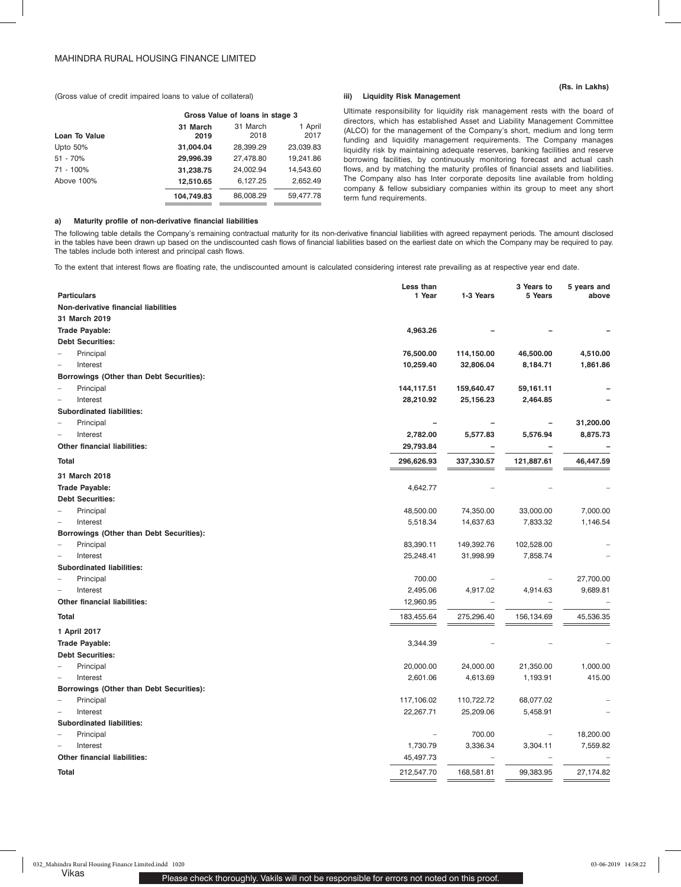**(Rs. in Lakhs)**

(Gross value of credit impaired loans to value of collateral)

|               |            | Gross Value of Ioans in stage 3 |           |  |  |  |  |
|---------------|------------|---------------------------------|-----------|--|--|--|--|
|               | 31 March   | 31 March                        | 1 April   |  |  |  |  |
| Loan To Value | 2019       | 2018                            | 2017      |  |  |  |  |
| Upto 50%      | 31,004.04  | 28,399.29                       | 23,039.83 |  |  |  |  |
| $51 - 70%$    | 29,996.39  | 27,478.80                       | 19,241.86 |  |  |  |  |
| 71 - 100%     | 31,238.75  | 24,002.94                       | 14,543.60 |  |  |  |  |
| Above 100%    | 12,510.65  | 6,127.25                        | 2,652.49  |  |  |  |  |
|               | 104,749.83 | 86,008.29                       | 59,477.78 |  |  |  |  |

## **a) Maturity profile of non-derivative financial liabilities**

**iii) Liquidity Risk Management**

Ultimate responsibility for liquidity risk management rests with the board of directors, which has established Asset and Liability Management Committee (ALCO) for the management of the Company's short, medium and long term funding and liquidity management requirements. The Company manages liquidity risk by maintaining adequate reserves, banking facilities and reserve borrowing facilities, by continuously monitoring forecast and actual cash flows, and by matching the maturity profiles of financial assets and liabilities. The Company also has Inter corporate deposits line available from holding company & fellow subsidiary companies within its group to meet any short term fund requirements.

The following table details the Company's remaining contractual maturity for its non-derivative financial liabilities with agreed repayment periods. The amount disclosed in the tables have been drawn up based on the undiscounted cash flows of financial liabilities based on the earliest date on which the Company may be required to pay. The tables include both interest and principal cash flows.

To the extent that interest flows are floating rate, the undiscounted amount is calculated considering interest rate prevailing as at respective year end date.

| <b>Particulars</b><br>1 Year<br>1-3 Years<br>above<br>Non-derivative financial liabilities<br>31 March 2019<br><b>Trade Payable:</b><br>4,963.26<br><b>Debt Securities:</b><br>Principal<br>76,500.00<br>114,150.00<br>46,500.00<br>4,510.00<br>32,806.04<br>8,184.71<br>1,861.86<br>Interest<br>10,259.40<br>$\overline{\phantom{0}}$<br>Borrowings (Other than Debt Securities):<br>Principal<br>144,117.51<br>159,640.47<br>59,161.11<br>-<br>Interest<br>28,210.92<br>25,156.23<br>2,464.85<br><b>Subordinated liabilities:</b><br>31,200.00<br>Principal<br>L.<br>$\overline{\phantom{0}}$<br>2,782.00<br>8,875.73<br>Interest<br>5,577.83<br>5,576.94<br>Other financial liabilities:<br>29,793.84<br>337,330.57<br><b>Total</b><br>296,626.93<br>121,887.61<br>46,447.59<br>31 March 2018<br><b>Trade Payable:</b><br>4,642.77<br><b>Debt Securities:</b><br>74,350.00<br>7,000.00<br>Principal<br>48,500.00<br>33,000.00<br>14,637.63<br>7,833.32<br>1,146.54<br>Interest<br>5,518.34<br>$\overline{\phantom{a}}$<br>Borrowings (Other than Debt Securities):<br>Principal<br>83,390.11<br>149,392.76<br>102,528.00<br>$\overline{a}$<br>25,248.41<br>31,998.99<br>7,858.74<br>Interest<br><b>Subordinated liabilities:</b><br>27,700.00<br>Principal<br>700.00<br>$\overline{\phantom{a}}$<br>2,495.06<br>4,917.02<br>4,914.63<br>9,689.81<br>Interest<br><b>Other financial liabilities:</b><br>12,960.95<br>275,296.40<br>45,536.35<br><b>Total</b><br>183,455.64<br>156,134.69<br>1 April 2017<br>Trade Payable:<br>3,344.39<br><b>Debt Securities:</b> | Less than | 3 Years to | 5 years and |
|---------------------------------------------------------------------------------------------------------------------------------------------------------------------------------------------------------------------------------------------------------------------------------------------------------------------------------------------------------------------------------------------------------------------------------------------------------------------------------------------------------------------------------------------------------------------------------------------------------------------------------------------------------------------------------------------------------------------------------------------------------------------------------------------------------------------------------------------------------------------------------------------------------------------------------------------------------------------------------------------------------------------------------------------------------------------------------------------------------------------------------------------------------------------------------------------------------------------------------------------------------------------------------------------------------------------------------------------------------------------------------------------------------------------------------------------------------------------------------------------------------------------------------------------------------------------|-----------|------------|-------------|
|                                                                                                                                                                                                                                                                                                                                                                                                                                                                                                                                                                                                                                                                                                                                                                                                                                                                                                                                                                                                                                                                                                                                                                                                                                                                                                                                                                                                                                                                                                                                                                     |           | 5 Years    |             |
|                                                                                                                                                                                                                                                                                                                                                                                                                                                                                                                                                                                                                                                                                                                                                                                                                                                                                                                                                                                                                                                                                                                                                                                                                                                                                                                                                                                                                                                                                                                                                                     |           |            |             |
|                                                                                                                                                                                                                                                                                                                                                                                                                                                                                                                                                                                                                                                                                                                                                                                                                                                                                                                                                                                                                                                                                                                                                                                                                                                                                                                                                                                                                                                                                                                                                                     |           |            |             |
|                                                                                                                                                                                                                                                                                                                                                                                                                                                                                                                                                                                                                                                                                                                                                                                                                                                                                                                                                                                                                                                                                                                                                                                                                                                                                                                                                                                                                                                                                                                                                                     |           |            |             |
|                                                                                                                                                                                                                                                                                                                                                                                                                                                                                                                                                                                                                                                                                                                                                                                                                                                                                                                                                                                                                                                                                                                                                                                                                                                                                                                                                                                                                                                                                                                                                                     |           |            |             |
|                                                                                                                                                                                                                                                                                                                                                                                                                                                                                                                                                                                                                                                                                                                                                                                                                                                                                                                                                                                                                                                                                                                                                                                                                                                                                                                                                                                                                                                                                                                                                                     |           |            |             |
|                                                                                                                                                                                                                                                                                                                                                                                                                                                                                                                                                                                                                                                                                                                                                                                                                                                                                                                                                                                                                                                                                                                                                                                                                                                                                                                                                                                                                                                                                                                                                                     |           |            |             |
|                                                                                                                                                                                                                                                                                                                                                                                                                                                                                                                                                                                                                                                                                                                                                                                                                                                                                                                                                                                                                                                                                                                                                                                                                                                                                                                                                                                                                                                                                                                                                                     |           |            |             |
|                                                                                                                                                                                                                                                                                                                                                                                                                                                                                                                                                                                                                                                                                                                                                                                                                                                                                                                                                                                                                                                                                                                                                                                                                                                                                                                                                                                                                                                                                                                                                                     |           |            |             |
|                                                                                                                                                                                                                                                                                                                                                                                                                                                                                                                                                                                                                                                                                                                                                                                                                                                                                                                                                                                                                                                                                                                                                                                                                                                                                                                                                                                                                                                                                                                                                                     |           |            |             |
|                                                                                                                                                                                                                                                                                                                                                                                                                                                                                                                                                                                                                                                                                                                                                                                                                                                                                                                                                                                                                                                                                                                                                                                                                                                                                                                                                                                                                                                                                                                                                                     |           |            |             |
|                                                                                                                                                                                                                                                                                                                                                                                                                                                                                                                                                                                                                                                                                                                                                                                                                                                                                                                                                                                                                                                                                                                                                                                                                                                                                                                                                                                                                                                                                                                                                                     |           |            |             |
|                                                                                                                                                                                                                                                                                                                                                                                                                                                                                                                                                                                                                                                                                                                                                                                                                                                                                                                                                                                                                                                                                                                                                                                                                                                                                                                                                                                                                                                                                                                                                                     |           |            |             |
|                                                                                                                                                                                                                                                                                                                                                                                                                                                                                                                                                                                                                                                                                                                                                                                                                                                                                                                                                                                                                                                                                                                                                                                                                                                                                                                                                                                                                                                                                                                                                                     |           |            |             |
|                                                                                                                                                                                                                                                                                                                                                                                                                                                                                                                                                                                                                                                                                                                                                                                                                                                                                                                                                                                                                                                                                                                                                                                                                                                                                                                                                                                                                                                                                                                                                                     |           |            |             |
|                                                                                                                                                                                                                                                                                                                                                                                                                                                                                                                                                                                                                                                                                                                                                                                                                                                                                                                                                                                                                                                                                                                                                                                                                                                                                                                                                                                                                                                                                                                                                                     |           |            |             |
|                                                                                                                                                                                                                                                                                                                                                                                                                                                                                                                                                                                                                                                                                                                                                                                                                                                                                                                                                                                                                                                                                                                                                                                                                                                                                                                                                                                                                                                                                                                                                                     |           |            |             |
|                                                                                                                                                                                                                                                                                                                                                                                                                                                                                                                                                                                                                                                                                                                                                                                                                                                                                                                                                                                                                                                                                                                                                                                                                                                                                                                                                                                                                                                                                                                                                                     |           |            |             |
|                                                                                                                                                                                                                                                                                                                                                                                                                                                                                                                                                                                                                                                                                                                                                                                                                                                                                                                                                                                                                                                                                                                                                                                                                                                                                                                                                                                                                                                                                                                                                                     |           |            |             |
|                                                                                                                                                                                                                                                                                                                                                                                                                                                                                                                                                                                                                                                                                                                                                                                                                                                                                                                                                                                                                                                                                                                                                                                                                                                                                                                                                                                                                                                                                                                                                                     |           |            |             |
|                                                                                                                                                                                                                                                                                                                                                                                                                                                                                                                                                                                                                                                                                                                                                                                                                                                                                                                                                                                                                                                                                                                                                                                                                                                                                                                                                                                                                                                                                                                                                                     |           |            |             |
|                                                                                                                                                                                                                                                                                                                                                                                                                                                                                                                                                                                                                                                                                                                                                                                                                                                                                                                                                                                                                                                                                                                                                                                                                                                                                                                                                                                                                                                                                                                                                                     |           |            |             |
|                                                                                                                                                                                                                                                                                                                                                                                                                                                                                                                                                                                                                                                                                                                                                                                                                                                                                                                                                                                                                                                                                                                                                                                                                                                                                                                                                                                                                                                                                                                                                                     |           |            |             |
|                                                                                                                                                                                                                                                                                                                                                                                                                                                                                                                                                                                                                                                                                                                                                                                                                                                                                                                                                                                                                                                                                                                                                                                                                                                                                                                                                                                                                                                                                                                                                                     |           |            |             |
|                                                                                                                                                                                                                                                                                                                                                                                                                                                                                                                                                                                                                                                                                                                                                                                                                                                                                                                                                                                                                                                                                                                                                                                                                                                                                                                                                                                                                                                                                                                                                                     |           |            |             |
|                                                                                                                                                                                                                                                                                                                                                                                                                                                                                                                                                                                                                                                                                                                                                                                                                                                                                                                                                                                                                                                                                                                                                                                                                                                                                                                                                                                                                                                                                                                                                                     |           |            |             |
|                                                                                                                                                                                                                                                                                                                                                                                                                                                                                                                                                                                                                                                                                                                                                                                                                                                                                                                                                                                                                                                                                                                                                                                                                                                                                                                                                                                                                                                                                                                                                                     |           |            |             |
|                                                                                                                                                                                                                                                                                                                                                                                                                                                                                                                                                                                                                                                                                                                                                                                                                                                                                                                                                                                                                                                                                                                                                                                                                                                                                                                                                                                                                                                                                                                                                                     |           |            |             |
|                                                                                                                                                                                                                                                                                                                                                                                                                                                                                                                                                                                                                                                                                                                                                                                                                                                                                                                                                                                                                                                                                                                                                                                                                                                                                                                                                                                                                                                                                                                                                                     |           |            |             |
|                                                                                                                                                                                                                                                                                                                                                                                                                                                                                                                                                                                                                                                                                                                                                                                                                                                                                                                                                                                                                                                                                                                                                                                                                                                                                                                                                                                                                                                                                                                                                                     |           |            |             |
|                                                                                                                                                                                                                                                                                                                                                                                                                                                                                                                                                                                                                                                                                                                                                                                                                                                                                                                                                                                                                                                                                                                                                                                                                                                                                                                                                                                                                                                                                                                                                                     |           |            |             |
| 24,000.00<br>Principal<br>20,000.00<br>21,350.00<br>1,000.00                                                                                                                                                                                                                                                                                                                                                                                                                                                                                                                                                                                                                                                                                                                                                                                                                                                                                                                                                                                                                                                                                                                                                                                                                                                                                                                                                                                                                                                                                                        |           |            |             |
| 415.00<br>Interest<br>2,601.06<br>4,613.69<br>1,193.91<br>-                                                                                                                                                                                                                                                                                                                                                                                                                                                                                                                                                                                                                                                                                                                                                                                                                                                                                                                                                                                                                                                                                                                                                                                                                                                                                                                                                                                                                                                                                                         |           |            |             |
| Borrowings (Other than Debt Securities):                                                                                                                                                                                                                                                                                                                                                                                                                                                                                                                                                                                                                                                                                                                                                                                                                                                                                                                                                                                                                                                                                                                                                                                                                                                                                                                                                                                                                                                                                                                            |           |            |             |
| 117,106.02<br>110,722.72<br>68,077.02<br>Principal<br>$\overline{\phantom{0}}$                                                                                                                                                                                                                                                                                                                                                                                                                                                                                                                                                                                                                                                                                                                                                                                                                                                                                                                                                                                                                                                                                                                                                                                                                                                                                                                                                                                                                                                                                      |           |            |             |
| 25,209.06<br>Interest<br>22,267.71<br>5,458.91<br>L                                                                                                                                                                                                                                                                                                                                                                                                                                                                                                                                                                                                                                                                                                                                                                                                                                                                                                                                                                                                                                                                                                                                                                                                                                                                                                                                                                                                                                                                                                                 |           |            |             |
| <b>Subordinated liabilities:</b>                                                                                                                                                                                                                                                                                                                                                                                                                                                                                                                                                                                                                                                                                                                                                                                                                                                                                                                                                                                                                                                                                                                                                                                                                                                                                                                                                                                                                                                                                                                                    |           |            |             |
| 18,200.00<br>700.00<br>Principal                                                                                                                                                                                                                                                                                                                                                                                                                                                                                                                                                                                                                                                                                                                                                                                                                                                                                                                                                                                                                                                                                                                                                                                                                                                                                                                                                                                                                                                                                                                                    |           |            |             |
| 3,304.11<br>7,559.82<br>Interest<br>1,730.79<br>3,336.34<br>L.                                                                                                                                                                                                                                                                                                                                                                                                                                                                                                                                                                                                                                                                                                                                                                                                                                                                                                                                                                                                                                                                                                                                                                                                                                                                                                                                                                                                                                                                                                      |           |            |             |
| Other financial liabilities:<br>45,497.73                                                                                                                                                                                                                                                                                                                                                                                                                                                                                                                                                                                                                                                                                                                                                                                                                                                                                                                                                                                                                                                                                                                                                                                                                                                                                                                                                                                                                                                                                                                           |           |            |             |
| 27,174.82<br>Total<br>212,547.70<br>168,581.81<br>99,383.95                                                                                                                                                                                                                                                                                                                                                                                                                                                                                                                                                                                                                                                                                                                                                                                                                                                                                                                                                                                                                                                                                                                                                                                                                                                                                                                                                                                                                                                                                                         |           |            |             |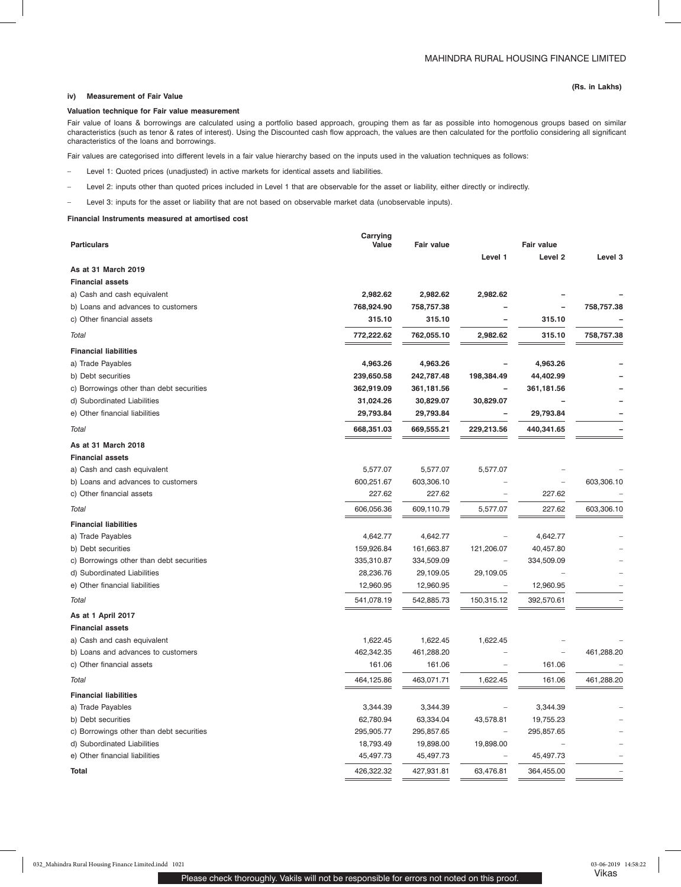## **iv) Measurement of Fair Value**

#### **Valuation technique for Fair value measurement**

Fair value of loans & borrowings are calculated using a portfolio based approach, grouping them as far as possible into homogenous groups based on similar characteristics (such as tenor & rates of interest). Using the Discounted cash flow approach, the values are then calculated for the portfolio considering all significant characteristics of the loans and borrowings.

Fair values are categorised into different levels in a fair value hierarchy based on the inputs used in the valuation techniques as follows:

- Level 1: Quoted prices (unadjusted) in active markets for identical assets and liabilities.
- Level 2: inputs other than quoted prices included in Level 1 that are observable for the asset or liability, either directly or indirectly.
- Level 3: inputs for the asset or liability that are not based on observable market data (unobservable inputs).

## **Financial Instruments measured at amortised cost**

|                                          | Carrying   |            |                          |                   |            |  |
|------------------------------------------|------------|------------|--------------------------|-------------------|------------|--|
| <b>Particulars</b>                       | Value      | Fair value |                          | <b>Fair value</b> |            |  |
| As at 31 March 2019                      |            |            | Level 1                  | Level 2           | Level 3    |  |
| <b>Financial assets</b>                  |            |            |                          |                   |            |  |
| a) Cash and cash equivalent              | 2,982.62   | 2,982.62   | 2,982.62                 |                   |            |  |
| b) Loans and advances to customers       | 768,924.90 | 758,757.38 |                          |                   | 758,757.38 |  |
| c) Other financial assets                | 315.10     | 315.10     |                          | 315.10            |            |  |
|                                          |            |            |                          |                   |            |  |
| Total                                    | 772,222.62 | 762,055.10 | 2,982.62                 | 315.10            | 758,757.38 |  |
| <b>Financial liabilities</b>             |            |            |                          |                   |            |  |
| a) Trade Payables                        | 4,963.26   | 4,963.26   |                          | 4,963.26          |            |  |
| b) Debt securities                       | 239,650.58 | 242,787.48 | 198,384.49               | 44,402.99         |            |  |
| c) Borrowings other than debt securities | 362,919.09 | 361,181.56 |                          | 361,181.56        |            |  |
| d) Subordinated Liabilities              | 31,024.26  | 30,829.07  | 30,829.07                |                   |            |  |
| e) Other financial liabilities           | 29,793.84  | 29,793.84  |                          | 29,793.84         |            |  |
| Total                                    | 668,351.03 | 669,555.21 | 229,213.56               | 440,341.65        |            |  |
| As at 31 March 2018                      |            |            |                          |                   |            |  |
| <b>Financial assets</b>                  |            |            |                          |                   |            |  |
| a) Cash and cash equivalent              | 5,577.07   | 5,577.07   | 5,577.07                 |                   |            |  |
| b) Loans and advances to customers       | 600,251.67 | 603,306.10 |                          |                   | 603,306.10 |  |
| c) Other financial assets                | 227.62     | 227.62     |                          | 227.62            |            |  |
| <b>Total</b>                             | 606,056.36 | 609,110.79 | 5,577.07                 | 227.62            | 603,306.10 |  |
| <b>Financial liabilities</b>             |            |            |                          |                   |            |  |
| a) Trade Payables                        | 4,642.77   | 4,642.77   |                          | 4,642.77          |            |  |
| b) Debt securities                       | 159,926.84 | 161,663.87 | 121,206.07               | 40,457.80         |            |  |
| c) Borrowings other than debt securities | 335,310.87 | 334,509.09 |                          | 334,509.09        |            |  |
| d) Subordinated Liabilities              | 28,236.76  | 29,109.05  | 29,109.05                |                   |            |  |
| e) Other financial liabilities           | 12,960.95  | 12,960.95  | $\overline{\phantom{a}}$ | 12,960.95         |            |  |
| <b>Total</b>                             | 541,078.19 | 542,885.73 | 150,315.12               | 392,570.61        |            |  |
| As at 1 April 2017                       |            |            |                          |                   |            |  |
| <b>Financial assets</b>                  |            |            |                          |                   |            |  |
| a) Cash and cash equivalent              | 1,622.45   | 1,622.45   | 1,622.45                 |                   |            |  |
| b) Loans and advances to customers       | 462,342.35 | 461,288.20 |                          |                   | 461,288.20 |  |
| c) Other financial assets                | 161.06     | 161.06     |                          | 161.06            |            |  |
| <b>Total</b>                             | 464,125.86 | 463,071.71 | 1,622.45                 | 161.06            | 461,288.20 |  |
| <b>Financial liabilities</b>             |            |            |                          |                   |            |  |
| a) Trade Payables                        | 3,344.39   | 3,344.39   |                          | 3,344.39          |            |  |
| b) Debt securities                       | 62,780.94  | 63,334.04  | 43,578.81                | 19,755.23         |            |  |
| c) Borrowings other than debt securities | 295,905.77 | 295,857.65 |                          | 295,857.65        |            |  |
| d) Subordinated Liabilities              | 18,793.49  | 19,898.00  | 19,898.00                |                   |            |  |
| e) Other financial liabilities           | 45,497.73  | 45,497.73  |                          | 45,497.73         |            |  |
| Total                                    | 426,322.32 | 427,931.81 | 63,476.81                | 364,455.00        |            |  |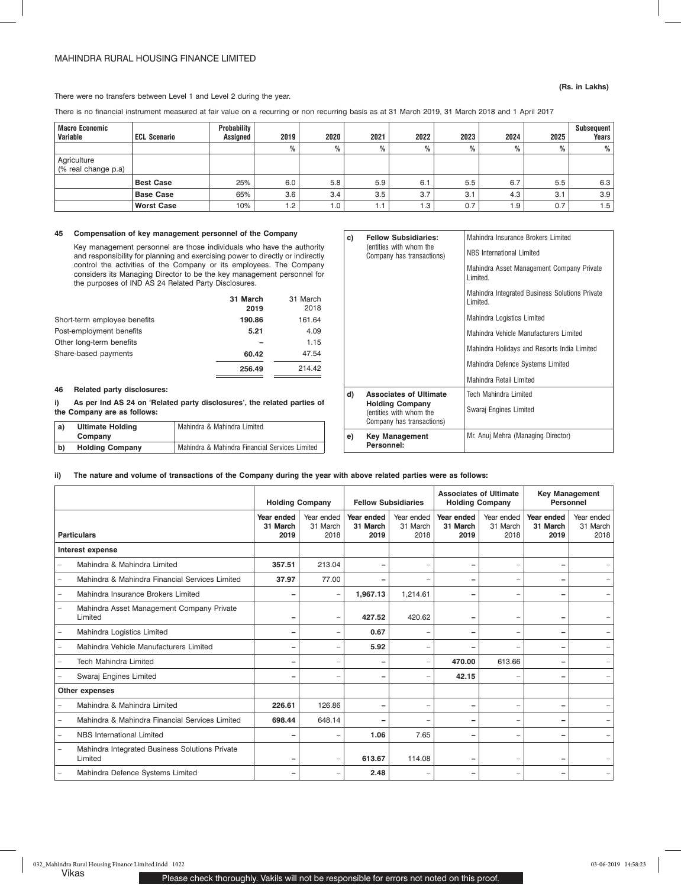## MAHINDRA RURAL HOUSING FINANCE LIMITED

## There were no transfers between Level 1 and Level 2 during the year.

There is no financial instrument measured at fair value on a recurring or non recurring basis as at 31 March 2019, 31 March 2018 and 1 April 2017

| <b>Macro Economic</b><br>Variable  | <b>ECL Scenario</b> | Probability<br>Assigned | 2019 | 2020 | 2021            | 2022 | 2023 | 2024 | 2025 | Subsequent<br><b>Years</b> |
|------------------------------------|---------------------|-------------------------|------|------|-----------------|------|------|------|------|----------------------------|
|                                    |                     |                         | %    | %    | %               | %    | %    | %    | %    | %                          |
| Agriculture<br>(% real change p.a) |                     |                         |      |      |                 |      |      |      |      |                            |
|                                    | <b>Best Case</b>    | 25%                     | 6.0  | 5.8  | 5.9             | 6.1  | 5.5  | 6.7  | 5.5  | 6.3                        |
|                                    | <b>Base Case</b>    | 65%                     | 3.6  | 3.4  | 3.5             | 3.7  | 3.1  | 4.3  | 3.1  | 3.9                        |
|                                    | <b>Worst Case</b>   | 10%                     | 1.2  | 1.0  | $\overline{.1}$ | 1.3  | 0.7  | 1.9  | 0.7  | 1.5                        |

## **45 Compensation of key management personnel of the Company**

Key management personnel are those individuals who have the authority and responsibility for planning and exercising power to directly or indirectly control the activities of the Company or its employees. The Company considers its Managing Director to be the key management personnel for the purposes of IND AS 24 Related Party Disclosures.

|                              | 31 March | 31 March |
|------------------------------|----------|----------|
|                              | 2019     | 2018     |
| Short-term employee benefits | 190.86   | 161.64   |
| Post-employment benefits     | 5.21     | 4.09     |
| Other long-term benefits     |          | 1.15     |
| Share-based payments         | 60.42    | 47.54    |
|                              | 256.49   | 214.42   |

### **46 Related party disclosures:**

**i) As per Ind AS 24 on 'Related party disclosures', the related parties of the Company are as follows:**

| a) | <b>Ultimate Holding</b><br>Company | Mahindra & Mahindra Limited                    |
|----|------------------------------------|------------------------------------------------|
| b) | <b>Holding Company</b>             | Mahindra & Mahindra Financial Services Limited |

| c) | <b>Fellow Subsidiaries:</b><br>(entities with whom the<br>Company has transactions)                             | Mahindra Insurance Brokers Limited<br>NBS International Limited<br>Mahindra Asset Management Company Private<br>I imited<br>Mahindra Integrated Business Solutions Private<br>I imited<br>Mahindra Logistics Limited<br>Mahindra Vehicle Manufacturers Limited |
|----|-----------------------------------------------------------------------------------------------------------------|----------------------------------------------------------------------------------------------------------------------------------------------------------------------------------------------------------------------------------------------------------------|
|    |                                                                                                                 | Mahindra Holidays and Resorts India Limited<br>Mahindra Defence Systems Limited                                                                                                                                                                                |
|    |                                                                                                                 | Mahindra Retail Limited                                                                                                                                                                                                                                        |
| d) | <b>Associates of Ultimate</b><br><b>Holding Company</b><br>(entities with whom the<br>Company has transactions) | Tech Mahindra Limited<br>Swaraj Engines Limited                                                                                                                                                                                                                |
| e) | <b>Key Management</b><br>Personnel:                                                                             | Mr. Anuj Mehra (Managing Director)                                                                                                                                                                                                                             |

#### **ii) The nature and volume of transactions of the Company during the year with above related parties were as follows:**

|                    |                                                           | <b>Holding Company</b>         |                                | <b>Fellow Subsidiaries</b>     |                                | <b>Associates of Ultimate</b><br><b>Holding Company</b> |                                | <b>Key Management</b><br>Personnel |                                |
|--------------------|-----------------------------------------------------------|--------------------------------|--------------------------------|--------------------------------|--------------------------------|---------------------------------------------------------|--------------------------------|------------------------------------|--------------------------------|
| <b>Particulars</b> |                                                           | Year ended<br>31 March<br>2019 | Year ended<br>31 March<br>2018 | Year ended<br>31 March<br>2019 | Year ended<br>31 March<br>2018 | Year ended<br>31 March<br>2019                          | Year ended<br>31 March<br>2018 | Year ended<br>31 March<br>2019     | Year ended<br>31 March<br>2018 |
|                    | Interest expense                                          |                                |                                |                                |                                |                                                         |                                |                                    |                                |
|                    | Mahindra & Mahindra Limited                               | 357.51                         | 213.04                         | -                              |                                | -                                                       |                                |                                    |                                |
|                    | Mahindra & Mahindra Financial Services Limited            | 37.97                          | 77.00                          | -                              |                                | -                                                       | -                              | ۰                                  |                                |
|                    | Mahindra Insurance Brokers Limited                        |                                | $\overline{\phantom{0}}$       | 1,967.13                       | 1.214.61                       | -                                                       | ۰                              |                                    |                                |
|                    | Mahindra Asset Management Company Private<br>Limited      |                                |                                | 427.52                         | 420.62                         |                                                         | ۰                              |                                    |                                |
|                    | Mahindra Logistics Limited                                |                                |                                | 0.67                           |                                |                                                         | ۰                              |                                    |                                |
|                    | Mahindra Vehicle Manufacturers Limited                    | -                              | -                              | 5.92                           | -                              |                                                         |                                |                                    |                                |
|                    | <b>Tech Mahindra Limited</b>                              | $\overline{\phantom{0}}$       |                                |                                | -                              | 470.00                                                  | 613.66                         |                                    |                                |
|                    | Swaraj Engines Limited                                    |                                |                                | -                              | -                              | 42.15                                                   |                                |                                    |                                |
|                    | Other expenses                                            |                                |                                |                                |                                |                                                         |                                |                                    |                                |
|                    | Mahindra & Mahindra Limited                               | 226.61                         | 126.86                         | -                              | $\overline{\phantom{0}}$       | ۰                                                       | ۰                              |                                    |                                |
|                    | Mahindra & Mahindra Financial Services Limited            | 698.44                         | 648.14                         |                                |                                | ۰                                                       | ۰                              |                                    |                                |
|                    | NBS International Limited                                 |                                |                                | 1.06                           | 7.65                           | ۰                                                       | ۰                              |                                    |                                |
|                    | Mahindra Integrated Business Solutions Private<br>Limited | -                              |                                | 613.67                         | 114.08                         | ۰                                                       | ۰                              |                                    |                                |
|                    | Mahindra Defence Systems Limited                          | -                              |                                | 2.48                           |                                | ۰                                                       | ۰                              |                                    |                                |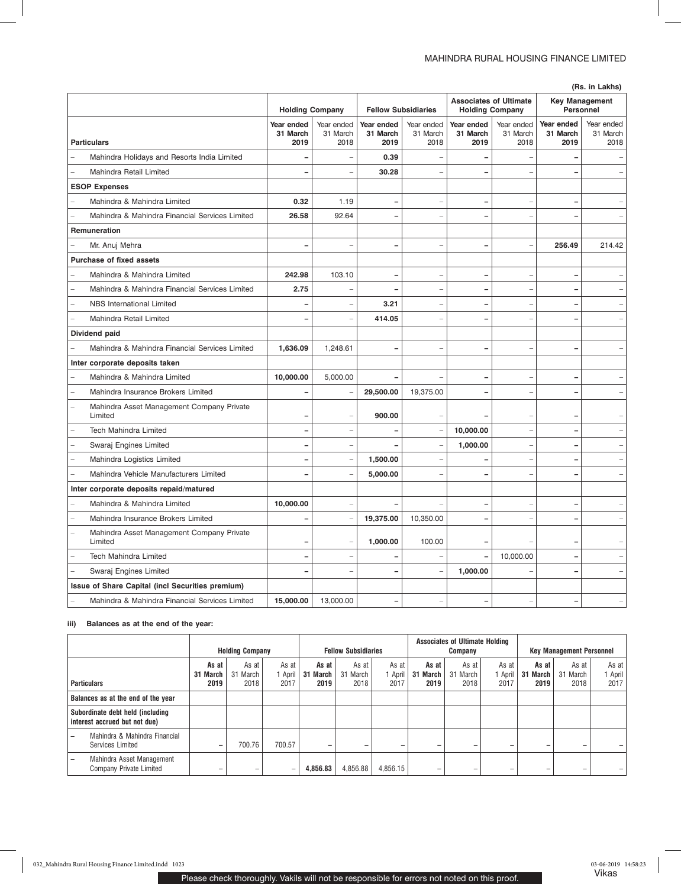|  | (Rs. in Lakhs) |
|--|----------------|

| (Rs. in Lakhs)                                       |                                |                                |                                |                                |                                |                                |                                |                                |
|------------------------------------------------------|--------------------------------|--------------------------------|--------------------------------|--------------------------------|--------------------------------|--------------------------------|--------------------------------|--------------------------------|
|                                                      |                                | <b>Holding Company</b>         |                                | <b>Fellow Subsidiaries</b>     | <b>Holding Company</b>         | <b>Associates of Ultimate</b>  | Personnel                      | <b>Key Management</b>          |
| <b>Particulars</b>                                   | Year ended<br>31 March<br>2019 | Year ended<br>31 March<br>2018 | Year ended<br>31 March<br>2019 | Year ended<br>31 March<br>2018 | Year ended<br>31 March<br>2019 | Year ended<br>31 March<br>2018 | Year ended<br>31 March<br>2019 | Year ended<br>31 March<br>2018 |
| Mahindra Holidays and Resorts India Limited          |                                |                                | 0.39                           |                                |                                |                                |                                |                                |
| Mahindra Retail Limited                              |                                |                                | 30.28                          |                                |                                |                                |                                |                                |
| <b>ESOP Expenses</b>                                 |                                |                                |                                |                                |                                |                                |                                |                                |
| Mahindra & Mahindra Limited                          | 0.32                           | 1.19                           |                                |                                |                                |                                |                                |                                |
| Mahindra & Mahindra Financial Services Limited       | 26.58                          | 92.64                          |                                |                                |                                |                                |                                |                                |
| Remuneration                                         |                                |                                |                                |                                |                                |                                |                                |                                |
| Mr. Anuj Mehra                                       |                                |                                | L                              |                                | ÷                              |                                | 256.49                         | 214.42                         |
| <b>Purchase of fixed assets</b>                      |                                |                                |                                |                                |                                |                                |                                |                                |
| Mahindra & Mahindra Limited                          | 242.98                         | 103.10                         | $\overline{\phantom{0}}$       | $\overline{\phantom{0}}$       | ۳                              | $\overline{\phantom{0}}$       | ۰                              |                                |
| Mahindra & Mahindra Financial Services Limited       | 2.75                           |                                |                                |                                |                                |                                |                                |                                |
| <b>NBS</b> International Limited                     |                                |                                | 3.21                           |                                |                                | -                              |                                |                                |
| Mahindra Retail Limited                              |                                |                                | 414.05                         | L.                             | ÷                              | ÷                              | ۳                              |                                |
| Dividend paid                                        |                                |                                |                                |                                |                                |                                |                                |                                |
| Mahindra & Mahindra Financial Services Limited       | 1,636.09                       | 1,248.61                       | ۳                              | $\overline{a}$                 | ÷                              | -                              | -                              | -                              |
| Inter corporate deposits taken                       |                                |                                |                                |                                |                                |                                |                                |                                |
| Mahindra & Mahindra Limited                          | 10,000.00                      | 5,000.00                       |                                |                                |                                |                                |                                |                                |
| Mahindra Insurance Brokers Limited                   |                                |                                | 29,500.00                      | 19,375.00                      |                                |                                |                                |                                |
| Mahindra Asset Management Company Private<br>Limited |                                |                                | 900.00                         |                                |                                |                                | ۰                              |                                |
| Tech Mahindra Limited                                |                                |                                |                                |                                | 10,000.00                      |                                |                                |                                |
| Swaraj Engines Limited                               |                                |                                |                                |                                | 1,000.00                       |                                |                                |                                |
| Mahindra Logistics Limited                           |                                |                                | 1,500.00                       |                                |                                | ۰                              | ÷                              |                                |
| Mahindra Vehicle Manufacturers Limited               |                                |                                | 5,000.00                       |                                |                                |                                | $\overline{\phantom{0}}$       |                                |
| Inter corporate deposits repaid/matured              |                                |                                |                                |                                |                                |                                |                                |                                |
| Mahindra & Mahindra Limited                          | 10,000.00                      | ÷.                             |                                |                                | -                              | ÷                              | $\overline{\phantom{0}}$       |                                |
| Mahindra Insurance Brokers Limited                   |                                |                                | 19,375.00                      | 10,350.00                      |                                |                                |                                |                                |
| Mahindra Asset Management Company Private<br>Limited |                                |                                | 1,000.00                       | 100.00                         |                                |                                |                                |                                |
| <b>Tech Mahindra Limited</b>                         |                                |                                |                                |                                |                                | 10,000.00                      |                                |                                |
| Swaraj Engines Limited                               |                                |                                |                                |                                | 1,000.00                       |                                |                                |                                |
| Issue of Share Capital (incl Securities premium)     |                                |                                |                                |                                |                                |                                |                                |                                |
| Mahindra & Mahindra Financial Services Limited       | 15,000.00                      | 13,000.00                      | -                              |                                |                                |                                | ÷                              |                                |

## **iii) Balances as at the end of the year:**

|                                                                   | <b>Holding Company</b>    |                           |                        |                           | <b>Fellow Subsidiaries</b> |                          | <b>Associates of Ultimate Holding</b><br>Company |                           |                        | <b>Key Management Personnel</b> |                           |                        |
|-------------------------------------------------------------------|---------------------------|---------------------------|------------------------|---------------------------|----------------------------|--------------------------|--------------------------------------------------|---------------------------|------------------------|---------------------------------|---------------------------|------------------------|
| <b>Particulars</b>                                                | As at<br>31 March<br>2019 | As at<br>31 March<br>2018 | As at<br>April<br>2017 | As at<br>31 March<br>2019 | As at<br>31 March<br>2018  | As at<br>1 April<br>2017 | As at<br>31 March<br>2019                        | As at<br>31 March<br>2018 | As at<br>April<br>2017 | As at<br>-31<br>March<br>2019   | As at<br>31 March<br>2018 | As at<br>April<br>2017 |
| Balances as at the end of the year                                |                           |                           |                        |                           |                            |                          |                                                  |                           |                        |                                 |                           |                        |
| Subordinate debt held (including<br>interest accrued but not due) |                           |                           |                        |                           |                            |                          |                                                  |                           |                        |                                 |                           |                        |
| Mahindra & Mahindra Financial<br><b>Services Limited</b>          | -                         | 700.76                    | 700.57                 |                           | -                          |                          | -                                                | -                         | -                      |                                 |                           |                        |
| Mahindra Asset Management<br>Company Private Limited              | -                         |                           |                        | 4,856.83                  | 4,856.88                   | 4,856.15                 | -                                                | -                         | -                      | -                               |                           |                        |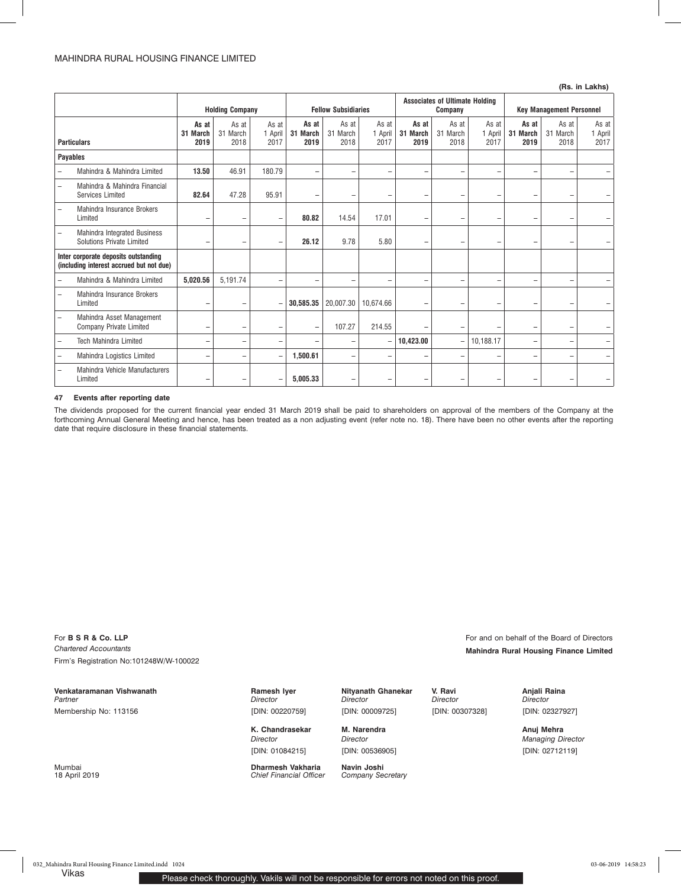**(Rs. in Lakhs)**

| $(119.111)$ Lands        |                                                                                  |                           |                           |                          |                            |                           |                                                  |                           |                           |                          |                                 |                           |                          |
|--------------------------|----------------------------------------------------------------------------------|---------------------------|---------------------------|--------------------------|----------------------------|---------------------------|--------------------------------------------------|---------------------------|---------------------------|--------------------------|---------------------------------|---------------------------|--------------------------|
|                          | <b>Holding Company</b>                                                           |                           |                           |                          | <b>Fellow Subsidiaries</b> |                           | <b>Associates of Ultimate Holding</b><br>Company |                           |                           |                          | <b>Key Management Personnel</b> |                           |                          |
| <b>Particulars</b>       |                                                                                  | As at<br>31 March<br>2019 | As at<br>31 March<br>2018 | As at<br>April<br>2017   | As at<br>31 March<br>2019  | As at<br>31 March<br>2018 | As at<br>1 April<br>2017                         | As at<br>31 March<br>2019 | As at<br>31 March<br>2018 | As at<br>1 April<br>2017 | As at<br>31 March<br>2019       | As at<br>31 March<br>2018 | As at<br>1 April<br>2017 |
| <b>Payables</b>          |                                                                                  |                           |                           |                          |                            |                           |                                                  |                           |                           |                          |                                 |                           |                          |
|                          | Mahindra & Mahindra Limited                                                      | 13.50                     | 46.91                     | 180.79                   | $\overline{\phantom{0}}$   | $\overline{\phantom{0}}$  | $\overline{\phantom{m}}$                         | $\overline{\phantom{0}}$  | $\overline{\phantom{a}}$  | $\qquad \qquad -$        | $\qquad \qquad -$               |                           |                          |
| $\overline{\phantom{0}}$ | Mahindra & Mahindra Financial<br><b>Services Limited</b>                         | 82.64                     | 47.28                     | 95.91                    |                            | -                         |                                                  | -                         | ۰                         | $\qquad \qquad -$        |                                 |                           |                          |
|                          | <b>Mahindra Insurance Brokers</b><br>Limited                                     | -                         | -                         | $\overline{\phantom{0}}$ | 80.82                      | 14.54                     | 17.01                                            | $\overline{\phantom{m}}$  | ۰                         | $\qquad \qquad -$        | -                               |                           |                          |
|                          | Mahindra Integrated Business<br><b>Solutions Private Limited</b>                 | -                         | $\overline{\phantom{0}}$  | -                        | 26.12                      | 9.78                      | 5.80                                             | $\overline{\phantom{0}}$  | ۰                         | $\overline{\phantom{0}}$ | -                               |                           |                          |
|                          | Inter corporate deposits outstanding<br>(including interest accrued but not due) |                           |                           |                          |                            |                           |                                                  |                           |                           |                          |                                 |                           |                          |
|                          | Mahindra & Mahindra Limited                                                      | 5,020.56                  | 5,191.74                  | -                        |                            |                           |                                                  |                           | ۰                         | $\overline{\phantom{0}}$ | $\overline{\phantom{0}}$        |                           |                          |
|                          | Mahindra Insurance Brokers<br>Limited                                            | $\qquad \qquad -$         | $\overline{\phantom{0}}$  |                          | 30,585,35                  | 20.007.30                 | 10.674.66                                        | $\overline{\phantom{m}}$  | $\qquad \qquad -$         | $\overline{\phantom{0}}$ | -                               |                           |                          |
|                          | Mahindra Asset Management<br>Company Private Limited                             | $\qquad \qquad -$         | $\overline{\phantom{0}}$  | -                        | ۰                          | 107.27                    | 214.55                                           | $\equiv$                  | $\qquad \qquad -$         | $\overline{\phantom{0}}$ | -                               |                           |                          |
|                          | <b>Tech Mahindra Limited</b>                                                     | $\qquad \qquad -$         | -                         | -                        |                            | -                         |                                                  | 10,423.00                 | $\overline{\phantom{0}}$  | 10,188.17                | -                               |                           |                          |
|                          | Mahindra Logistics Limited                                                       | -                         | $\overline{\phantom{0}}$  | -                        | 1.500.61                   | $\overline{\phantom{0}}$  | $\qquad \qquad -$                                |                           | $\overline{\phantom{0}}$  | -                        | -                               |                           | -                        |
|                          | Mahindra Vehicle Manufacturers<br>Limited                                        | -                         | -                         |                          | 5,005.33                   | -                         |                                                  | -                         | ۰                         | $\qquad \qquad -$        |                                 |                           |                          |

#### **47 Events after reporting date**

The dividends proposed for the current financial year ended 31 March 2019 shall be paid to shareholders on approval of the members of the Company at the forthcoming Annual General Meeting and hence, has been treated as a non adjusting event (refer note no. 18). There have been no other events after the reporting date that require disclosure in these financial statements.

For **B S R & Co. LLP For B S R & Co. LLP For B S R & Co. LLP For and on behalf of the Board of Directors** *Chartered Accountants* **Mahindra Rural Housing Finance Limited** Firm's Registration No:101248W/W-100022

**Venkataramanan Vishwanath Ramesh Iyer Nityanath Ghanekar V. Ravi Anjali Raina** *Partner*  Membership No: 113156

*Director*  [DIN: 00220759]

*Director*  [DIN: 01084215]

Mumbai **Dharmesh Vakharia Navin Joshi Chief Financial Officer** 

*Director* 

*Director* 

[DIN: 00536905]

*Director*  [DIN: 00307328] *Director*  [DIN: 02327927]

> *Managing Director* [DIN: 02712119]

[DIN: 00009725]

K. Chandrasekar M. Narendra **Rakesh Awasthi Amazthi Anuj Mehra**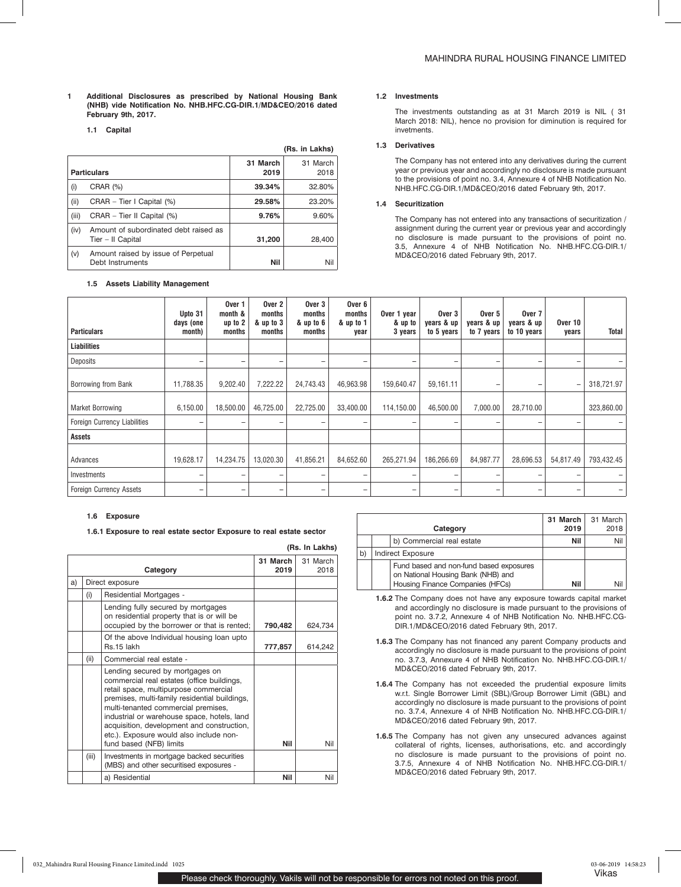- **1 Additional Disclosures as prescribed by National Housing Bank (NHB) vide Notification No. NHB.HFC.CG-DIR.1/MD&CEO/2016 dated February 9th, 2017.**
	- **1.1 Capital**

|       |                                                            |                  | (Rs. in Lakhs)   |
|-------|------------------------------------------------------------|------------------|------------------|
|       | <b>Particulars</b>                                         | 31 March<br>2019 | 31 March<br>2018 |
| (i)   | CRAR (%)                                                   | 39.34%           | 32.80%           |
| (ii)  | $CRAR - Tier I Capital (%)$                                | 29.58%           | 23.20%           |
| (iii) | CRAR - Tier II Capital (%)                                 | 9.76%            | 9.60%            |
| (iv)  | Amount of subordinated debt raised as<br>Tier - II Capital | 31,200           | 28,400           |
| (v)   | Amount raised by issue of Perpetual<br>Debt Instruments    | Nil              | Nil              |

## **1.5 Assets Liability Management**

### **1.2 Investments**

The investments outstanding as at 31 March 2019 is NIL ( 31 March 2018: NIL), hence no provision for diminution is required for invetments.

### **1.3 Derivatives**

The Company has not entered into any derivatives during the current year or previous year and accordingly no disclosure is made pursuant to the provisions of point no. 3.4, Annexure 4 of NHB Notification No. NHB.HFC.CG-DIR.1/MD&CEO/2016 dated February 9th, 2017.

## **1.4 Securitization**

The Company has not entered into any transactions of securitization / assignment during the current year or previous year and accordingly no disclosure is made pursuant to the provisions of point no. 3.5, Annexure 4 of NHB Notification No. NHB.HFC.CG-DIR.1/ MD&CEO/2016 dated February 9th, 2017.

| <b>Particulars</b>             | Upto 31<br>days (one<br>month) | Over 1<br>month &<br>up to 2<br>months | Over 2<br>months<br>& up to 3<br>months | Over <sub>3</sub><br>months<br>& up to 6<br>months | Over 6<br>months<br>& up to 1<br>year | Over 1 year<br>& up to<br>3 years | Over 3<br>years & up<br>to 5 years | Over 5<br>years & up<br>to 7 years | Over 7<br>years & up<br>to 10 years | Over 10<br>years | Total      |
|--------------------------------|--------------------------------|----------------------------------------|-----------------------------------------|----------------------------------------------------|---------------------------------------|-----------------------------------|------------------------------------|------------------------------------|-------------------------------------|------------------|------------|
| <b>Liabilities</b>             |                                |                                        |                                         |                                                    |                                       |                                   |                                    |                                    |                                     |                  |            |
| Deposits                       | -                              | -                                      | ۰                                       | -                                                  | $\overline{\phantom{0}}$              | -                                 | -                                  | -                                  | $\overline{\phantom{0}}$            | -                |            |
| Borrowing from Bank            | 11,788.35                      | 9,202.40                               | 7,222.22                                | 24,743.43                                          | 46,963.98                             | 159,640.47                        | 59,161.11                          | -                                  | -                                   | -                | 318,721.97 |
| Market Borrowing               | 6,150.00                       | 18,500.00                              | 46,725.00                               | 22,725.00                                          | 33,400.00                             | 114,150.00                        | 46,500.00                          | 7,000.00                           | 28,710.00                           |                  | 323,860.00 |
| Foreign Currency Liabilities   | -                              | $\qquad \qquad$                        | -                                       | -                                                  | $\qquad \qquad \blacksquare$          | $\qquad \qquad$                   | -                                  |                                    | -                                   | -                |            |
| Assets                         |                                |                                        |                                         |                                                    |                                       |                                   |                                    |                                    |                                     |                  |            |
| Advances                       | 19,628.17                      | 14,234.75                              | 13,020.30                               | 41,856.21                                          | 84,652.60                             | 265,271.94                        | 186,266.69                         | 84,987.77                          | 28,696.53                           | 54,817.49        | 793,432.45 |
| Investments                    |                                | $\qquad \qquad$                        | -                                       | -                                                  | -                                     | -                                 | -                                  |                                    | $\overline{\phantom{0}}$            | -                |            |
| <b>Foreign Currency Assets</b> | -                              | $\qquad \qquad$                        | -                                       | -                                                  | $\overline{\phantom{0}}$              | $\qquad \qquad \blacksquare$      | -                                  | -                                  | -                                   | -                |            |

#### **1.6 Exposure**

## **1.6.1 Exposure to real estate sector Exposure to real estate sector**

**(Rs. In Lakhs)**

|    |       | Category                                                                                                                                                                                                                                                                                                                                                                          | 31 March<br>2019 | 31 March<br>2018 |
|----|-------|-----------------------------------------------------------------------------------------------------------------------------------------------------------------------------------------------------------------------------------------------------------------------------------------------------------------------------------------------------------------------------------|------------------|------------------|
| a) |       | Direct exposure                                                                                                                                                                                                                                                                                                                                                                   |                  |                  |
|    | (i)   | Residential Mortgages -                                                                                                                                                                                                                                                                                                                                                           |                  |                  |
|    |       | Lending fully secured by mortgages<br>on residential property that is or will be<br>occupied by the borrower or that is rented;                                                                                                                                                                                                                                                   | 790,482          | 624,734          |
|    |       | Of the above Individual housing loan upto<br>Rs.15 lakh                                                                                                                                                                                                                                                                                                                           | 777,857          | 614,242          |
|    | (ii)  | Commercial real estate -                                                                                                                                                                                                                                                                                                                                                          |                  |                  |
|    |       | Lending secured by mortgages on<br>commercial real estates (office buildings,<br>retail space, multipurpose commercial<br>premises, multi-family residential buildings,<br>multi-tenanted commercial premises,<br>industrial or warehouse space, hotels, land<br>acquisition, development and construction,<br>etc.). Exposure would also include non-<br>fund based (NFB) limits | Nil              | Nil              |
|    | (iii) | Investments in mortgage backed securities<br>(MBS) and other securitised exposures -                                                                                                                                                                                                                                                                                              |                  |                  |
|    |       | a) Residential                                                                                                                                                                                                                                                                                                                                                                    | Nil              | Nil              |

|    | Category                                                                                                          | 31 March<br>2019 | 31 March<br>2018 |
|----|-------------------------------------------------------------------------------------------------------------------|------------------|------------------|
|    | b) Commercial real estate                                                                                         | Nil              | Nil              |
| b) | <b>Indirect Exposure</b>                                                                                          |                  |                  |
|    | Fund based and non-fund based exposures<br>on National Housing Bank (NHB) and<br>Housing Finance Companies (HFCs) | Nil              | Nil              |

**1.6.2** The Company does not have any exposure towards capital market and accordingly no disclosure is made pursuant to the provisions of point no. 3.7.2, Annexure 4 of NHB Notification No. NHB.HFC.CG-DIR.1/MD&CEO/2016 dated February 9th, 2017.

- **1.6.3** The Company has not financed any parent Company products and accordingly no disclosure is made pursuant to the provisions of point no. 3.7.3, Annexure 4 of NHB Notification No. NHB.HFC.CG-DIR.1/ MD&CEO/2016 dated February 9th, 2017.
- **1.6.4** The Company has not exceeded the prudential exposure limits w.r.t. Single Borrower Limit (SBL)/Group Borrower Limit (GBL) and accordingly no disclosure is made pursuant to the provisions of point no. 3.7.4, Annexure 4 of NHB Notification No. NHB.HFC.CG-DIR.1/ MD&CEO/2016 dated February 9th, 2017.
- **1.6.5** The Company has not given any unsecured advances against collateral of rights, licenses, authorisations, etc. and accordingly no disclosure is made pursuant to the provisions of point no. 3.7.5, Annexure 4 of NHB Notification No. NHB.HFC.CG-DIR.1/ MD&CEO/2016 dated February 9th, 2017.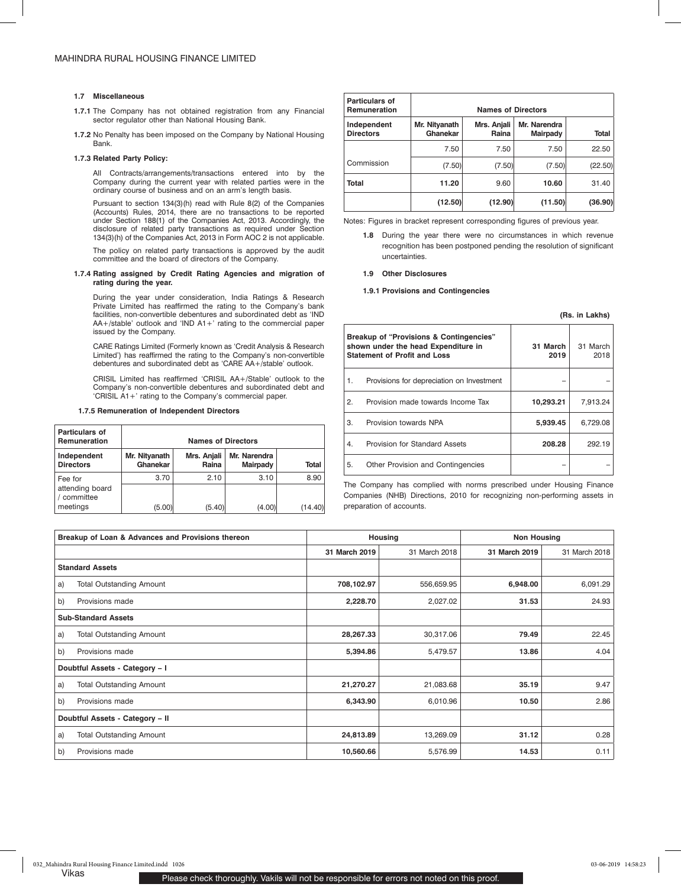#### **1.7 Miscellaneous**

- **1.7.1** The Company has not obtained registration from any Financial sector regulator other than National Housing Bank.
- **1.7.2** No Penalty has been imposed on the Company by National Housing Bank.

## **1.7.3 Related Party Policy:**

All Contracts/arrangements/transactions entered into by the Company during the current year with related parties were in the ordinary course of business and on an arm's length basis.

Pursuant to section 134(3)(h) read with Rule 8(2) of the Companies (Accounts) Rules, 2014, there are no transactions to be reported under Section 188(1) of the Companies Act, 2013. Accordingly, the disclosure of related party transactions as required under Section 134(3)(h) of the Companies Act, 2013 in Form AOC 2 is not applicable.

The policy on related party transactions is approved by the audit committee and the board of directors of the Company.

### **1.7.4 Rating assigned by Credit Rating Agencies and migration of rating during the year.**

During the year under consideration, India Ratings & Research Private Limited has reaffirmed the rating to the Company's bank facilities, non-convertible debentures and subordinated debt as 'IND AA+/stable' outlook and 'IND A1+' rating to the commercial paper issued by the Company.

CARE Ratings Limited (Formerly known as 'Credit Analysis & Research Limited') has reaffirmed the rating to the Company's non-convertible debentures and subordinated debt as 'CARE AA+/stable' outlook.

CRISIL Limited has reaffirmed 'CRISIL AA+/Stable' outlook to the Company's non-convertible debentures and subordinated debt and 'CRISIL A1+' rating to the Company's commercial paper.

## **1.7.5 Remuneration of Independent Directors**

| Particulars of<br><b>Remuneration</b>     | <b>Names of Directors</b> |                      |                                 |         |  |  |  |  |  |
|-------------------------------------------|---------------------------|----------------------|---------------------------------|---------|--|--|--|--|--|
| Independent<br><b>Directors</b>           | Mr. Nityanath<br>Ghanekar | Mrs. Anjali<br>Raina | Mr. Narendra<br><b>Mairpady</b> | Total   |  |  |  |  |  |
| Fee for<br>attending board<br>/ committee | 3.70                      | 2.10                 | 3.10                            | 8.90    |  |  |  |  |  |
| meetings                                  | (5.00)                    | (5.40)               | (4.00)                          | (14.40) |  |  |  |  |  |

| Particulars of<br>Remuneration  |                           | <b>Names of Directors</b>                               |         |              |  |  |  |  |  |  |
|---------------------------------|---------------------------|---------------------------------------------------------|---------|--------------|--|--|--|--|--|--|
| Independent<br><b>Directors</b> | Mr. Nityanath<br>Ghanekar | Mr. Narendra<br>Mrs. Anjali<br>Raina<br><b>Mairpady</b> |         | <b>Total</b> |  |  |  |  |  |  |
|                                 | 7.50                      | 7.50                                                    | 7.50    | 22.50        |  |  |  |  |  |  |
| Commission                      | (7.50)                    | (7.50)                                                  | (7.50)  | (22.50)      |  |  |  |  |  |  |
| <b>Total</b>                    | 11.20                     | 9.60                                                    | 10.60   | 31.40        |  |  |  |  |  |  |
|                                 | (12.50)                   | (12.90)                                                 | (11.50) | (36.90)      |  |  |  |  |  |  |

Notes: Figures in bracket represent corresponding figures of previous year.

**1.8** During the year there were no circumstances in which revenue recognition has been postponed pending the resolution of significant uncertainties.

**(Rs. in Lakhs)**

#### **1.9 Other Disclosures**

### **1.9.1 Provisions and Contingencies**

|                | Breakup of "Provisions & Contingencies"<br>shown under the head Expenditure in<br><b>Statement of Profit and Loss</b> | 31 March<br>2019 | 31 March<br>2018 |
|----------------|-----------------------------------------------------------------------------------------------------------------------|------------------|------------------|
| $\mathbf{1}$ . | Provisions for depreciation on Investment                                                                             |                  |                  |
| 2.             | Provision made towards Income Tax                                                                                     | 10.293.21        | 7.913.24         |
| 3.             | Provision towards NPA                                                                                                 | 5,939.45         | 6,729.08         |
| 4.             | Provision for Standard Assets                                                                                         | 208.28           | 292.19           |
| 5.             | Other Provision and Contingencies                                                                                     |                  |                  |

The Company has complied with norms prescribed under Housing Finance Companies (NHB) Directions, 2010 for recognizing non-performing assets in preparation of accounts.

|                                 | Breakup of Loan & Advances and Provisions thereon |               | Housing       | <b>Non Housing</b> |               |  |
|---------------------------------|---------------------------------------------------|---------------|---------------|--------------------|---------------|--|
|                                 |                                                   | 31 March 2019 | 31 March 2018 | 31 March 2019      | 31 March 2018 |  |
|                                 | <b>Standard Assets</b>                            |               |               |                    |               |  |
| a)                              | <b>Total Outstanding Amount</b>                   | 708,102.97    | 556,659.95    | 6,948.00           | 6,091.29      |  |
| b)                              | Provisions made                                   | 2,228.70      | 2,027.02      | 31.53              | 24.93         |  |
|                                 | <b>Sub-Standard Assets</b>                        |               |               |                    |               |  |
| a)                              | <b>Total Outstanding Amount</b>                   | 28,267.33     | 30,317.06     | 79.49              | 22.45         |  |
| b)                              | Provisions made                                   | 5,394.86      | 5,479.57      | 13.86              | 4.04          |  |
|                                 | Doubtful Assets - Category - I                    |               |               |                    |               |  |
| a)                              | <b>Total Outstanding Amount</b>                   | 21,270.27     | 21,083.68     | 35.19              | 9.47          |  |
| b)                              | Provisions made                                   | 6,343.90      | 6,010.96      | 10.50              | 2.86          |  |
| Doubtful Assets - Category - II |                                                   |               |               |                    |               |  |
| a)                              | <b>Total Outstanding Amount</b>                   | 24,813.89     | 13,269.09     | 31.12              | 0.28          |  |
| b)                              | Provisions made                                   | 10,560.66     | 5,576.99      | 14.53              | 0.11          |  |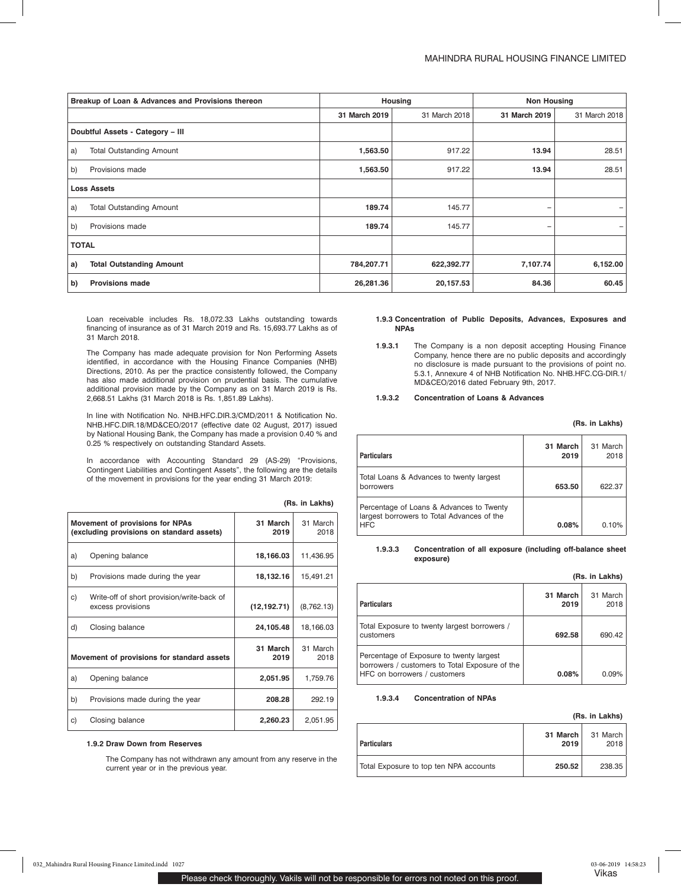|              | Breakup of Loan & Advances and Provisions thereon |               | Housing       | <b>Non Housing</b> |               |
|--------------|---------------------------------------------------|---------------|---------------|--------------------|---------------|
|              |                                                   | 31 March 2019 | 31 March 2018 | 31 March 2019      | 31 March 2018 |
|              | Doubtful Assets - Category - III                  |               |               |                    |               |
| a)           | <b>Total Outstanding Amount</b>                   | 1,563.50      | 917.22        | 13.94              | 28.51         |
| b)           | Provisions made                                   | 1,563.50      | 917.22        | 13.94              | 28.51         |
|              | <b>Loss Assets</b>                                |               |               |                    |               |
| a)           | <b>Total Outstanding Amount</b>                   | 189.74        | 145.77        | -                  |               |
| b)           | Provisions made                                   | 189.74        | 145.77        | -                  |               |
| <b>TOTAL</b> |                                                   |               |               |                    |               |
| a)           | <b>Total Outstanding Amount</b>                   | 784,207.71    | 622,392.77    | 7,107.74           | 6,152.00      |
| b)           | <b>Provisions made</b>                            | 26,281.36     | 20,157.53     | 84.36              | 60.45         |

Loan receivable includes Rs. 18,072.33 Lakhs outstanding towards financing of insurance as of 31 March 2019 and Rs. 15,693.77 Lakhs as of 31 March 2018.

The Company has made adequate provision for Non Performing Assets identified, in accordance with the Housing Finance Companies (NHB) Directions, 2010. As per the practice consistently followed, the Company has also made additional provision on prudential basis. The cumulative additional provision made by the Company as on 31 March 2019 is Rs. 2,668.51 Lakhs (31 March 2018 is Rs. 1,851.89 Lakhs).

In line with Notification No. NHB.HFC.DIR.3/CMD/2011 & Notification No. NHB.HFC.DIR.18/MD&CEO/2017 (effective date 02 August, 2017) issued by National Housing Bank, the Company has made a provision 0.40 % and 0.25 % respectively on outstanding Standard Assets.

In accordance with Accounting Standard 29 (AS-29) "Provisions, Contingent Liabilities and Contingent Assets", the following are the details of the movement in provisions for the year ending 31 March 2019:

| Movement of provisions for NPAs<br>(excluding provisions on standard assets) |                                                                 | 31 March<br>2019 | 31 March<br>2018 |
|------------------------------------------------------------------------------|-----------------------------------------------------------------|------------------|------------------|
| a)                                                                           | Opening balance                                                 | 18,166.03        | 11,436.95        |
| b)                                                                           | Provisions made during the year                                 | 18,132.16        | 15,491.21        |
| C)                                                                           | Write-off of short provision/write-back of<br>excess provisions | (12, 192.71)     | (8,762.13)       |
| d)                                                                           | Closing balance                                                 | 24,105.48        | 18,166.03        |
|                                                                              | Movement of provisions for standard assets                      | 31 March<br>2019 | 31 March<br>2018 |
| a)                                                                           | Opening balance                                                 | 2,051.95         | 1,759.76         |
| b)                                                                           | Provisions made during the year                                 | 208.28           | 292.19           |
| C)                                                                           | Closing balance                                                 | 2,260.23         | 2,051.95         |

## **(Rs. in Lakhs)**

## **1.9.2 Draw Down from Reserves**

The Company has not withdrawn any amount from any reserve in the current year or in the previous year.

#### **1.9.3 Concentration of Public Deposits, Advances, Exposures and NPAs**

**1**.**9.3.1** The Company is a non deposit accepting Housing Finance Company, hence there are no public deposits and accordingly no disclosure is made pursuant to the provisions of point no. 5.3.1, Annexure 4 of NHB Notification No. NHB.HFC.CG-DIR.1/ MD&CEO/2016 dated February 9th, 2017.

#### **1.9.3.2 Concentration of Loans & Advances**

## **(Rs. in Lakhs)**

| <b>Particulars</b>                                                                                   | 31 March<br>2019 | 31 March<br>2018 |
|------------------------------------------------------------------------------------------------------|------------------|------------------|
| Total Loans & Advances to twenty largest<br>borrowers                                                | 653.50           | 622.37           |
| Percentage of Loans & Advances to Twenty<br>largest borrowers to Total Advances of the<br><b>HFC</b> | 0.08%            | 0.10%            |

#### **1.9.3.3 Concentration of all exposure (including off-balance sheet exposure)**

|                                                                                                                            |                  | (Rs. in Lakhs)   |
|----------------------------------------------------------------------------------------------------------------------------|------------------|------------------|
| <b>Particulars</b>                                                                                                         | 31 March<br>2019 | 31 March<br>2018 |
| Total Exposure to twenty largest borrowers /<br>customers                                                                  | 692.58           | 690.42           |
| Percentage of Exposure to twenty largest<br>borrowers / customers to Total Exposure of the<br>HFC on borrowers / customers | 0.08%            | $0.09\%$         |

#### **1.9.3.4 Concentration of NPAs**

| <b>Particulars</b>                     | 31 March<br>2019 | 31 March<br>2018 |
|----------------------------------------|------------------|------------------|
| Total Exposure to top ten NPA accounts | 250.52           | 238.35           |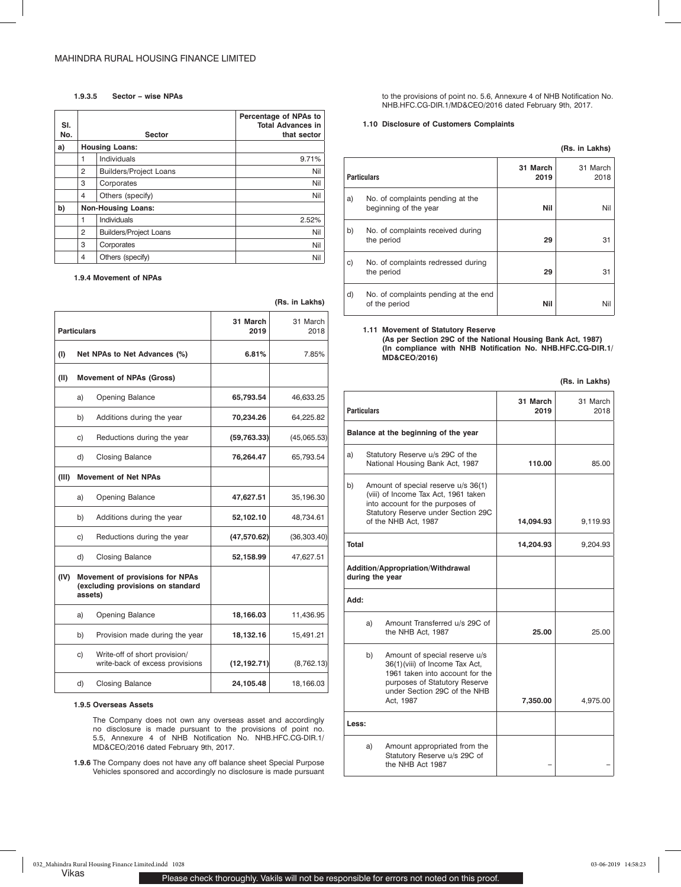### **1.9.3.5 Sector – wise NPAs**

| SI.<br>No. |   | <b>Sector</b>                 | Percentage of NPAs to<br><b>Total Advances in</b><br>that sector |
|------------|---|-------------------------------|------------------------------------------------------------------|
| a)         |   | <b>Housing Loans:</b>         |                                                                  |
|            | 1 | Individuals                   | 9.71%                                                            |
|            | 2 | <b>Builders/Project Loans</b> | Nil                                                              |
|            | 3 | Corporates                    | Nil                                                              |
|            | 4 | Others (specify)              | Nil                                                              |
| b)         |   | <b>Non-Housing Loans:</b>     |                                                                  |
|            | 1 | <b>Individuals</b>            | 2.52%                                                            |
|            | 2 | <b>Builders/Project Loans</b> | Nil                                                              |
|            | 3 | Corporates                    | Nil                                                              |
|            | 4 | Others (specify)              | Nil                                                              |

**(Rs. in Lakhs)**

**1.9.4 Movement of NPAs**

|                    |         |                                                                      | (ns. III Laniis) |              |  |
|--------------------|---------|----------------------------------------------------------------------|------------------|--------------|--|
| <b>Particulars</b> |         | 31 March<br>2019                                                     | 31 March<br>2018 |              |  |
| (1)                |         | Net NPAs to Net Advances (%)                                         | 6.81%            | 7.85%        |  |
| (II)               |         | <b>Movement of NPAs (Gross)</b>                                      |                  |              |  |
|                    | a)      | <b>Opening Balance</b>                                               | 65,793.54        | 46,633.25    |  |
|                    | b)      | Additions during the year                                            | 70,234.26        | 64,225.82    |  |
|                    | C)      | Reductions during the year                                           | (59, 763.33)     | (45,065.53)  |  |
|                    | d)      | <b>Closing Balance</b>                                               | 76,264.47        | 65,793.54    |  |
| (III)              |         | <b>Movement of Net NPAs</b>                                          |                  |              |  |
|                    | a)      | <b>Opening Balance</b>                                               | 47,627.51        | 35,196.30    |  |
|                    | b)      | Additions during the year                                            | 52,102.10        | 48,734.61    |  |
|                    | C)      | Reductions during the year                                           | (47,570.62)      | (36, 303.40) |  |
|                    | d)      | <b>Closing Balance</b>                                               | 52,158.99        | 47,627.51    |  |
| (IV)               | assets) | Movement of provisions for NPAs<br>(excluding provisions on standard |                  |              |  |
|                    | a)      | Opening Balance                                                      | 18,166.03        | 11,436.95    |  |
|                    | b)      | Provision made during the year                                       | 18,132.16        | 15,491.21    |  |
|                    | C)      | Write-off of short provision/<br>write-back of excess provisions     | (12, 192.71)     | (8,762.13)   |  |
|                    | d)      | <b>Closing Balance</b>                                               | 24,105.48        | 18,166.03    |  |
|                    |         |                                                                      |                  |              |  |

## **1.9.5 Overseas Assets**

The Company does not own any overseas asset and accordingly no disclosure is made pursuant to the provisions of point no. 5.5, Annexure 4 of NHB Notification No. NHB.HFC.CG-DIR.1/ MD&CEO/2016 dated February 9th, 2017.

**1.9.6** The Company does not have any off balance sheet Special Purpose Vehicles sponsored and accordingly no disclosure is made pursuant to the provisions of point no. 5.6, Annexure 4 of NHB Notification No. NHB.HFC.CG-DIR.1/MD&CEO/2016 dated February 9th, 2017.

### **1.10 Disclosure of Customers Complaints**

|                    |                                                           |                  | (Rs. in Lakhs)   |
|--------------------|-----------------------------------------------------------|------------------|------------------|
| <b>Particulars</b> |                                                           | 31 March<br>2019 | 31 March<br>2018 |
| a)                 | No. of complaints pending at the<br>beginning of the year | Nil              | Nil              |
| b)                 | No. of complaints received during<br>the period           | 29               | 31               |
| c)                 | No. of complaints redressed during<br>the period          | 29               | 31               |
| d)                 | No. of complaints pending at the end<br>of the period     | Nil              | Nil              |

#### **1.11 Movement of Statutory Reserve**

**(As per Section 29C of the National Housing Bank Act, 1987) (In compliance with NHB Notification No. NHB.HFC.CG-DIR.1/ MD&CEO/2016)**

| <b>Particulars</b>                                                                                                                                                                   |    |                                                                                                                                                                                  | 31 March<br>2019 | 31 March<br>2018 |
|--------------------------------------------------------------------------------------------------------------------------------------------------------------------------------------|----|----------------------------------------------------------------------------------------------------------------------------------------------------------------------------------|------------------|------------------|
|                                                                                                                                                                                      |    | Balance at the beginning of the year                                                                                                                                             |                  |                  |
| a)                                                                                                                                                                                   |    | Statutory Reserve u/s 29C of the<br>National Housing Bank Act, 1987                                                                                                              | 110.00           | 85.00            |
| Amount of special reserve u/s 36(1)<br>b)<br>(viii) of Income Tax Act, 1961 taken<br>into account for the purposes of<br>Statutory Reserve under Section 29C<br>of the NHB Act, 1987 |    | 14,094.93                                                                                                                                                                        | 9,119.93         |                  |
| <b>Total</b>                                                                                                                                                                         |    |                                                                                                                                                                                  | 14,204.93        | 9,204.93         |
|                                                                                                                                                                                      |    | Addition/Appropriation/Withdrawal<br>during the year                                                                                                                             |                  |                  |
| :Add                                                                                                                                                                                 |    |                                                                                                                                                                                  |                  |                  |
|                                                                                                                                                                                      | a) | Amount Transferred u/s 29C of<br>the NHB Act, 1987                                                                                                                               | 25.00            | 25.00            |
|                                                                                                                                                                                      | b) | Amount of special reserve u/s<br>36(1)(viii) of Income Tax Act,<br>1961 taken into account for the<br>purposes of Statutory Reserve<br>under Section 29C of the NHB<br>Act. 1987 | 7,350.00         | 4,975.00         |
| Less:                                                                                                                                                                                |    |                                                                                                                                                                                  |                  |                  |
|                                                                                                                                                                                      | a) | Amount appropriated from the<br>Statutory Reserve u/s 29C of<br>the NHB Act 1987                                                                                                 |                  |                  |